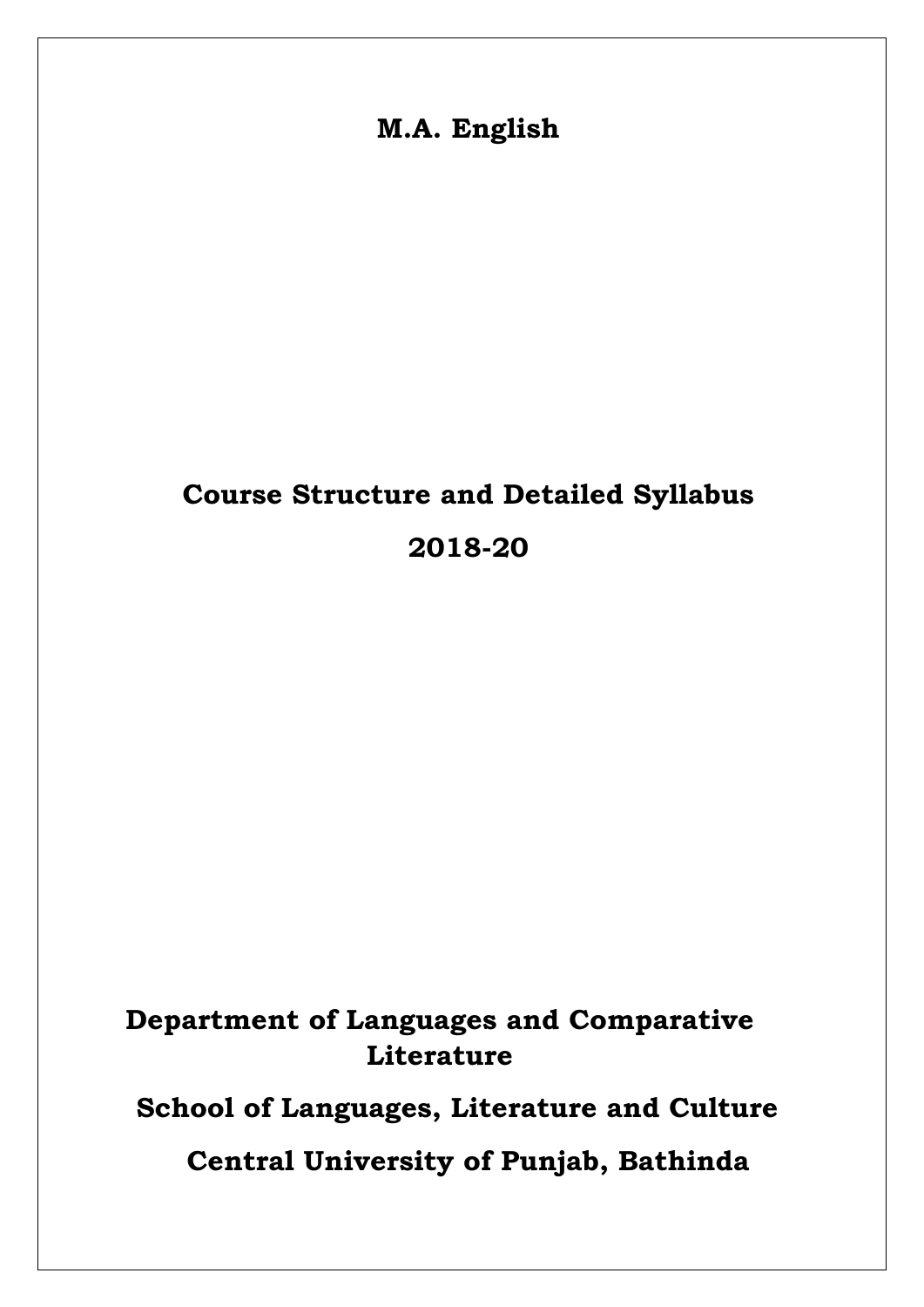**M.A. English**

# **Course Structure and Detailed Syllabus 2018-20**

# **Department of Languages and Comparative Literature**

**School of Languages, Literature and Culture**

**Central University of Punjab, Bathinda**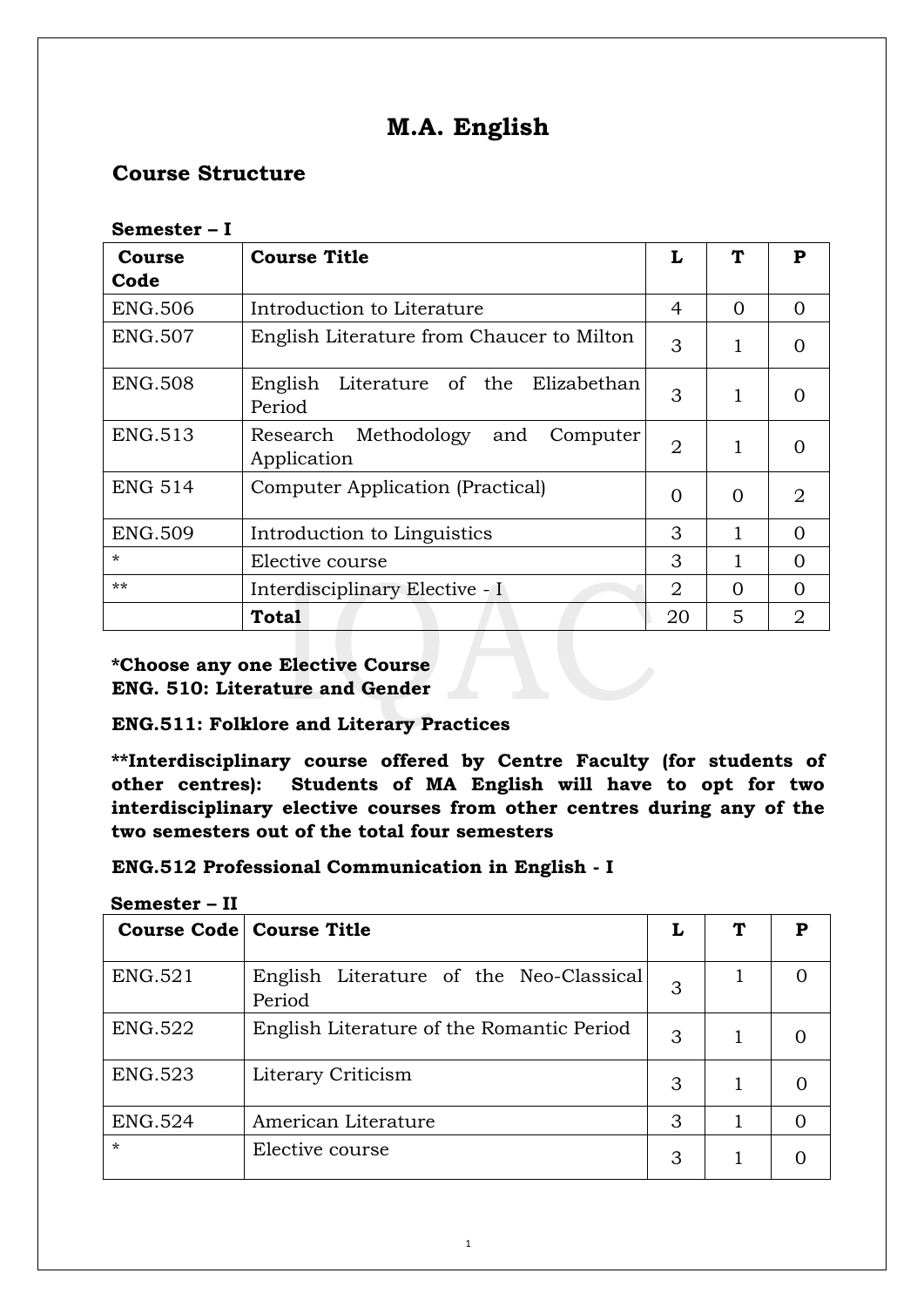# **M.A. English**

# **Course Structure**

| ◡◡…い◡◡         |                                                        |                |          |                |  |
|----------------|--------------------------------------------------------|----------------|----------|----------------|--|
| Course         | <b>Course Title</b>                                    | L              |          | P              |  |
| Code           |                                                        |                |          |                |  |
| <b>ENG.506</b> | Introduction to Literature                             | 4              | $\Omega$ | $\Omega$       |  |
| <b>ENG.507</b> | English Literature from Chaucer to Milton              | 3              | 1        | 0              |  |
| <b>ENG.508</b> | English<br>Literature of the Elizabethan<br>Period     | 3              | 1        | $\Omega$       |  |
| <b>ENG.513</b> | Methodology and<br>Research<br>Computer<br>Application | $\overline{2}$ | 1        | $\Omega$       |  |
| <b>ENG 514</b> | Computer Application (Practical)                       |                | 0        | $\overline{2}$ |  |
| <b>ENG.509</b> | Introduction to Linguistics                            | 3              |          | $\Omega$       |  |
| $\star$        | Elective course                                        | 3              |          | $\Omega$       |  |
| $***$          | Interdisciplinary Elective - I                         | 2              | 0        | $\Omega$       |  |
|                | Total                                                  | 20             | 5        | $\overline{2}$ |  |

### **Semester – I**

# **\*Choose any one Elective Course ENG. 510: Literature and Gender**

# **ENG.511: Folklore and Literary Practices**

**\*\*Interdisciplinary course offered by Centre Faculty (for students of other centres): Students of MA English will have to opt for two interdisciplinary elective courses from other centres during any of the two semesters out of the total four semesters** 

# **ENG.512 Professional Communication in English - I**

| wumusiul       |                                                   |   |   |
|----------------|---------------------------------------------------|---|---|
|                | <b>Course Code   Course Title</b>                 | L | Р |
| ENG.521        | English Literature of the Neo-Classical<br>Period | 3 |   |
| <b>ENG.522</b> | English Literature of the Romantic Period         | 3 |   |
| <b>ENG.523</b> | Literary Criticism                                | 3 |   |
| <b>ENG.524</b> | American Literature                               | 3 |   |
| $\star$        | Elective course                                   | 3 |   |

**Semester – II**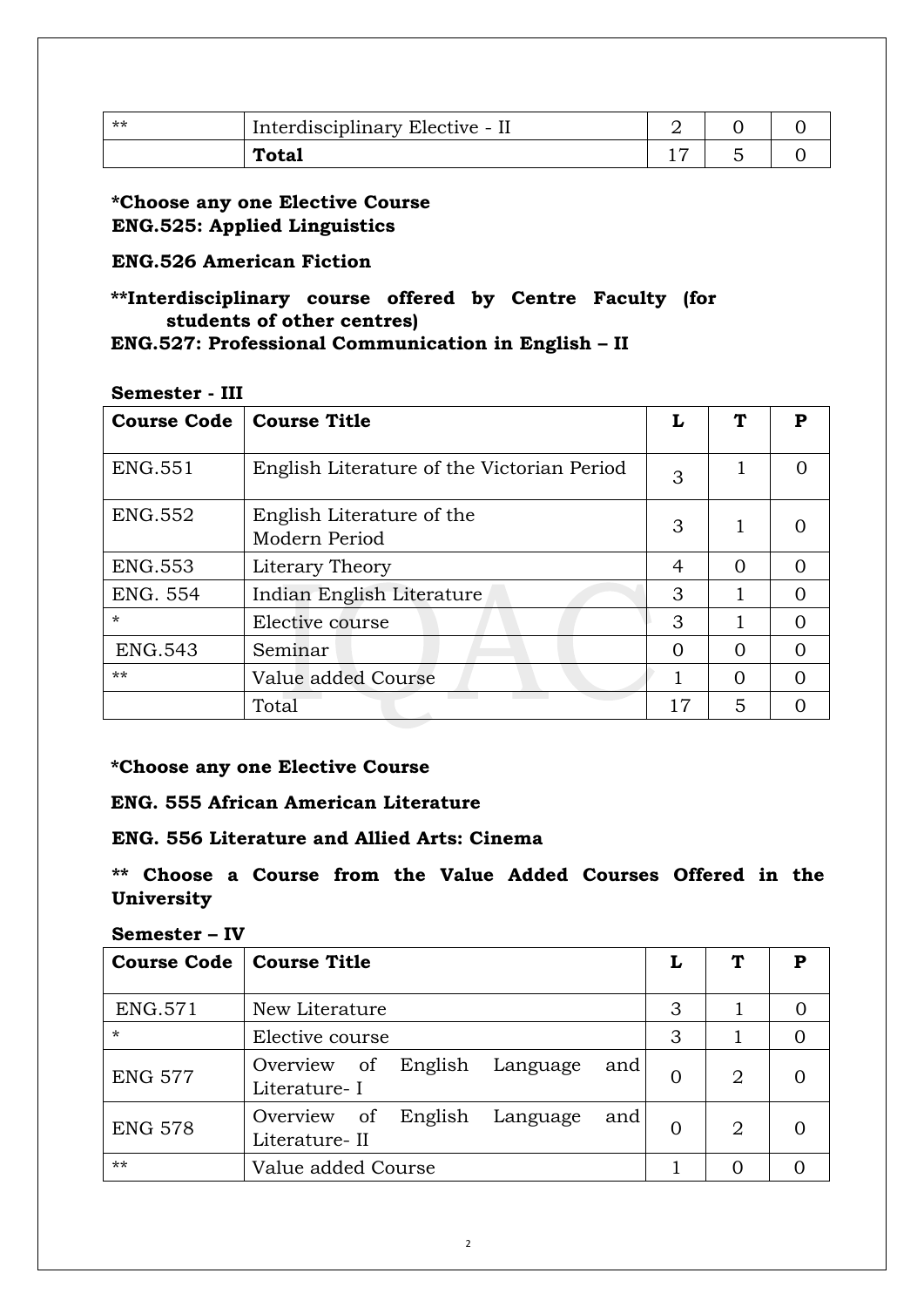| ** | Interdisciplinary Elective - II |  |  |
|----|---------------------------------|--|--|
|    | <b>Total</b>                    |  |  |

**\*Choose any one Elective Course ENG.525: Applied Linguistics** 

# **ENG.526 American Fiction**

# **\*\*Interdisciplinary course offered by Centre Faculty (for students of other centres)**

# **ENG.527: Professional Communication in English – II**

### **Semester - III**

| <b>Course Code</b> | <b>Course Title</b>                        |          | ፐ        | P |
|--------------------|--------------------------------------------|----------|----------|---|
| <b>ENG.551</b>     | English Literature of the Victorian Period | 3        |          |   |
| <b>ENG.552</b>     | English Literature of the<br>Modern Period | 3        | 1        |   |
| <b>ENG.553</b>     | Literary Theory                            | 4        | $\Omega$ | ∩ |
| <b>ENG. 554</b>    | Indian English Literature                  | 3        | 1        |   |
| $\star$            | Elective course                            | 3        |          | ∩ |
| <b>ENG.543</b>     | Seminar                                    | $\Omega$ | $\Omega$ | ∩ |
| $***$              | Value added Course                         |          | $\Omega$ | ∩ |
|                    | Total                                      | 17       | 5        |   |

### **\*Choose any one Elective Course**

# **ENG. 555 African American Literature**

# **ENG. 556 Literature and Allied Arts: Cinema**

# **\*\* Choose a Course from the Value Added Courses Offered in the University**

### **Semester – IV**

| <b>Course Code</b> | <b>Course Title</b>                                        | L        | Т              | Р |
|--------------------|------------------------------------------------------------|----------|----------------|---|
| <b>ENG.571</b>     | New Literature                                             | 3        |                |   |
| $\star$            | Elective course                                            | 3        |                |   |
| <b>ENG 577</b>     | English<br>Overview of<br>Language<br>and<br>Literature-I  | $\Omega$ | 2              |   |
| <b>ENG 578</b>     | English<br>Overview of<br>Language<br>and<br>Literature-II | $\Omega$ | $\overline{2}$ |   |
| $***$              | Value added Course                                         |          |                |   |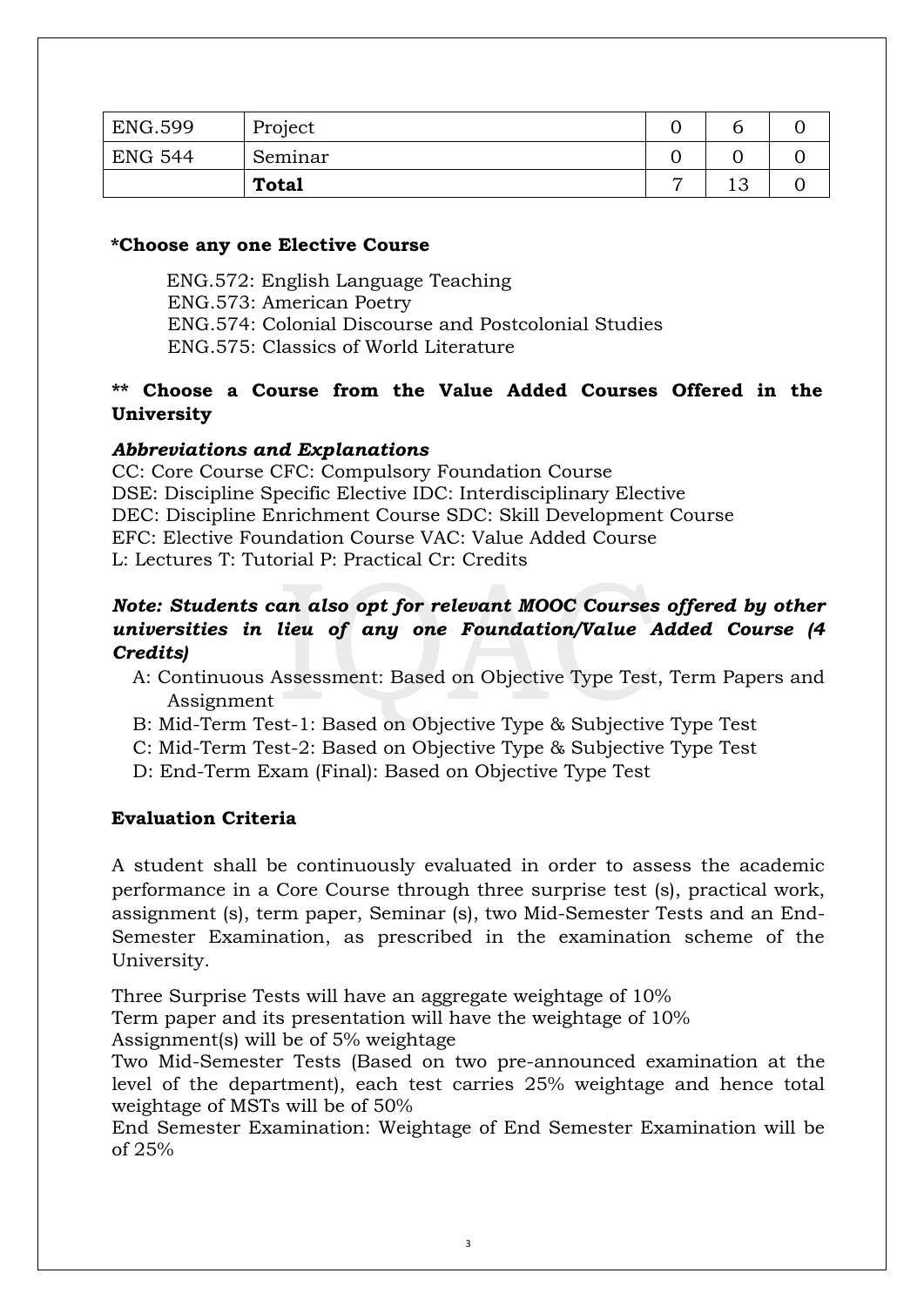| <b>ENG.599</b> | Project      |                |           |  |
|----------------|--------------|----------------|-----------|--|
| ENG 544        | Seminar      |                |           |  |
|                | <b>Total</b> | $\overline{ }$ | 1 ຕ<br>⊥◡ |  |

### **\*Choose any one Elective Course**

 ENG.572: English Language Teaching ENG.573: American Poetry ENG.574: Colonial Discourse and Postcolonial Studies ENG.575: Classics of World Literature

# **\*\* Choose a Course from the Value Added Courses Offered in the University**

# *Abbreviations and Explanations*

CC: Core Course CFC: Compulsory Foundation Course DSE: Discipline Specific Elective IDC: Interdisciplinary Elective DEC: Discipline Enrichment Course SDC: Skill Development Course EFC: Elective Foundation Course VAC: Value Added Course L: Lectures T: Tutorial P: Practical Cr: Credits

# *Note: Students can also opt for relevant MOOC Courses offered by other universities in lieu of any one Foundation/Value Added Course (4 Credits)*

- A: Continuous Assessment: Based on Objective Type Test, Term Papers and Assignment
- B: Mid-Term Test-1: Based on Objective Type & Subjective Type Test
- C: Mid-Term Test-2: Based on Objective Type & Subjective Type Test
- D: End-Term Exam (Final): Based on Objective Type Test

# **Evaluation Criteria**

A student shall be continuously evaluated in order to assess the academic performance in a Core Course through three surprise test (s), practical work, assignment (s), term paper, Seminar (s), two Mid-Semester Tests and an End-Semester Examination, as prescribed in the examination scheme of the University.

Three Surprise Tests will have an aggregate weightage of 10%

Term paper and its presentation will have the weightage of 10%

Assignment(s) will be of 5% weightage

Two Mid-Semester Tests (Based on two pre-announced examination at the level of the department), each test carries 25% weightage and hence total weightage of MSTs will be of 50%

End Semester Examination: Weightage of End Semester Examination will be of 25%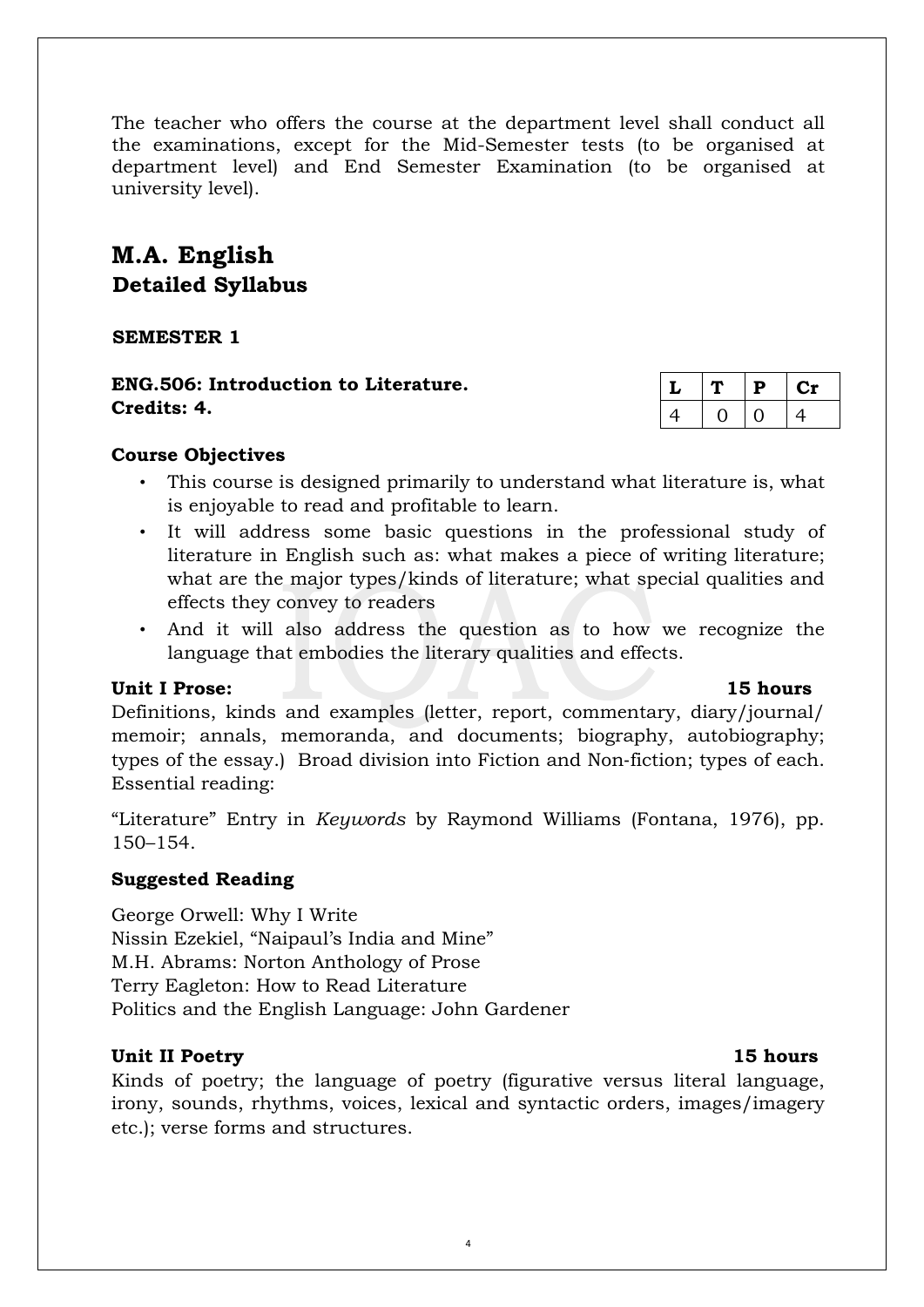The teacher who offers the course at the department level shall conduct all the examinations, except for the Mid-Semester tests (to be organised at department level) and End Semester Examination (to be organised at university level).

# **M.A. English Detailed Syllabus**

**SEMESTER 1** 

**ENG.506: Introduction to Literature. Credits: 4.** 

|   | P | U1 |
|---|---|----|
| 4 |   | 4  |

### **Course Objectives**

- This course is designed primarily to understand what literature is, what is enjoyable to read and profitable to learn.
- It will address some basic questions in the professional study of literature in English such as: what makes a piece of writing literature; what are the major types/kinds of literature; what special qualities and effects they convey to readers
- And it will also address the question as to how we recognize the language that embodies the literary qualities and effects.

### Unit I Prose: 15 **hours 15 hours**

Definitions, kinds and examples (letter, report, commentary, diary/journal/ memoir; annals, memoranda, and documents; biography, autobiography; types of the essay.) Broad division into Fiction and Non‐fiction; types of each. Essential reading:

"Literature" Entry in *Keywords* by Raymond Williams (Fontana, 1976), pp. 150–154.

# **Suggested Reading**

George Orwell: Why I Write Nissin Ezekiel, "Naipaul's India and Mine" M.H. Abrams: Norton Anthology of Prose Terry Eagleton: How to Read Literature Politics and the English Language: John Gardener

# **Unit II Poetry 15 hours**

Kinds of poetry; the language of poetry (figurative versus literal language, irony, sounds, rhythms, voices, lexical and syntactic orders, images/imagery etc.); verse forms and structures.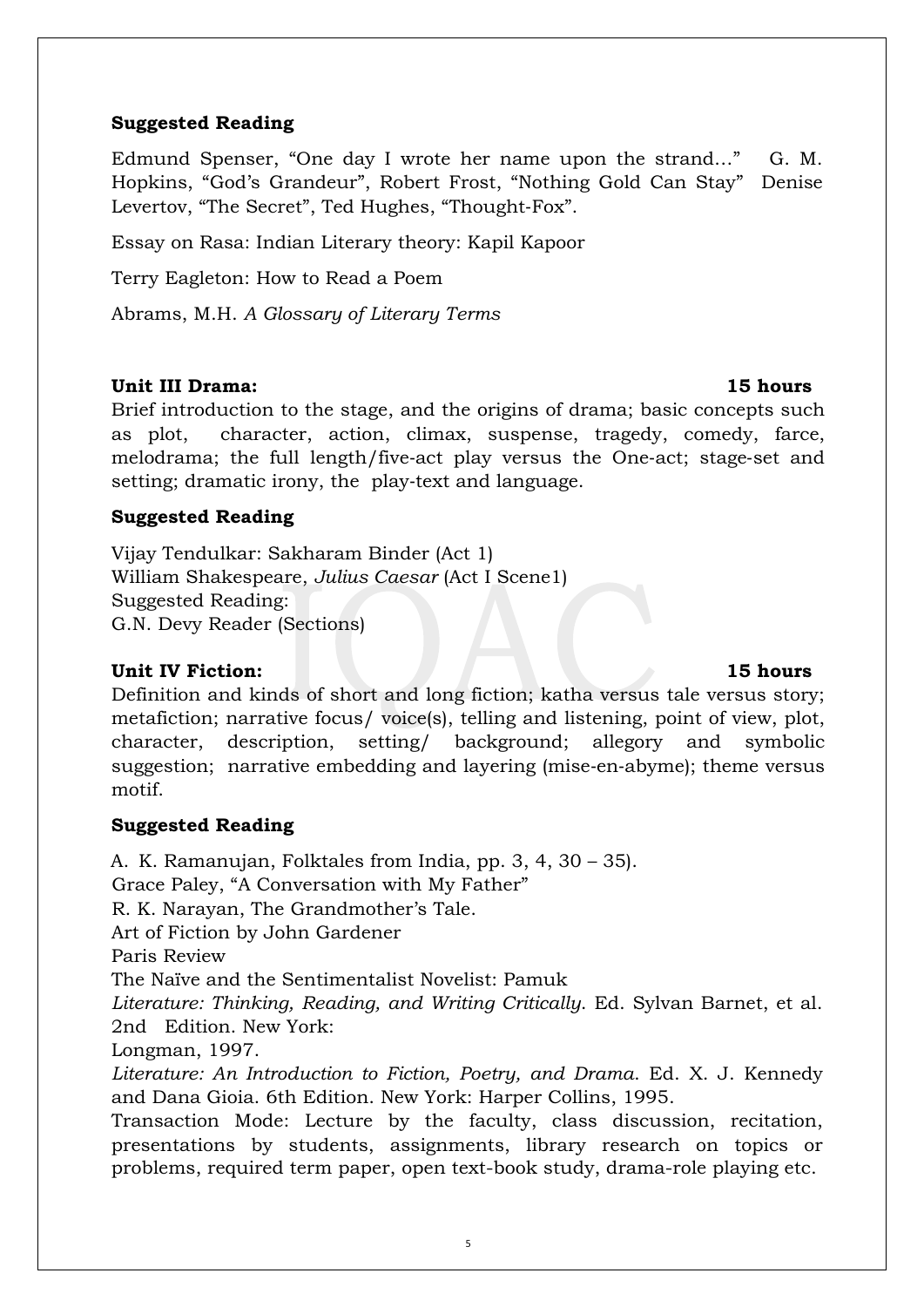# **Suggested Reading**

Edmund Spenser, "One day I wrote her name upon the strand…" G. M. Hopkins, "God's Grandeur", Robert Frost, "Nothing Gold Can Stay" Denise Levertov, "The Secret", Ted Hughes, "Thought‐Fox".

Essay on Rasa: Indian Literary theory: Kapil Kapoor

Terry Eagleton: How to Read a Poem

Abrams, M.H. *A Glossary of Literary Terms*

# **Unit III Drama: 15 hours**

Brief introduction to the stage, and the origins of drama; basic concepts such as plot, character, action, climax, suspense, tragedy, comedy, farce, melodrama; the full length/five‐act play versus the One‐act; stage‐set and setting; dramatic irony, the play-text and language.

# **Suggested Reading**

Vijay Tendulkar: Sakharam Binder (Act 1) William Shakespeare, *Julius Caesar* (Act I Scene1) Suggested Reading: G.N. Devy Reader (Sections)

# **Unit IV Fiction: 15 hours**

Definition and kinds of short and long fiction; katha versus tale versus story; metafiction; narrative focus/ voice(s), telling and listening, point of view, plot, character, description, setting/ background; allegory and symbolic suggestion; narrative embedding and layering (mise‐en‐abyme); theme versus motif.

# **Suggested Reading**

A. K. Ramanujan, Folktales from India, pp. 3, 4, 30 – 35). Grace Paley, "A Conversation with My Father" R. K. Narayan, The Grandmother's Tale. Art of Fiction by John Gardener Paris Review The Naïve and the Sentimentalist Novelist: Pamuk *Literature: Thinking, Reading, and Writing Critically*. Ed. Sylvan Barnet, et al. 2nd Edition. New York: Longman, 1997. *Literature: An Introduction to Fiction, Poetry, and Drama*. Ed. X. J. Kennedy and Dana Gioia. 6th Edition. New York: Harper Collins, 1995. Transaction Mode: Lecture by the faculty, class discussion, recitation,

presentations by students, assignments, library research on topics or problems, required term paper, open text-book study, drama-role playing etc.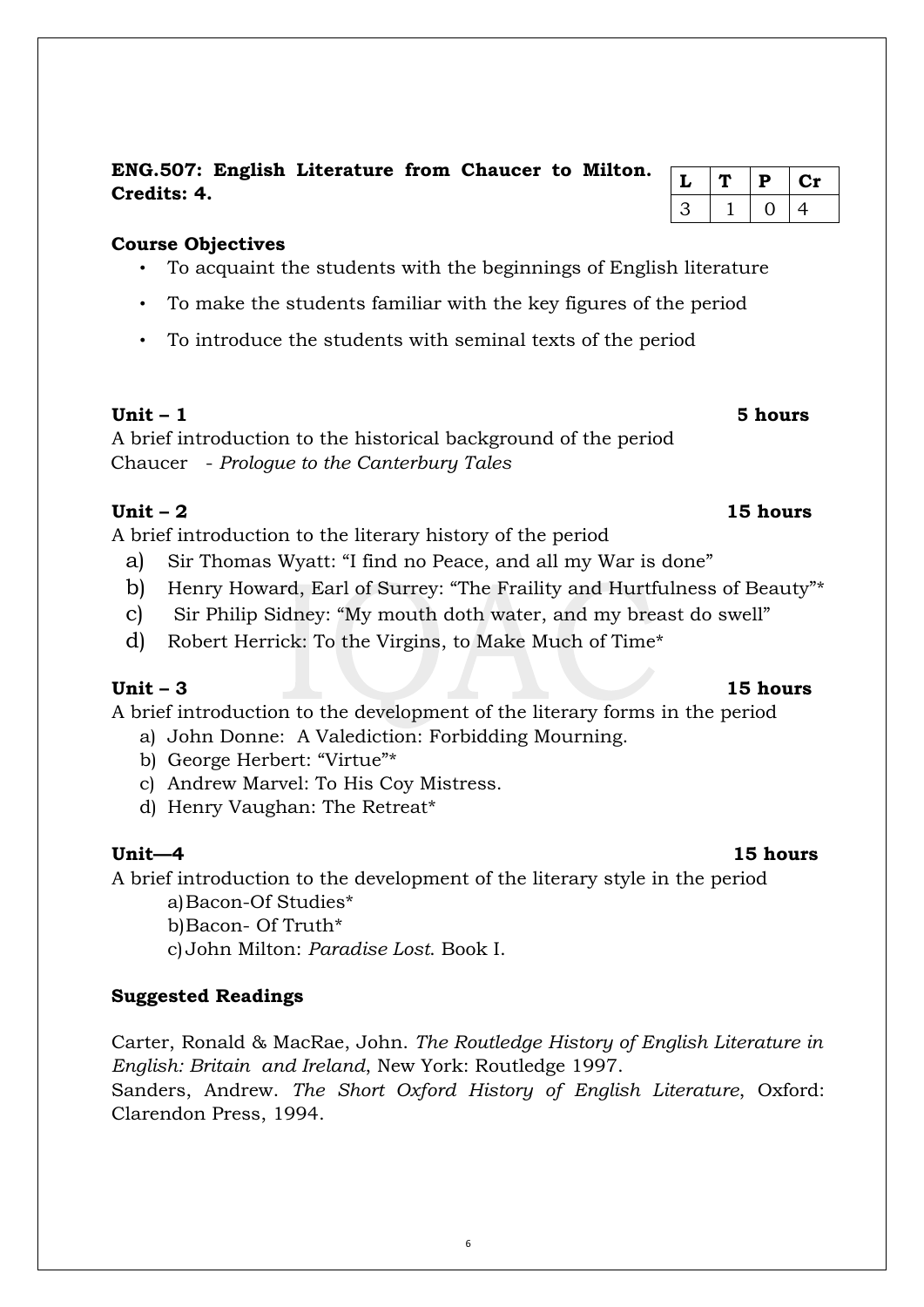**ENG.507: English Literature from Chaucer to Milton. Credits: 4.** 

# **Course Objectives**

- To acquaint the students with the beginnings of English literature
- To make the students familiar with the key figures of the period
- To introduce the students with seminal texts of the period

# **Unit – 1 : 15 hours**

A brief introduction to the historical background of the period Chaucer - *Prologue to the Canterbury Tales*

# **Unit – 2 15 hours**

A brief introduction to the literary history of the period

- a) Sir Thomas Wyatt: "I find no Peace, and all my War is done"
- b) Henry Howard, Earl of Surrey: "The Fraility and Hurtfulness of Beauty"\*
- c) Sir Philip Sidney: "My mouth doth water, and my breast do swell"
- d) Robert Herrick: To the Virgins, to Make Much of Time\*

# **Unit – 3 15 hours**

A brief introduction to the development of the literary forms in the period

- a) John Donne: A Valediction: Forbidding Mourning.
- b) George Herbert: "Virtue"\*
- c) Andrew Marvel: To His Coy Mistress.
- d) Henry Vaughan: The Retreat\*

# **Unit—4 15 hours**

A brief introduction to the development of the literary style in the period

a)Bacon-Of Studies\*

b)Bacon- Of Truth\*

c) John Milton: *Paradise Lost*. Book I.

# **Suggested Readings**

Carter, Ronald & MacRae, John. *The Routledge History of English Literature in English: Britain and Ireland*, New York: Routledge 1997. Sanders, Andrew. *The Short Oxford History of English Literature*, Oxford: Clarendon Press, 1994.

|    |  | р | 5 G.H |
|----|--|---|-------|
| ړ. |  |   | 4     |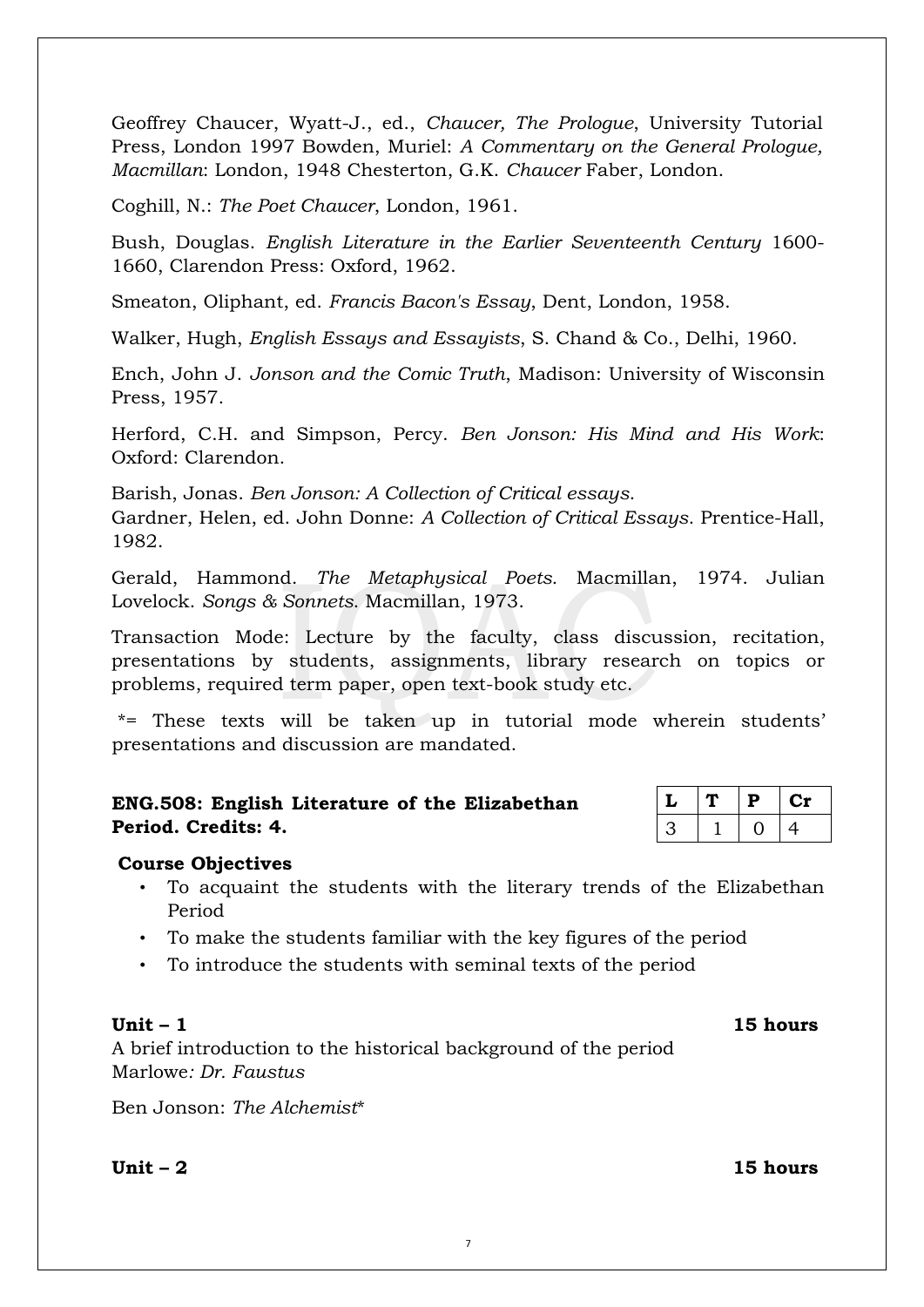Geoffrey Chaucer, Wyatt-J., ed., *Chaucer, The Prologue*, University Tutorial Press, London 1997 Bowden, Muriel: *A Commentary on the General Prologue, Macmillan*: London, 1948 Chesterton, G.K. *Chaucer* Faber, London.

Coghill, N.: *The Poet Chaucer*, London, 1961.

Bush, Douglas. *English Literature in the Earlier Seventeenth Century* 1600- 1660, Clarendon Press: Oxford, 1962.

Smeaton, Oliphant, ed. *Francis Bacon's Essay*, Dent, London, 1958.

Walker, Hugh, *English Essays and Essayists*, S. Chand & Co., Delhi, 1960.

Ench, John J. *Jonson and the Comic Truth*, Madison: University of Wisconsin Press, 1957.

Herford, C.H. and Simpson, Percy. *Ben Jonson: His Mind and His Work*: Oxford: Clarendon.

Barish, Jonas. *Ben Jonson: A Collection of Critical essays*. Gardner, Helen, ed. John Donne: *A Collection of Critical Essays*. Prentice-Hall, 1982.

Gerald, Hammond. *The Metaphysical Poets.* Macmillan, 1974. Julian Lovelock. *Songs & Sonnets*. Macmillan, 1973.

Transaction Mode: Lecture by the faculty, class discussion, recitation, presentations by students, assignments, library research on topics or problems, required term paper, open text-book study etc.

\*= These texts will be taken up in tutorial mode wherein students' presentations and discussion are mandated.

|                     |  | ENG.508: English Literature of the Elizabethan |
|---------------------|--|------------------------------------------------|
| Period. Credits: 4. |  |                                                |

|  | D | U 75      |
|--|---|-----------|
|  |   | <u>/L</u> |

# **Course Objectives**

- To acquaint the students with the literary trends of the Elizabethan Period
- To make the students familiar with the key figures of the period
- To introduce the students with seminal texts of the period

# **Unit – 1 15 hours**

A brief introduction to the historical background of the period Marlowe*: Dr. Faustus*

Ben Jonson: *The Alchemist*\*

**Unit – 2 15 hours**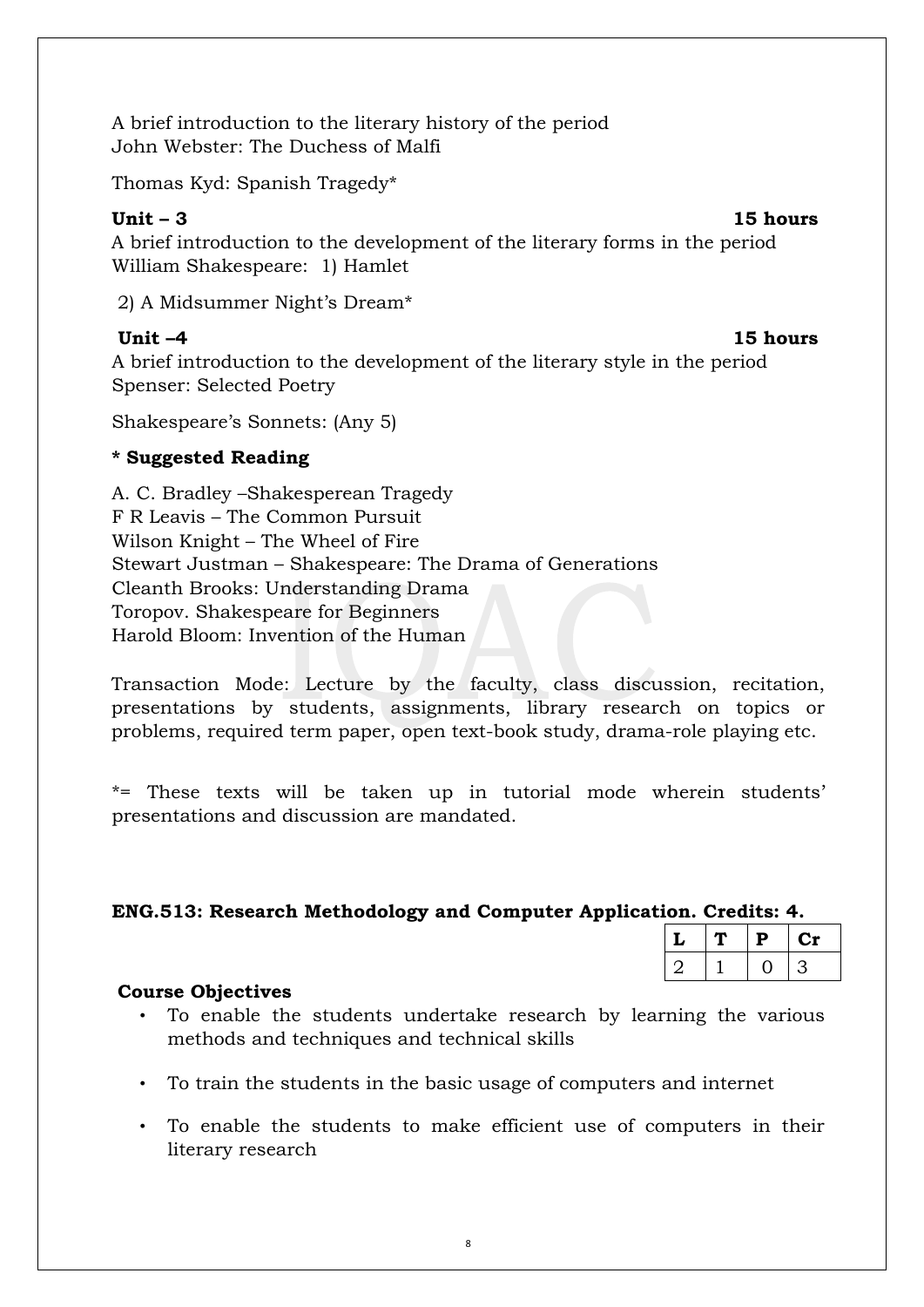A brief introduction to the literary history of the period John Webster: The Duchess of Malfi

Thomas Kyd: Spanish Tragedy\*

**Unit – 3 15 hours** 

A brief introduction to the development of the literary forms in the period William Shakespeare: 1) Hamlet

2) A Midsummer Night's Dream\*

**Unit –4 15 hours** 

A brief introduction to the development of the literary style in the period Spenser: Selected Poetry

Shakespeare's Sonnets: (Any 5)

# **\* Suggested Reading**

A. C. Bradley –Shakesperean Tragedy F R Leavis – The Common Pursuit Wilson Knight – The Wheel of Fire Stewart Justman – Shakespeare: The Drama of Generations Cleanth Brooks: Understanding Drama Toropov. Shakespeare for Beginners Harold Bloom: Invention of the Human

Transaction Mode: Lecture by the faculty, class discussion, recitation, presentations by students, assignments, library research on topics or problems, required term paper, open text-book study, drama-role playing etc.

\*= These texts will be taken up in tutorial mode wherein students' presentations and discussion are mandated.

# **ENG.513: Research Methodology and Computer Application. Credits: 4.**

| L | D | ∿. |
|---|---|----|
|   |   |    |

# **Course Objectives**

- To enable the students undertake research by learning the various methods and techniques and technical skills
- To train the students in the basic usage of computers and internet
- To enable the students to make efficient use of computers in their literary research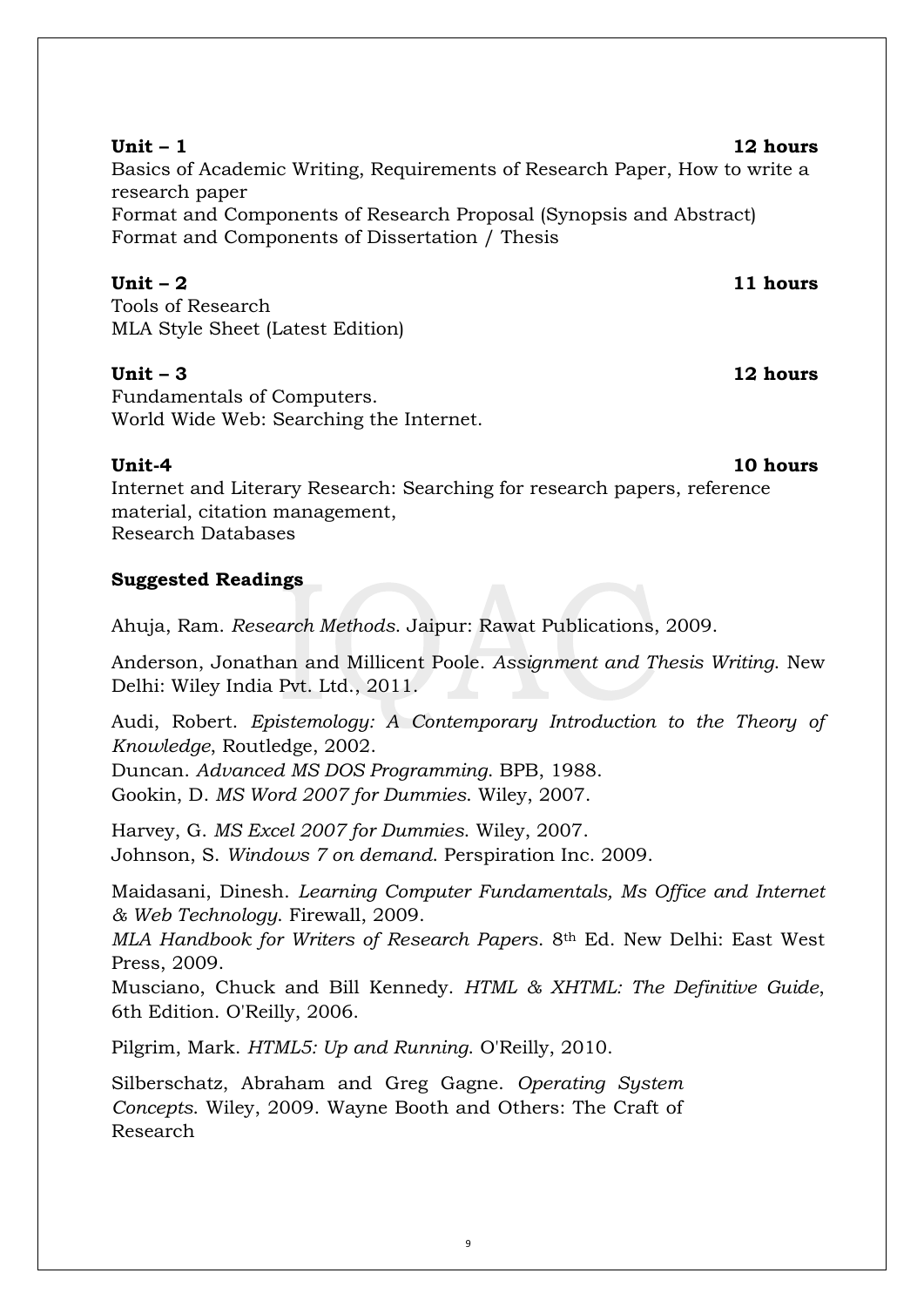Basics of Academic Writing, Requirements of Research Paper, How to write a research paper Format and Components of Research Proposal (Synopsis and Abstract) Format and Components of Dissertation / Thesis

# **Unit – 2 11 hours**

Tools of Research MLA Style Sheet (Latest Edition)

# **Unit – 3 12 hours**

Fundamentals of Computers. World Wide Web: Searching the Internet.

# **Unit-4 10 hours**

Internet and Literary Research: Searching for research papers, reference material, citation management, Research Databases

# **Suggested Readings**

Ahuja, Ram. *Research Methods*. Jaipur: Rawat Publications, 2009.

Anderson, Jonathan and Millicent Poole. *Assignment and Thesis Writing*. New Delhi: Wiley India Pvt. Ltd., 2011.

Audi, Robert. *Epistemology: A Contemporary Introduction to the Theory of Knowledge*, Routledge, 2002.

Duncan. *Advanced MS DOS Programming*. BPB, 1988. Gookin, D. *MS Word 2007 for Dummies*. Wiley, 2007.

Harvey, G. *MS Excel 2007 for Dummies*. Wiley, 2007. Johnson, S. *Windows 7 on demand*. Perspiration Inc. 2009.

Maidasani, Dinesh. *Learning Computer Fundamentals, Ms Office and Internet & Web Technology*. Firewall, 2009.

*MLA Handbook for Writers of Research Papers*. 8th Ed. New Delhi: East West Press, 2009.

Musciano, Chuck and Bill Kennedy. *HTML & XHTML: The Definitive Guide*, 6th Edition. O'Reilly, 2006.

Pilgrim, Mark. *HTML5: Up and Running*. O'Reilly, 2010.

Silberschatz, Abraham and Greg Gagne. *Operating System Concepts*. Wiley, 2009. Wayne Booth and Others: The Craft of Research

### **Unit – 1 12 hours**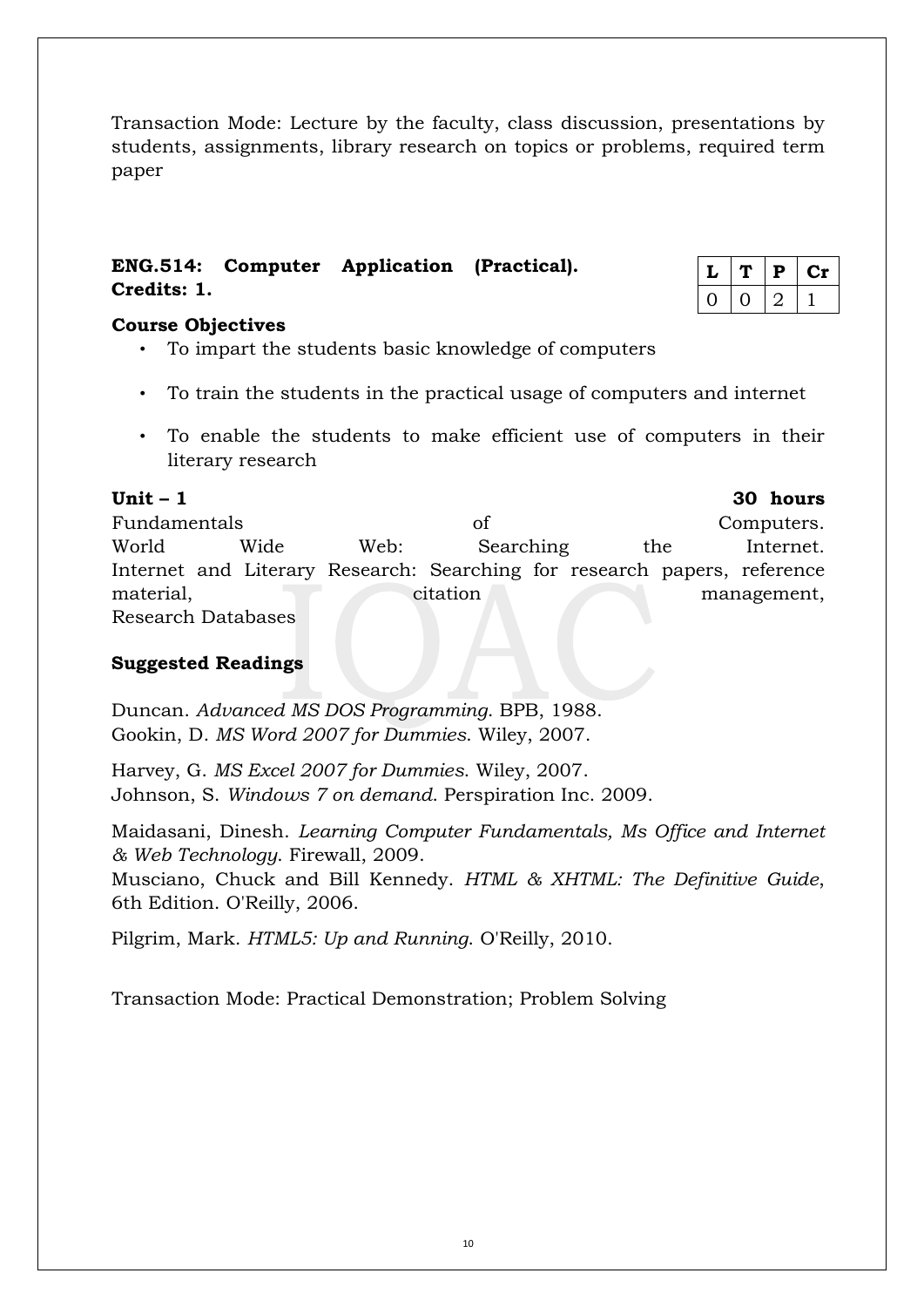Transaction Mode: Lecture by the faculty, class discussion, presentations by students, assignments, library research on topics or problems, required term paper

# **ENG.514: Computer Application (Practical). Credits: 1.**

|  | ₽ | τŅ |
|--|---|----|
|  |   |    |

# **Course Objectives**

- To impart the students basic knowledge of computers
- To train the students in the practical usage of computers and internet
- To enable the students to make efficient use of computers in their literary research

**Unit – 1 30 hours**

Fundamentals of Computers. World Wide Web: Searching the Internet. Internet and Literary Research: Searching for research papers, reference material, citation management, Research Databases

# **Suggested Readings**

Duncan. *Advanced MS DOS Programming*. BPB, 1988. Gookin, D. *MS Word 2007 for Dummies*. Wiley, 2007.

Harvey, G. *MS Excel 2007 for Dummies*. Wiley, 2007. Johnson, S. *Windows 7 on demand*. Perspiration Inc. 2009.

Maidasani, Dinesh. *Learning Computer Fundamentals, Ms Office and Internet & Web Technology*. Firewall, 2009.

Musciano, Chuck and Bill Kennedy. *HTML & XHTML: The Definitive Guide*, 6th Edition. O'Reilly, 2006.

Pilgrim, Mark. *HTML5: Up and Running*. O'Reilly, 2010.

Transaction Mode: Practical Demonstration; Problem Solving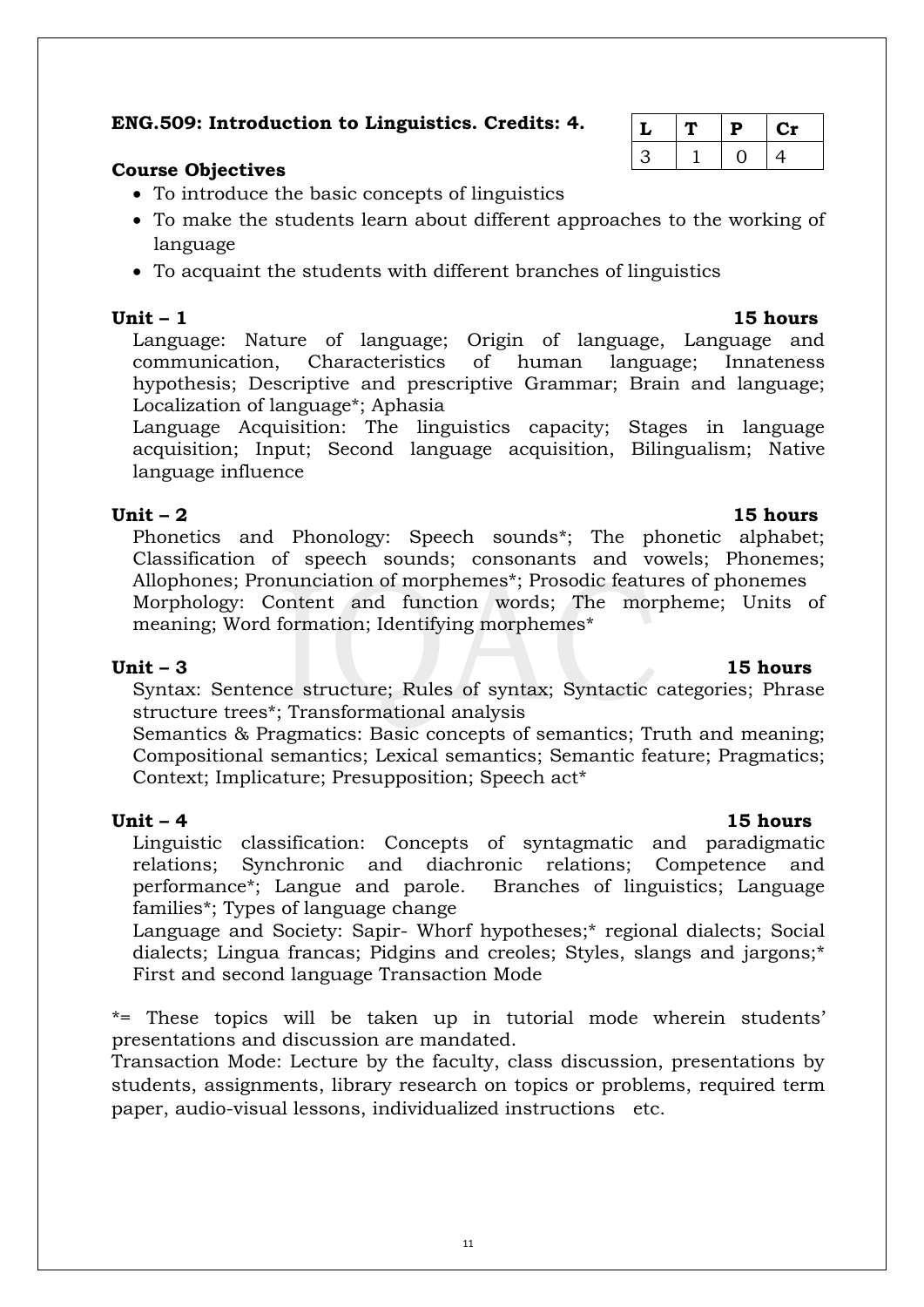# **ENG.509: Introduction to Linguistics. Credits: 4.**

# **Course Objectives**

- To introduce the basic concepts of linguistics
- To make the students learn about different approaches to the working of language
- To acquaint the students with different branches of linguistics

**Unit – 1 15 hours** Language: Nature of language; Origin of language, Language and communication, Characteristics of human language; Innateness hypothesis; Descriptive and prescriptive Grammar; Brain and language; Localization of language\*; Aphasia

Language Acquisition: The linguistics capacity; Stages in language acquisition; Input; Second language acquisition, Bilingualism; Native language influence

### **Unit – 2 15 hours**

Phonetics and Phonology: Speech sounds\*; The phonetic alphabet; Classification of speech sounds; consonants and vowels; Phonemes; Allophones; Pronunciation of morphemes\*; Prosodic features of phonemes Morphology: Content and function words; The morpheme; Units of meaning; Word formation; Identifying morphemes\*

### **Unit – 3 15 hours**

Syntax: Sentence structure; Rules of syntax; Syntactic categories; Phrase structure trees\*; Transformational analysis

Semantics & Pragmatics: Basic concepts of semantics; Truth and meaning; Compositional semantics; Lexical semantics; Semantic feature; Pragmatics; Context; Implicature; Presupposition; Speech act\*

# **Unit – 4 15 hours**

Linguistic classification: Concepts of syntagmatic and paradigmatic relations; Synchronic and diachronic relations; Competence and performance\*; Langue and parole. Branches of linguistics; Language families\*; Types of language change

Language and Society: Sapir- Whorf hypotheses;\* regional dialects; Social dialects; Lingua francas; Pidgins and creoles; Styles, slangs and jargons;\* First and second language Transaction Mode

\*= These topics will be taken up in tutorial mode wherein students' presentations and discussion are mandated.

Transaction Mode: Lecture by the faculty, class discussion, presentations by students, assignments, library research on topics or problems, required term paper, audio-visual lessons, individualized instructions etc.

| ↵ | D | 1ت |
|---|---|----|
|   |   | щ  |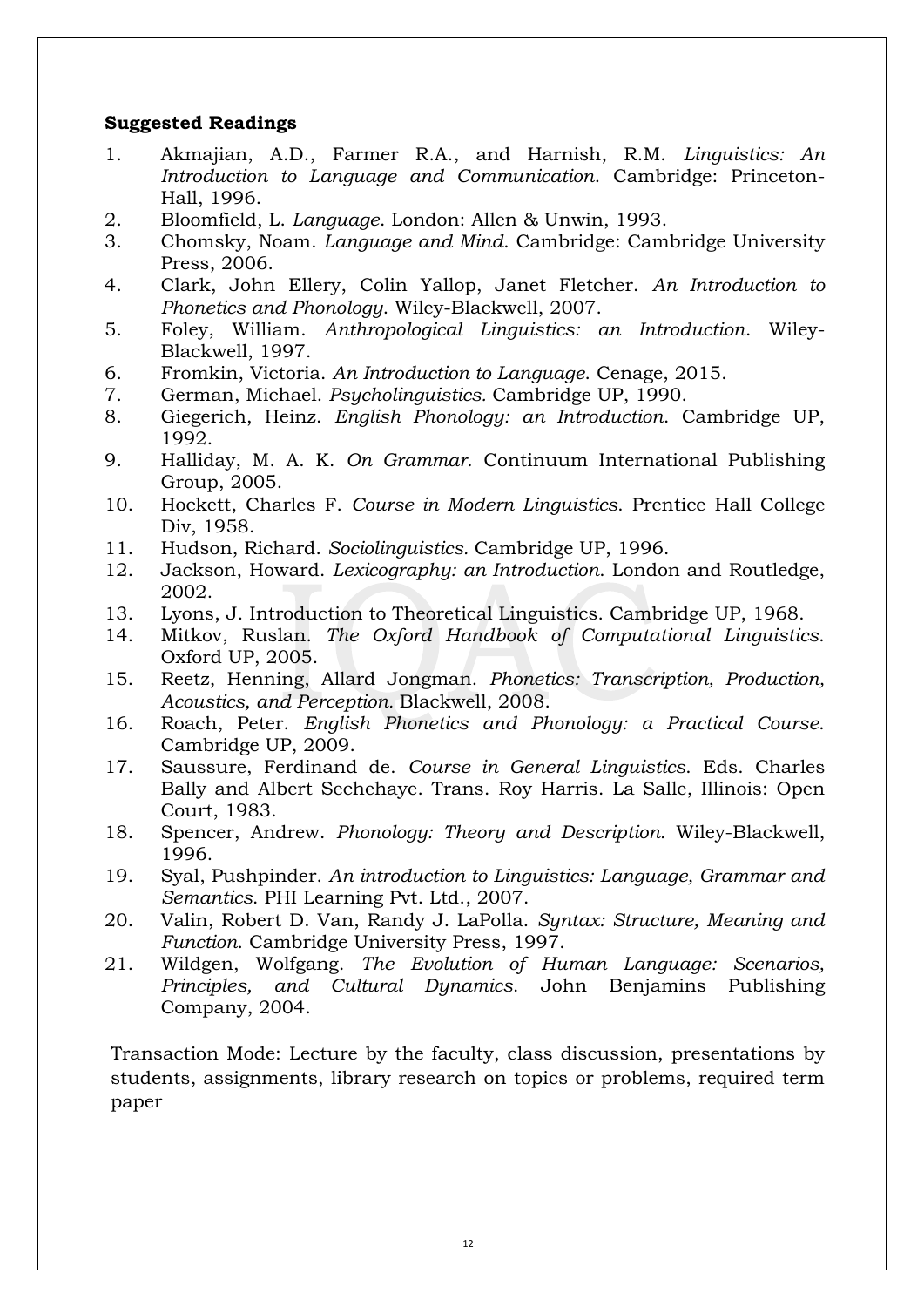# **Suggested Readings**

- 1. Akmajian, A.D., Farmer R.A., and Harnish, R.M. *Linguistics: An Introduction to Language and Communication*. Cambridge: Princeton-Hall, 1996.
- 2. Bloomfield, L. *Language*. London: Allen & Unwin, 1993.
- 3. Chomsky, Noam. *Language and Mind*. Cambridge: Cambridge University Press, 2006.
- 4. Clark, John Ellery, Colin Yallop, Janet Fletcher. *An Introduction to Phonetics and Phonology*. Wiley-Blackwell, 2007.
- 5. Foley, William. *Anthropological Linguistics: an Introduction*. Wiley-Blackwell, 1997.
- 6. Fromkin, Victoria. *An Introduction to Language*. Cenage, 2015.
- 7. German, Michael. *Psycholinguistics.* Cambridge UP, 1990.
- 8. Giegerich, Heinz. *English Phonology: an Introduction*. Cambridge UP, 1992.
- 9. Halliday, M. A. K. *On Grammar*. Continuum International Publishing Group, 2005.
- 10. Hockett, Charles F. *Course in Modern Linguistics*. Prentice Hall College Div, 1958.
- 11. Hudson, Richard. *Sociolinguistics.* Cambridge UP, 1996.
- 12. Jackson, Howard. *Lexicography: an Introduction*. London and Routledge, 2002.
- 13. Lyons, J. Introduction to Theoretical Linguistics. Cambridge UP, 1968.
- 14. Mitkov, Ruslan. *The Oxford Handbook of Computational Linguistics*. Oxford UP, 2005.
- 15. Reetz, Henning, Allard Jongman. *Phonetics: Transcription, Production, Acoustics, and Perception.* Blackwell, 2008.
- 16. Roach, Peter. *English Phonetics and Phonology: a Practical Course*. Cambridge UP, 2009.
- 17. Saussure, Ferdinand de. *Course in General Linguistics*. Eds. Charles Bally and Albert Sechehaye. Trans. Roy Harris. La Salle, Illinois: Open Court, 1983.
- 18. Spencer, Andrew. *Phonology: Theory and Description.* Wiley-Blackwell, 1996.
- 19. Syal, Pushpinder. *An introduction to Linguistics: Language, Grammar and Semantics*. PHI Learning Pvt. Ltd., 2007.
- 20. Valin, Robert D. Van, Randy J. LaPolla. *Syntax: Structure, Meaning and Function*. Cambridge University Press, 1997.
- 21. Wildgen, Wolfgang. *The Evolution of Human Language: Scenarios, Principles, and Cultural Dynamics*. John Benjamins Publishing Company, 2004.

Transaction Mode: Lecture by the faculty, class discussion, presentations by students, assignments, library research on topics or problems, required term paper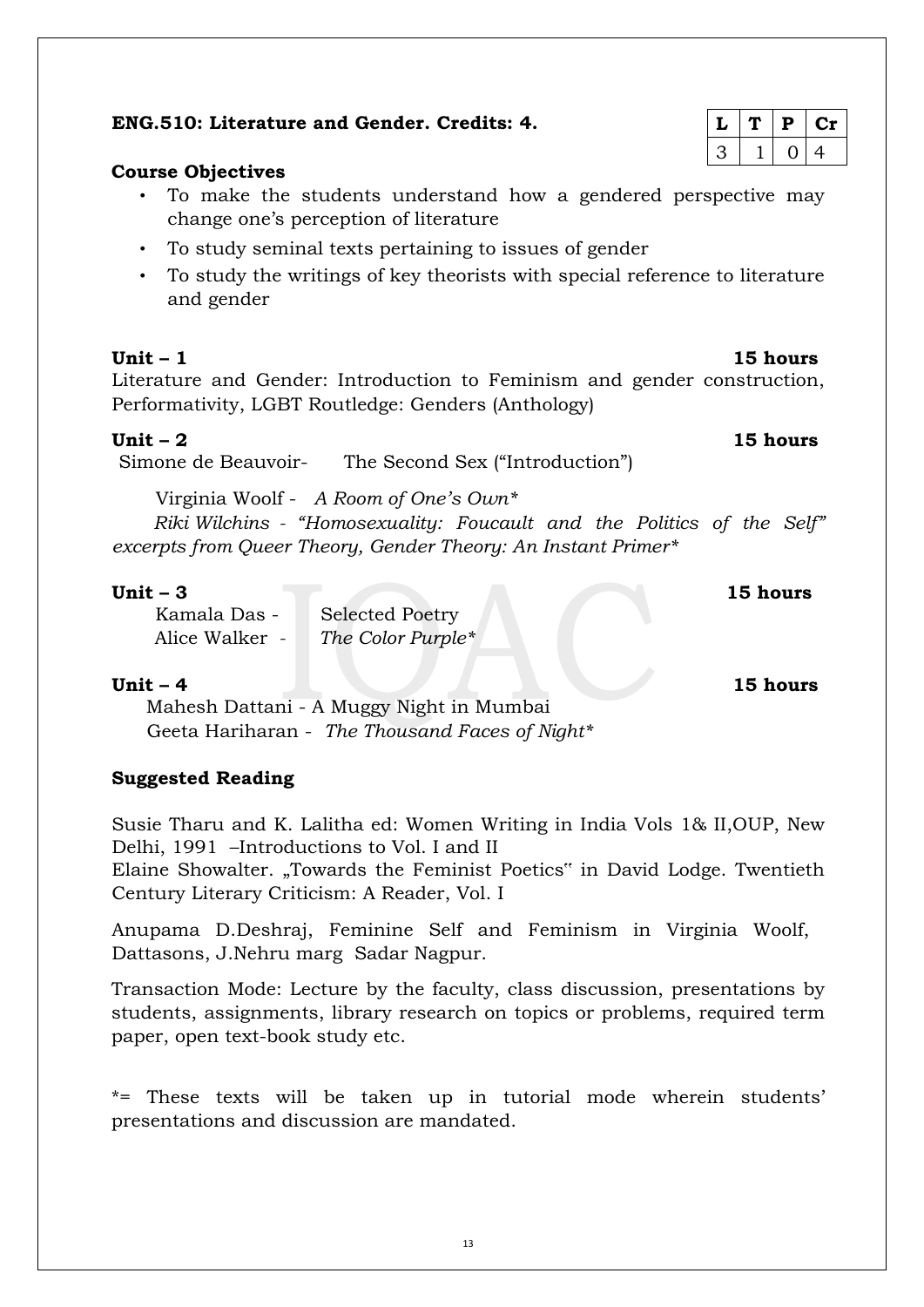# **ENG.510: Literature and Gender. Credits: 4.**

# **Course Objectives**

- To make the students understand how a gendered perspective may change one's perception of literature
- To study seminal texts pertaining to issues of gender
- To study the writings of key theorists with special reference to literature and gender

Literature and Gender: Introduction to Feminism and gender construction, Performativity, LGBT Routledge: Genders (Anthology)

# **Unit – 2 15 hours**

Simone de Beauvoir- The Second Sex ("Introduction")

Virginia Woolf - *A Room of One's Own\** 

*Riki Wilchins - "Homosexuality: Foucault and the Politics of the Self" excerpts from Queer Theory, Gender Theory: An Instant Primer\** 

### **Unit – 3 15 hours**

Kamala Das - Selected Poetry [Alice Walker](http://www.infoplease.com/biography/var/alicewalker.html) *- The Color Purple\** 

## **Unit – 4 15 hours**

Mahesh Dattani - A Muggy Night in Mumbai Geeta Hariharan - *The Thousand Faces of Night\** 

# **Suggested Reading**

Susie Tharu and K. Lalitha ed: Women Writing in India Vols 1& II,OUP, New Delhi, 1991 –Introductions to Vol. I and II

Elaine Showalter. "Towards the Feminist Poetics" in David Lodge. Twentieth Century Literary Criticism: A Reader, Vol. I

Anupama D.Deshraj, Feminine Self and Feminism in Virginia Woolf, Dattasons, J.Nehru marg Sadar Nagpur.

Transaction Mode: Lecture by the faculty, class discussion, presentations by students, assignments, library research on topics or problems, required term paper, open text-book study etc.

\*= These texts will be taken up in tutorial mode wherein students' presentations and discussion are mandated.

# $L | T | P | Cr$  $3 \mid 1 \mid 0 \mid 4$

**Unit – 1 15 hours**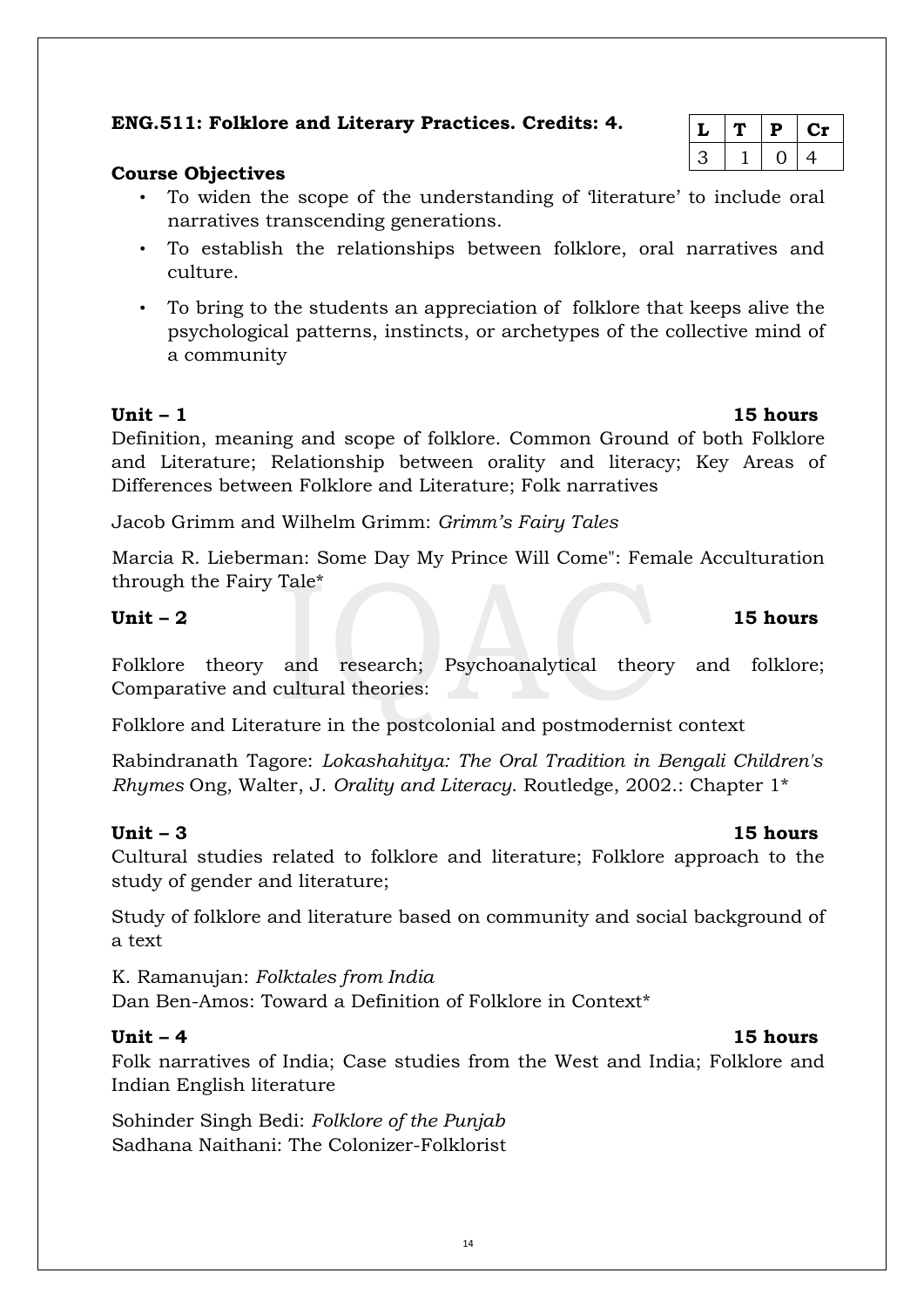# **ENG.511: Folklore and Literary Practices. Credits: 4.**

# **Course Objectives**

- To widen the scope of the understanding of 'literature' to include oral narratives transcending generations.
- To establish the relationships between folklore, oral narratives and culture.
- To bring to the students an appreciation of folklore that keeps alive the psychological patterns, instincts, or archetypes of the collective mind of a community

Definition, meaning and scope of folklore. Common Ground of both Folklore and Literature; Relationship between orality and literacy; Key Areas of Differences between Folklore and Literature; Folk narratives

Jacob Grimm and Wilhelm Grimm: *Grimm's Fairy Tales*

Marcia R. Lieberman: Some Day My Prince Will Come": Female Acculturation through the Fairy Tale\*

# **Unit – 2 15 hours**

Folklore theory and research; Psychoanalytical theory and folklore; Comparative and cultural theories:

Folklore and Literature in the postcolonial and postmodernist context

Rabindranath Tagore: *Lokashahitya: The Oral Tradition in Bengali Children's Rhymes* Ong, Walter, J. *Orality and Literacy*. Routledge, 2002.: Chapter 1\*

Cultural studies related to folklore and literature; Folklore approach to the study of gender and literature;

Study of folklore and literature based on community and social background of a text

K. Ramanujan: *Folktales from India*  Dan Ben-Amos: Toward a Definition of Folklore in Context\*

# **Unit – 4 15 hours**

Folk narratives of India; Case studies from the West and India; Folklore and Indian English literature

Sohinder Singh Bedi: *Folklore of the Punjab*  Sadhana Naithani: The Colonizer-Folklorist

# $L | T | P | Cr$  $3 \mid 1 \mid 0 \mid 4$

# **Unit – 1 15 hours**

# **Unit – 3 15 hours**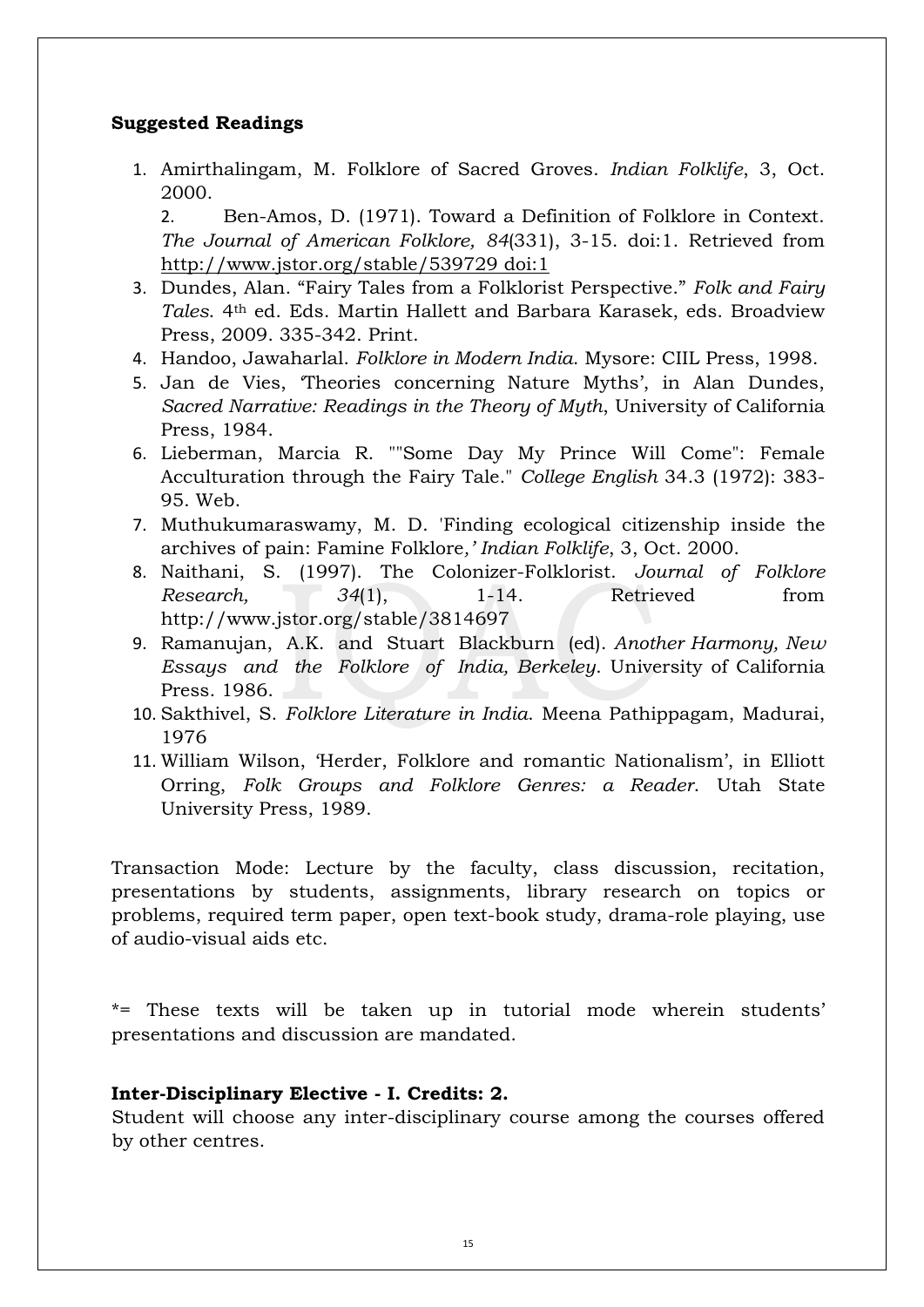# **Suggested Readings**

1. Amirthalingam, M. Folklore of Sacred Groves. *Indian Folklife*, 3, Oct. 2000.

2. Ben-Amos, D. (1971). Toward a Definition of Folklore in Context. *The Journal of American Folklore, 84*(331), 3-15. doi:1. Retrieved from [http://www.jstor.org/stable/539729 doi:1](http://www.jstor.org/stable/539729%20doi:1)

- 3. Dundes, Alan. "Fairy Tales from a Folklorist Perspective." *Folk and Fairy Tales*. 4th ed. Eds. Martin Hallett and Barbara Karasek, eds. Broadview Press, 2009. 335-342. Print.
- 4. Handoo, Jawaharlal. *Folklore in Modern India*. Mysore: CIIL Press, 1998.
- 5. Jan de Vies, 'Theories concerning Nature Myths', in Alan Dundes, *Sacred Narrative: Readings in the Theory of Myth*, University of California Press, 1984.
- 6. Lieberman, Marcia R. ""Some Day My Prince Will Come": Female Acculturation through the Fairy Tale." *College English* 34.3 (1972): 383- 95. Web.
- 7. Muthukumaraswamy, M. D. 'Finding ecological citizenship inside the archives of pain: Famine Folklore*,' Indian Folklife*, 3, Oct. 2000.
- 8. Naithani, S. (1997). The Colonizer-Folklorist. *Journal of Folklore Research,* 34(1), 1-14. Retrieved from http://www.jstor.org/stable/3814697
- 9. Ramanujan, A.K. and Stuart Blackburn (ed). *Another Harmony, New Essays and the Folklore of India, Berkeley*. University of California Press. 1986.
- 10. Sakthivel, S. *Folklore Literature in India*. Meena Pathippagam, Madurai, 1976
- 11. William Wilson, 'Herder, Folklore and romantic Nationalism', in Elliott Orring, *Folk Groups and Folklore Genres: a Reader*. Utah State University Press, 1989.

Transaction Mode: Lecture by the faculty, class discussion, recitation, presentations by students, assignments, library research on topics or problems, required term paper, open text-book study, drama-role playing, use of audio-visual aids etc.

\*= These texts will be taken up in tutorial mode wherein students' presentations and discussion are mandated.

### **Inter-Disciplinary Elective - I. Credits: 2.**

Student will choose any inter-disciplinary course among the courses offered by other centres.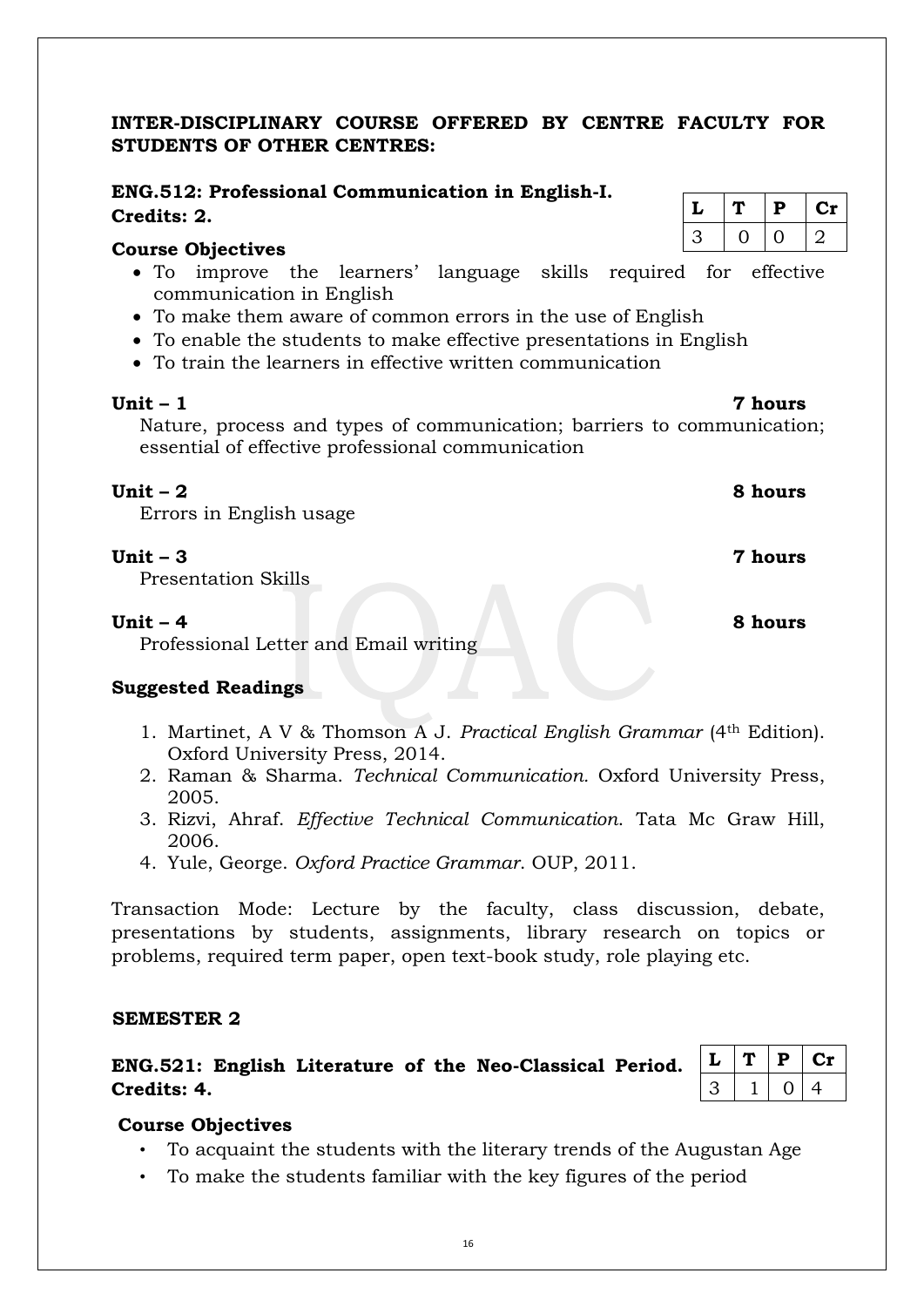# **INTER-DISCIPLINARY COURSE OFFERED BY CENTRE FACULTY FOR STUDENTS OF OTHER CENTRES:**

# **ENG.512: Professional Communication in English-I. Credits: 2.**

### **Course Objectives**

- To improve the learners' language skills required for effective communication in English
- To make them aware of common errors in the use of English
- To enable the students to make effective presentations in English
- To train the learners in effective written communication

### **Unit – 1 7 hours**

Nature, process and types of communication; barriers to communication; essential of effective professional communication

### **Unit – 2 8 hours**

Errors in English usage

# **Unit – 3 7 hours**

Presentation Skills

# **Unit – 4 8 hours**

Professional Letter and Email writing

# **Suggested Readings**

- 1. Martinet, A V & Thomson A J. *Practical English Grammar* (4th Edition). Oxford University Press, 2014.
- 2. Raman & Sharma. *Technical Communication.* Oxford University Press, 2005.
- 3. Rizvi, Ahraf. *Effective Technical Communication*. Tata Mc Graw Hill, 2006.
- 4. Yule, George. *Oxford Practice Grammar*. OUP, 2011.

Transaction Mode: Lecture by the faculty, class discussion, debate, presentations by students, assignments, library research on topics or problems, required term paper, open text-book study, role playing etc.

### **SEMESTER 2**

# **ENG.521: English Literature of the Neo-Classical Period. Credits: 4.**

|  | D | ا د |
|--|---|-----|
|  |   | ′⊥  |

# **Course Objectives**

- To acquaint the students with the literary trends of the Augustan Age
- To make the students familiar with the key figures of the period

| L | Р | U1 |
|---|---|----|
| 3 |   |    |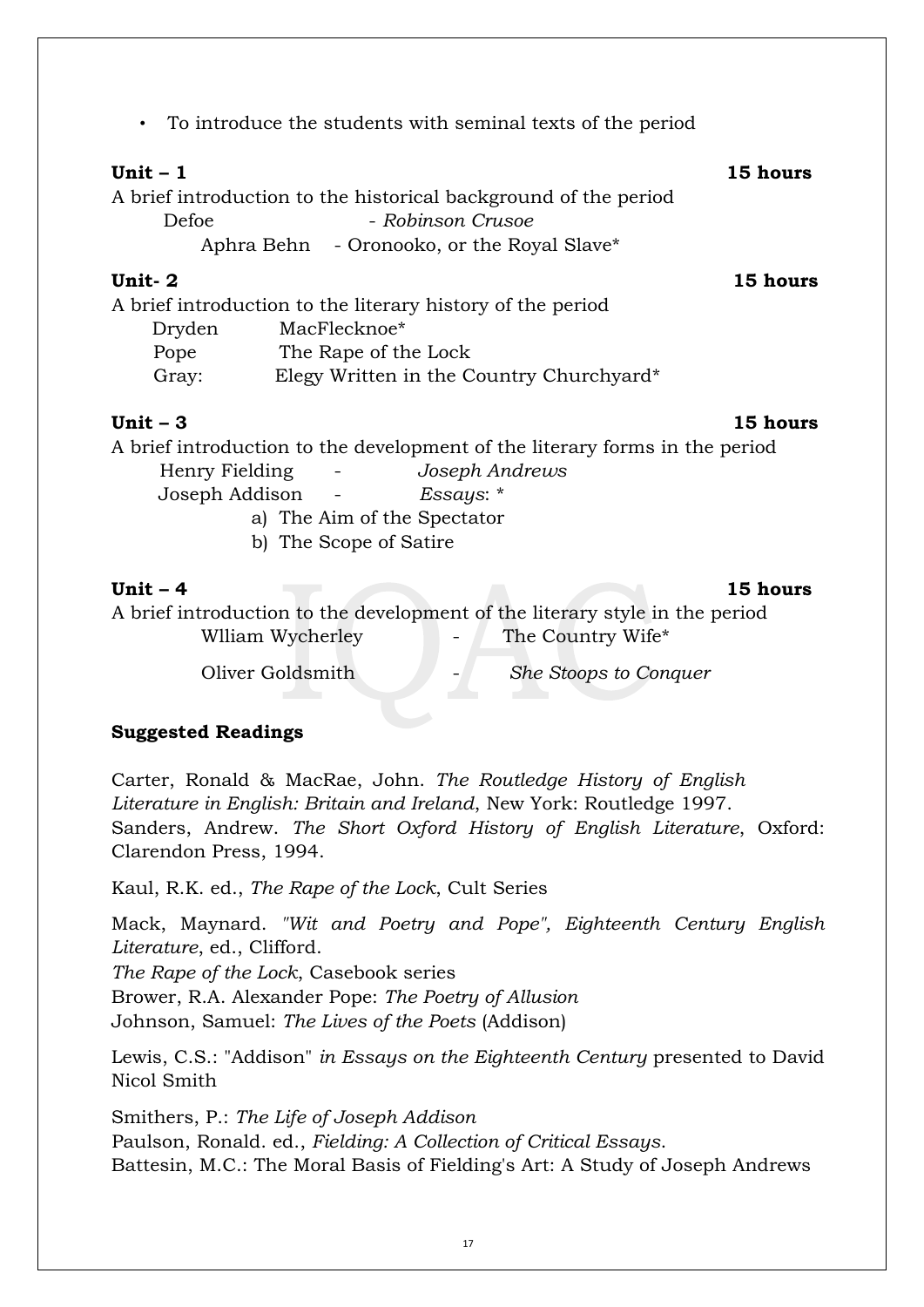• To introduce the students with seminal texts of the period

# **Unit – 1 15 hours**

A brief introduction to the historical background of the period

Defoe - *Robinson Crusoe* 

Aphra Behn - Oronooko, or the Royal Slave\*

# **Unit- 2 15 hours**

|        | A brief introduction to the literary history of the period |
|--------|------------------------------------------------------------|
| Dryden | MacFlecknoe*                                               |
| Pope   | The Rape of the Lock                                       |
| Gray:  | Elegy Written in the Country Churchyard*                   |

# **Unit – 3 15 hours**

A brief introduction to the development of the literary forms in the period

 Henry Fielding - *Joseph Andrews* Joseph Addison - *Essays*: \* a) The Aim of the Spectator

b) The Scope of Satire

**Unit – 4 15 hours**  A brief introduction to the development of the literary style in the period William Wycherley - The Country Wife\*

# Oliver Goldsmith - *She Stoops to Conquer*

# **Suggested Readings**

Carter, Ronald & MacRae, John. *The Routledge History of English Literature in English: Britain and Ireland*, New York: Routledge 1997. Sanders, Andrew. *The Short Oxford History of English Literature*, Oxford: Clarendon Press, 1994.

Kaul, R.K. ed., *The Rape of the Lock*, Cult Series

Mack, Maynard. *"Wit and Poetry and Pope", Eighteenth Century English Literature*, ed., Clifford.

*The Rape of the Lock*, Casebook series

Brower, R.A. Alexander Pope: *The Poetry of Allusion*

Johnson, Samuel: *The Lives of the Poets* (Addison)

Lewis, C.S.: "Addison" *in Essays on the Eighteenth Century* presented to David Nicol Smith

Smithers, P.: *The Life of Joseph Addison* Paulson, Ronald. ed., *Fielding: A Collection of Critical Essays*. Battesin, M.C.: The Moral Basis of Fielding's Art: A Study of Joseph Andrews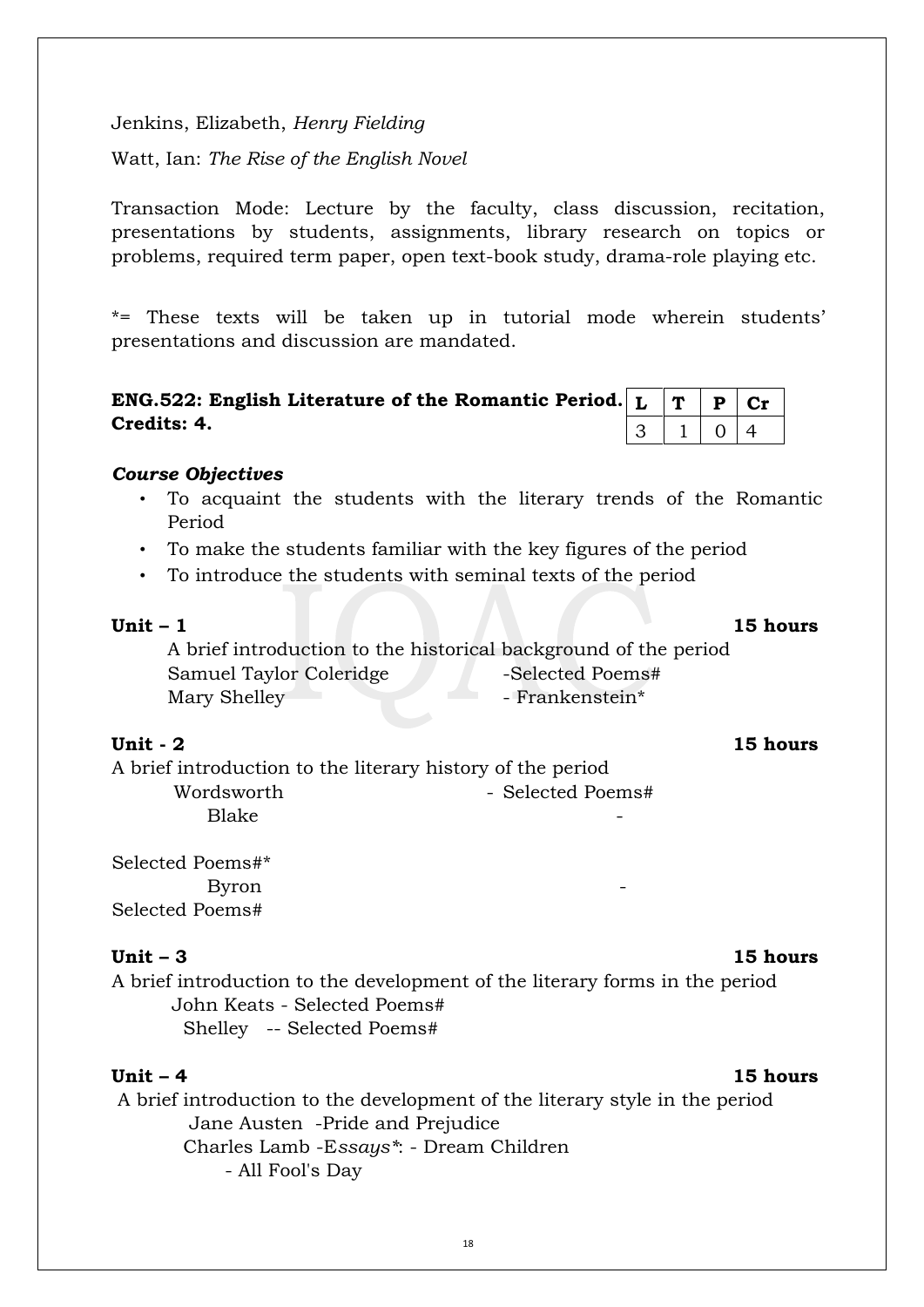Jenkins, Elizabeth, *Henry Fielding*

Watt, Ian: *The Rise of the English Novel* 

Transaction Mode: Lecture by the faculty, class discussion, recitation, presentations by students, assignments, library research on topics or problems, required term paper, open text-book study, drama-role playing etc.

\*= These texts will be taken up in tutorial mode wherein students' presentations and discussion are mandated.

| ENG.522: English Literature of the Romantic Period. $\vert L \vert T \vert P \vert Cr$ |  |                          |  |
|----------------------------------------------------------------------------------------|--|--------------------------|--|
| Credits: 4.                                                                            |  | $3 \mid 1 \mid 0 \mid 4$ |  |

### *Course Objectives*

- To acquaint the students with the literary trends of the Romantic Period
- To make the students familiar with the key figures of the period
- To introduce the students with seminal texts of the period

### **Unit – 1 15 hours**

A brief introduction to the historical background of the period Samuel Taylor Coleridge -Selected Poems# Mary Shelley - Frankenstein\*

### **Unit - 2 15 hours**

A brief introduction to the literary history of the period Wordsworth - Selected Poems# Blake the state of the state of the state of the state of the state of the state of the state of the state of the state of the state of the state of the state of the state of the state of the state of the state of the stat

Selected Poems#\* Byron and the set of  $\sim$ Selected Poems#

### **Unit – 3 15 hours**

A brief introduction to the development of the literary forms in the period John Keats - Selected Poems# Shelley -- Selected Poems#

### **Unit – 4 15 hours**

A brief introduction to the development of the literary style in the period Jane Austen -Pride and Prejudice Charles Lamb -E*ssays\**: - Dream Children - All Fool's Day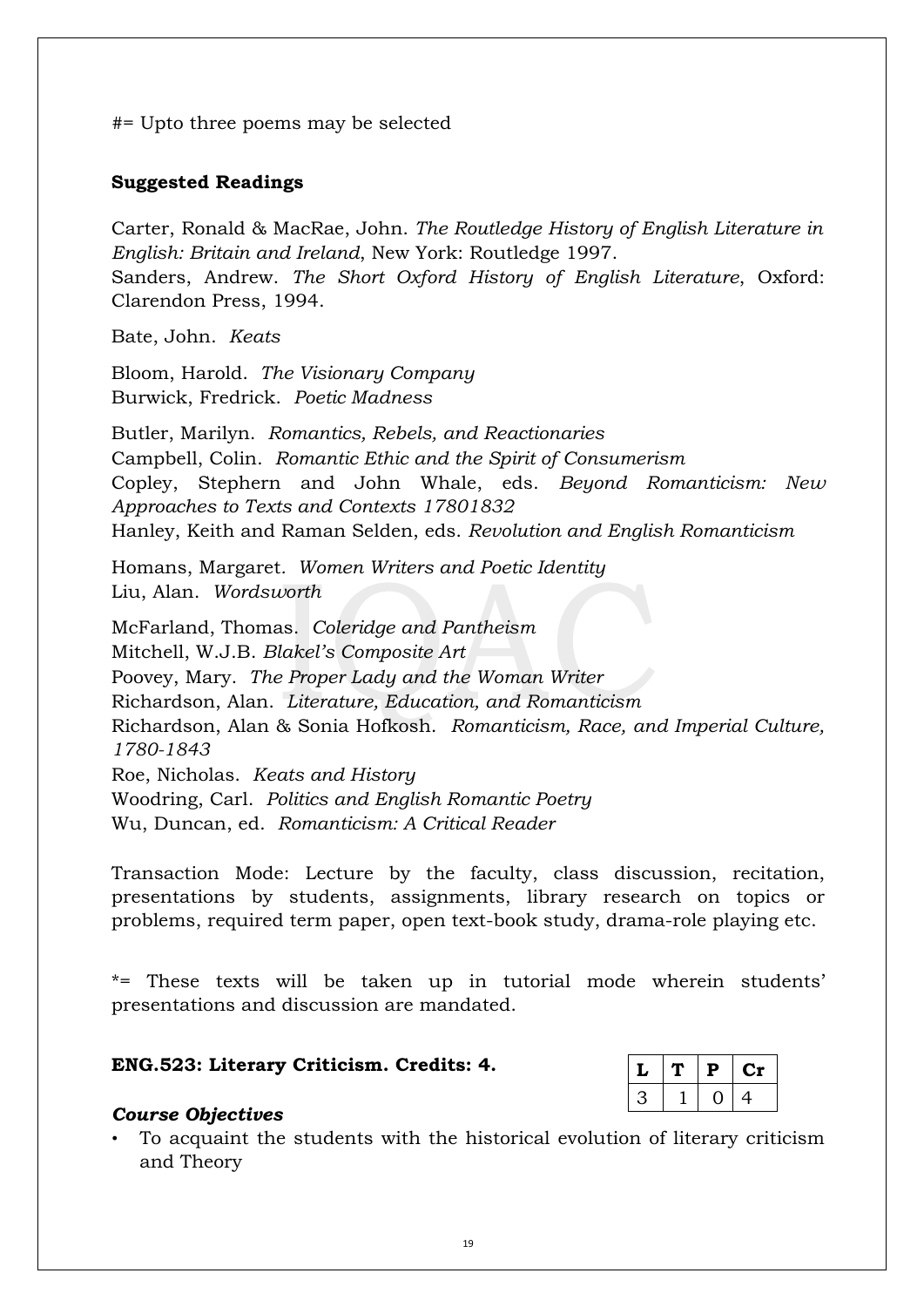#= Upto three poems may be selected

### **Suggested Readings**

Carter, Ronald & MacRae, John. *The Routledge History of English Literature in English: Britain and Ireland*, New York: Routledge 1997. Sanders, Andrew. *The Short Oxford History of English Literature*, Oxford: Clarendon Press, 1994.

Bate, John. *Keats*

Bloom, Harold. *The Visionary Company* Burwick, Fredrick. *Poetic Madness*

Butler, Marilyn. *Romantics, Rebels, and Reactionaries* Campbell, Colin. *Romantic Ethic and the Spirit of Consumerism* Copley, Stephern and John Whale, eds. *Beyond Romanticism: New Approaches to Texts and Contexts 17801832* Hanley, Keith and Raman Selden, eds. *Revolution and English Romanticism*

Homans, Margaret*. Women Writers and Poetic Identity* Liu, Alan. *Wordsworth*

McFarland, Thomas. *Coleridge and Pantheism* Mitchell, W.J.B. *Blakel's Composite Art* Poovey, Mary. *The Proper Lady and the Woman Writer* Richardson, Alan. *Literature, Education, and Romanticism* Richardson, Alan & Sonia Hofkosh. *Romanticism, Race, and Imperial Culture, 1780-1843* Roe, Nicholas. *Keats and History* Woodring, Carl. *Politics and English Romantic Poetry* Wu, Duncan, ed. *Romanticism: A Critical Reader*

Transaction Mode: Lecture by the faculty, class discussion, recitation, presentations by students, assignments, library research on topics or problems, required term paper, open text-book study, drama-role playing etc.

\*= These texts will be taken up in tutorial mode wherein students' presentations and discussion are mandated.

### **ENG.523: Literary Criticism. Credits: 4.**

|  | D | U.         |
|--|---|------------|
|  |   | <u>/ L</u> |

### *Course Objectives*

• To acquaint the students with the historical evolution of literary criticism and Theory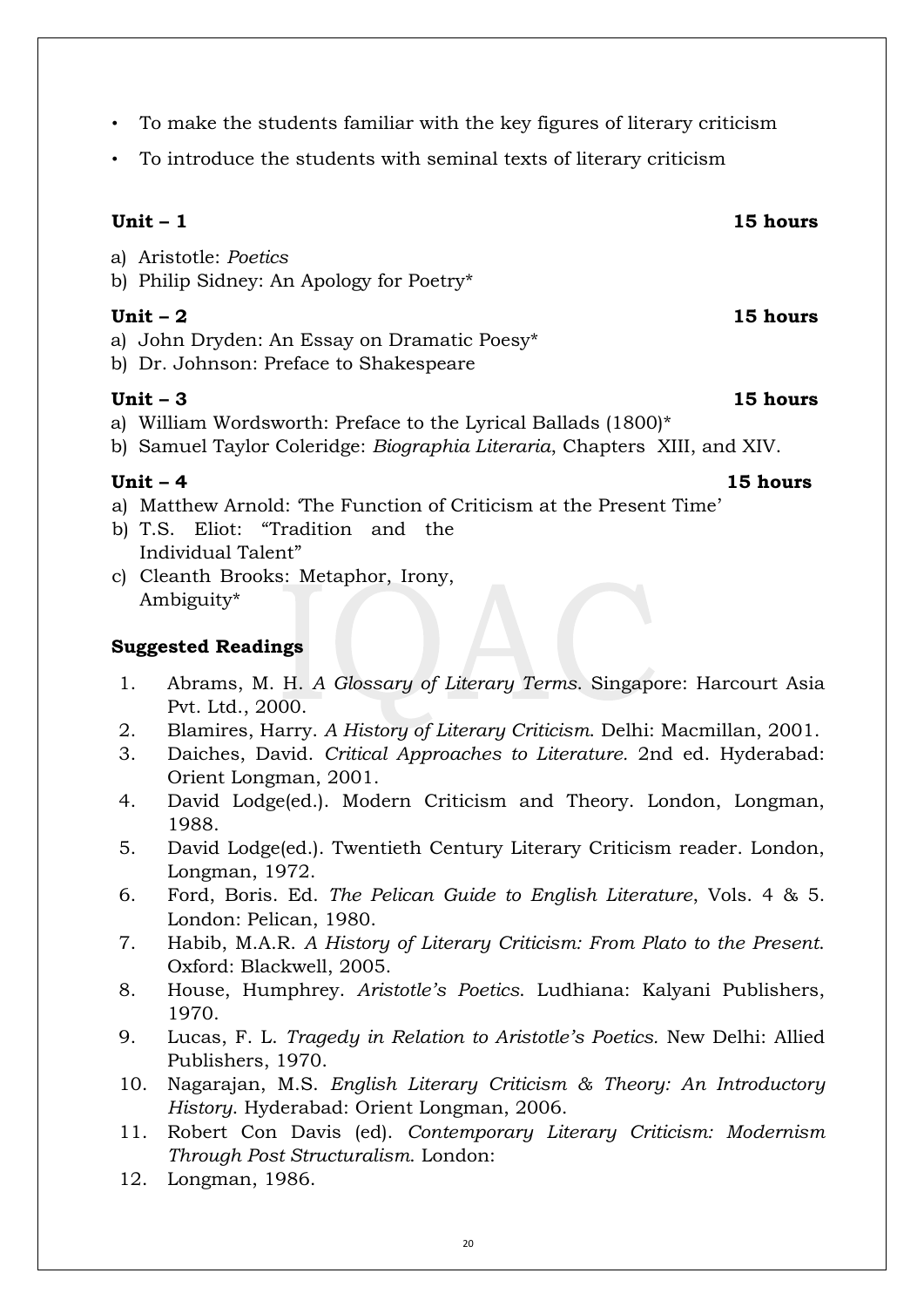- To make the students familiar with the key figures of literary criticism
- To introduce the students with seminal texts of literary criticism

# **Unit – 1 15 hours**

- a) Aristotle: *Poetics*
- b) Philip Sidney: An Apology for Poetry\*

# **Unit – 2 15 hours**

- a) John Dryden: An Essay on Dramatic Poesy\*
- b) Dr. Johnson: Preface to Shakespeare

# **Unit – 3 15 hours**

- a) William Wordsworth: Preface to the Lyrical Ballads (1800)\*
- b) Samuel Taylor Coleridge: *Biographia Literaria*, Chapters XIII, and XIV.

- a) Matthew Arnold: 'The Function of Criticism at the Present Time'
- b) T.S. Eliot: "Tradition and the Individual Talent"
- c) Cleanth Brooks: Metaphor, Irony, Ambiguity\*

# **Suggested Readings**

- 1. Abrams, M. H. *A Glossary of Literary Terms*. Singapore: Harcourt Asia Pvt. Ltd., 2000.
- 2. Blamires, Harry. *A History of Literary Criticism*. Delhi: Macmillan, 2001.
- 3. Daiches, David. *Critical Approaches to Literature.* 2nd ed. Hyderabad: Orient Longman, 2001.
- 4. David Lodge(ed.). Modern Criticism and Theory. London, Longman, 1988.
- 5. David Lodge(ed.). Twentieth Century Literary Criticism reader. London, Longman, 1972.
- 6. Ford, Boris. Ed. *The Pelican Guide to English Literature*, Vols. 4 & 5. London: Pelican, 1980.
- 7. Habib, M.A.R. *A History of Literary Criticism: From Plato to the Present*. Oxford: Blackwell, 2005.
- 8. House, Humphrey. *Aristotle's Poetics*. Ludhiana: Kalyani Publishers, 1970.
- 9. Lucas, F. L. *Tragedy in Relation to Aristotle's Poetics.* New Delhi: Allied Publishers, 1970.
- 10. Nagarajan, M.S. *English Literary Criticism & Theory: An Introductory History*. Hyderabad: Orient Longman, 2006.
- 11. Robert Con Davis (ed). *Contemporary Literary Criticism: Modernism Through Post Structuralism*. London:
- 12. Longman, 1986.

# **Unit – 4 15 hours**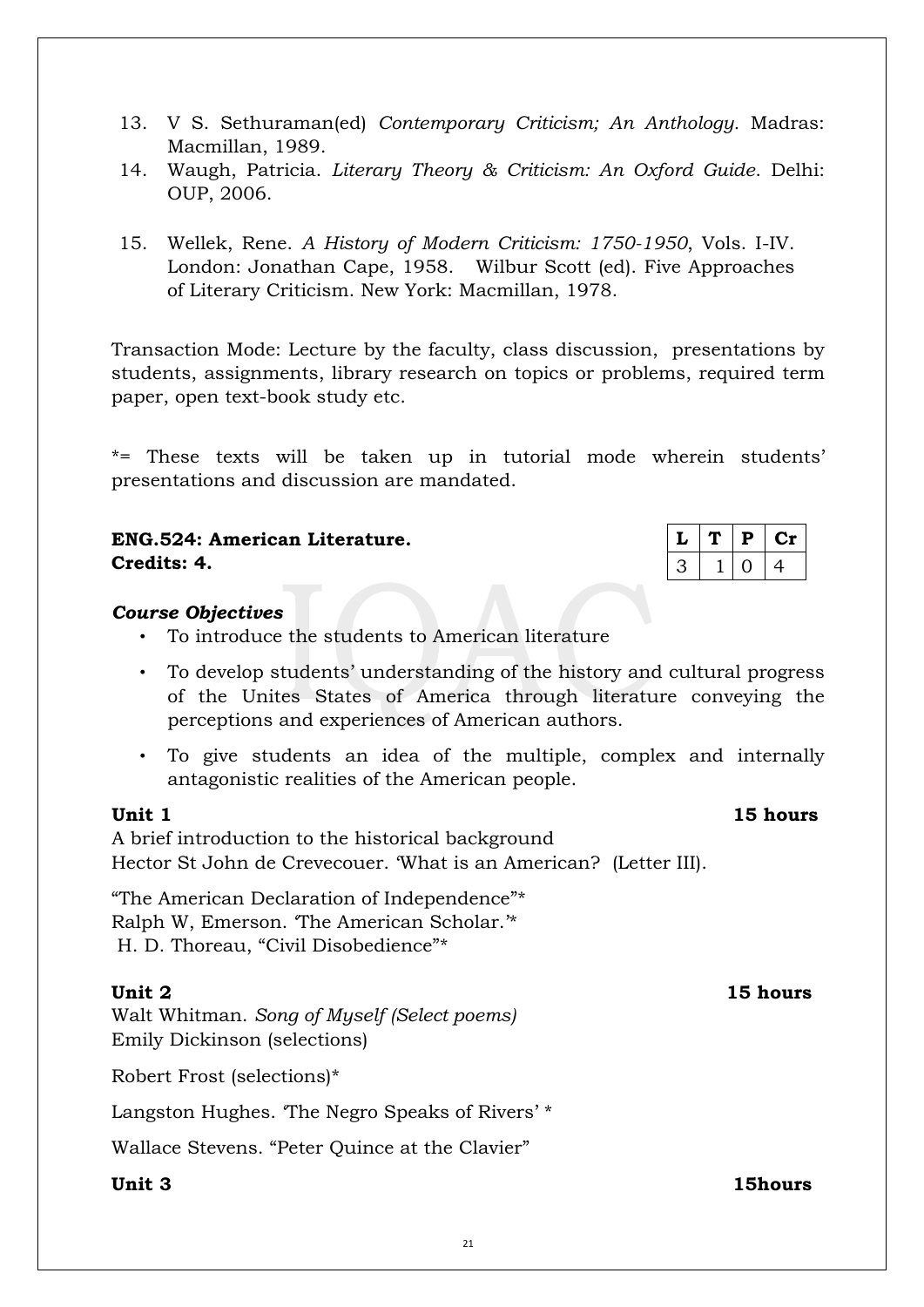- 13. V S. Sethuraman(ed) *Contemporary Criticism; An Anthology.* Madras: Macmillan, 1989.
- 14. Waugh, Patricia. *Literary Theory & Criticism: An Oxford Guide*. Delhi: OUP, 2006.
- 15. Wellek, Rene. *A History of Modern Criticism: 1750-1950*, Vols. I-IV. London: Jonathan Cape, 1958. Wilbur Scott (ed). Five Approaches of Literary Criticism. New York: Macmillan, 1978.

Transaction Mode: Lecture by the faculty, class discussion, presentations by students, assignments, library research on topics or problems, required term paper, open text-book study etc.

\*= These texts will be taken up in tutorial mode wherein students' presentations and discussion are mandated.

# **ENG.524: American Literature. Credits: 4.**

# *Course Objectives*

- To introduce the students to American literature
- To develop students' understanding of the history and cultural progress of the Unites States of America through literature conveying the perceptions and experiences of American authors.
- To give students an idea of the multiple, complex and internally antagonistic realities of the American people.

# **Unit 1** 15 hours

A brief introduction to the historical background Hector St John de Crevecouer. 'What is an American? (Letter III).

"The American Declaration of Independence"\* Ralph W, Emerson. 'The American Scholar.'\* H. D. Thoreau, "Civil Disobedience"\*

# **Unit 2 15 hours**

Walt Whitman. *Song of Myself (Select poems)* Emily Dickinson (selections)

Robert Frost (selections)\*

Langston Hughes. The Negro Speaks of Rivers' \*

Wallace Stevens. "Peter Quince at the Clavier"

| <b>15hours</b> |
|----------------|
|                |

|  | ш. | u In |
|--|----|------|
|  |    | ⊶    |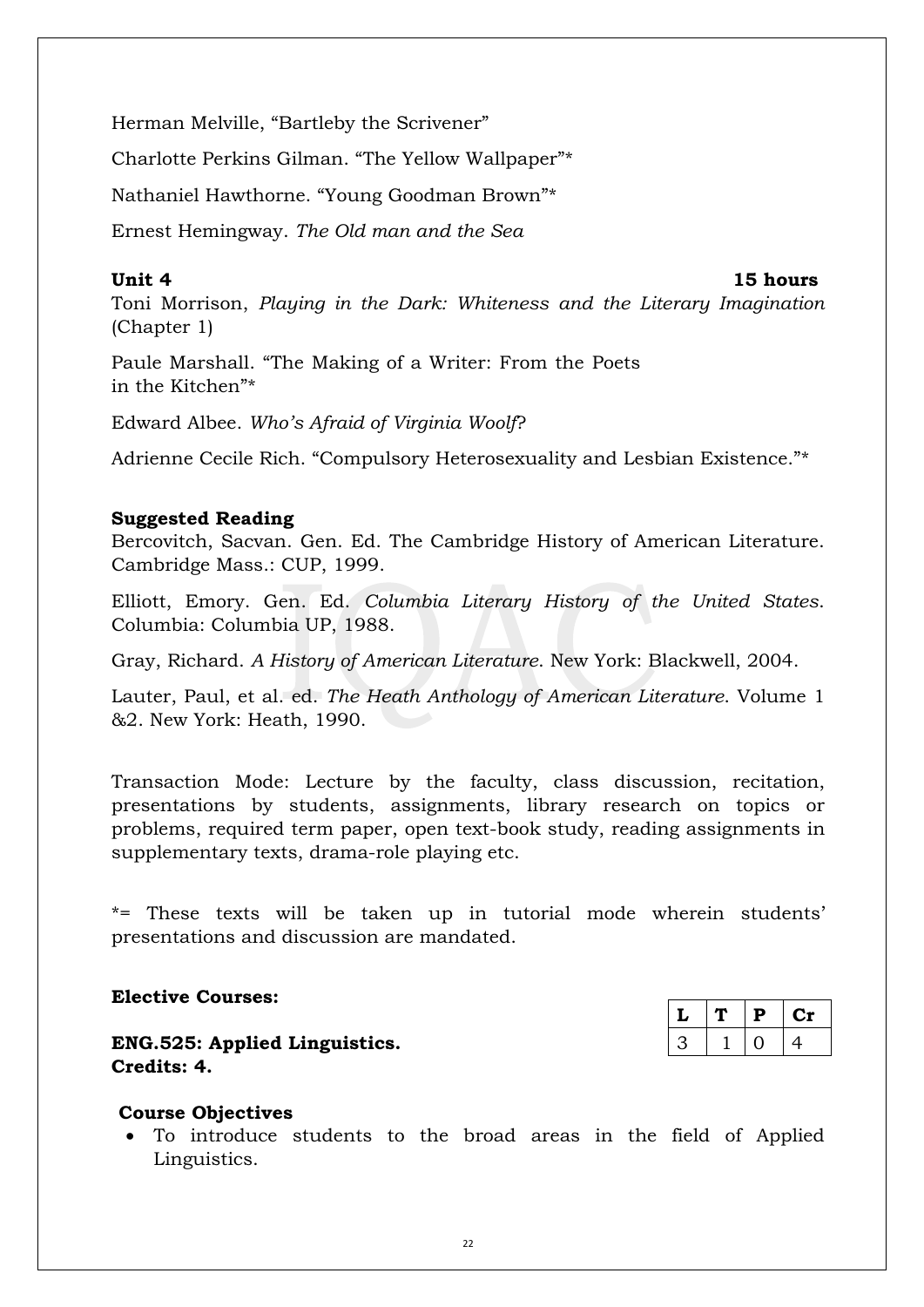Herman Melville, "Bartleby the Scrivener"

Charlotte Perkins Gilman. "The Yellow Wallpaper"\*

Nathaniel Hawthorne. "Young Goodman Brown"\*

Ernest Hemingway. *The Old man and the Sea*

# **Unit 4 15 hours**

Toni Morrison, *Playing in the Dark: Whiteness and the Literary Imagination* (Chapter 1)

Paule Marshall. "The Making of a Writer: From the Poets in the Kitchen"\*

Edward Albee. *Who's Afraid of Virginia Woolf*?

Adrienne Cecile Rich. "Compulsory Heterosexuality and Lesbian Existence."\*

### **Suggested Reading**

Bercovitch, Sacvan. Gen. Ed. The Cambridge History of American Literature. Cambridge Mass.: CUP, 1999.

Elliott, Emory. Gen. Ed. *Columbia Literary History of the United States*. Columbia: Columbia UP, 1988.

Gray, Richard. *A History of American Literature*. New York: Blackwell, 2004.

Lauter, Paul, et al. ed. *The Heath Anthology of American Literature*. Volume 1 &2. New York: Heath, 1990.

Transaction Mode: Lecture by the faculty, class discussion, recitation, presentations by students, assignments, library research on topics or problems, required term paper, open text-book study, reading assignments in supplementary texts, drama-role playing etc.

\*= These texts will be taken up in tutorial mode wherein students' presentations and discussion are mandated.

# **Elective Courses:**

**ENG.525: Applied Linguistics. Credits: 4.**

| مە | Р | U |
|----|---|---|
|    |   | 4 |

# **Course Objectives**

 To introduce students to the broad areas in the field of Applied Linguistics.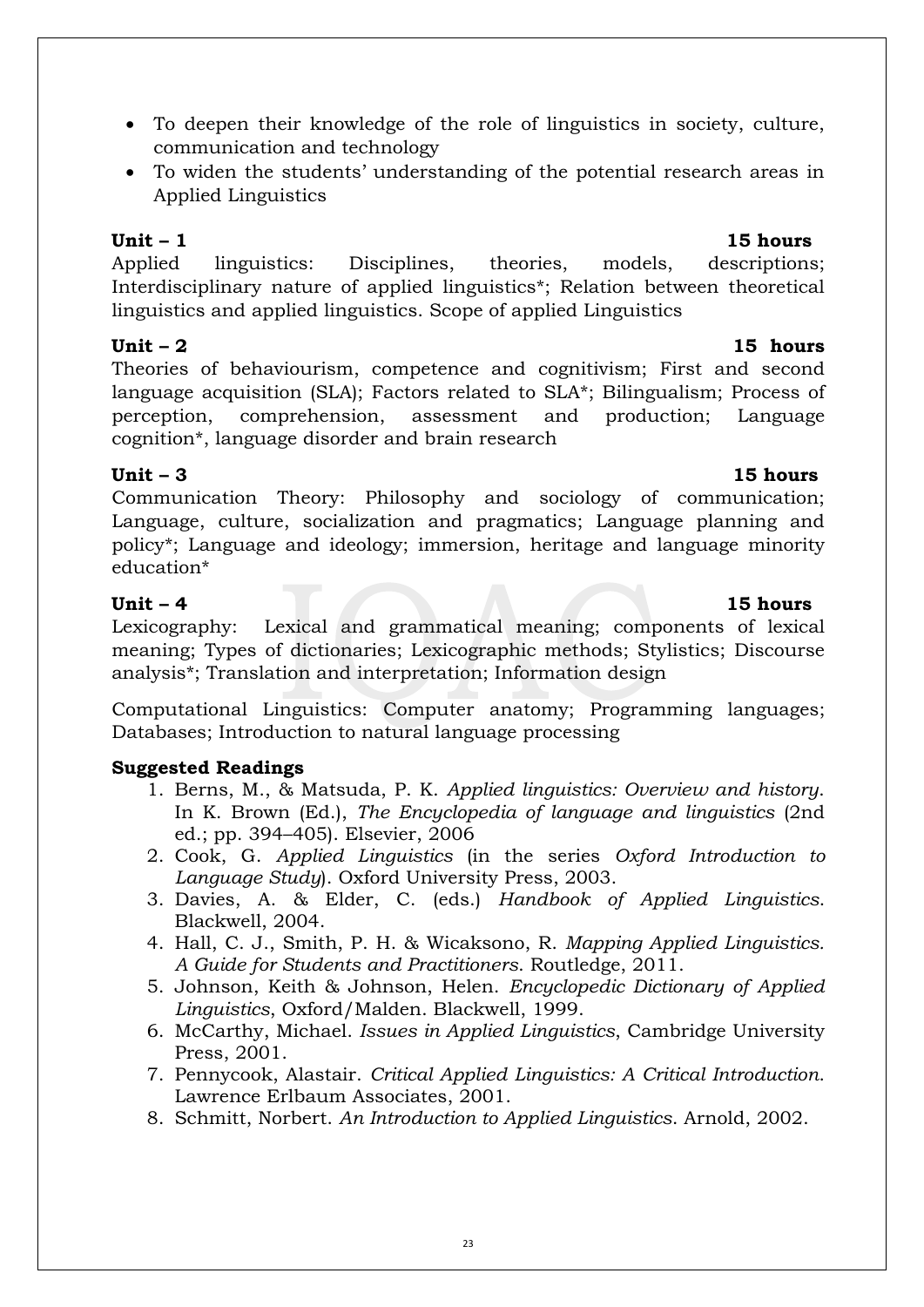- To deepen their knowledge of the role of linguistics in society, culture, communication and technology
- To widen the students' understanding of the potential research areas in Applied Linguistics

# **Unit – 1 15 hours**

Applied linguistics: Disciplines, theories, models, descriptions; Interdisciplinary nature of applied linguistics\*; Relation between theoretical linguistics and applied linguistics. Scope of applied Linguistics

# **Unit – 2 15 hours**

Theories of behaviourism, competence and cognitivism; First and second language acquisition (SLA); Factors related to SLA\*; Bilingualism; Process of perception, comprehension, assessment and production; Language cognition\*, language disorder and brain research

# **Unit – 3 15 hours**

Communication Theory: Philosophy and sociology of communication; Language, culture, socialization and pragmatics; Language planning and policy\*; Language and ideology; immersion, heritage and language minority education\*

# **Unit – 4 15 hours**

Lexicography: Lexical and grammatical meaning; components of lexical meaning; Types of dictionaries; Lexicographic methods; Stylistics; Discourse analysis\*; Translation and interpretation; Information design

Computational Linguistics: Computer anatomy; Programming languages; Databases; Introduction to natural language processing

# **Suggested Readings**

- 1. Berns, M., & Matsuda, P. K. *Applied linguistics: Overview and history*. In K. Brown (Ed.), *The Encyclopedia of language and linguistics* (2nd ed.; pp. 394–405). Elsevier, 2006
- 2. Cook, G. *Applied Linguistics* (in the series *Oxford Introduction to Language Study*). Oxford University Press, 2003.
- 3. Davies, A. & Elder, C. (eds.) *Handbook of Applied Linguistics*. Blackwell, 2004.
- 4. Hall, C. J., Smith, P. H. & Wicaksono, R. *Mapping Applied Linguistics. A Guide for Students and Practitioners*. Routledge, 2011.
- 5. Johnson, Keith & Johnson, Helen. *Encyclopedic Dictionary of Applied Linguistics*, Oxford/Malden. Blackwell, 1999.
- 6. McCarthy, Michael. *Issues in Applied Linguistics*, Cambridge University Press, 2001.
- 7. Pennycook, Alastair. *Critical Applied Linguistics: A Critical Introduction*. Lawrence Erlbaum Associates, 2001.
- 8. Schmitt, Norbert. *An Introduction to Applied Linguistics*. Arnold, 2002.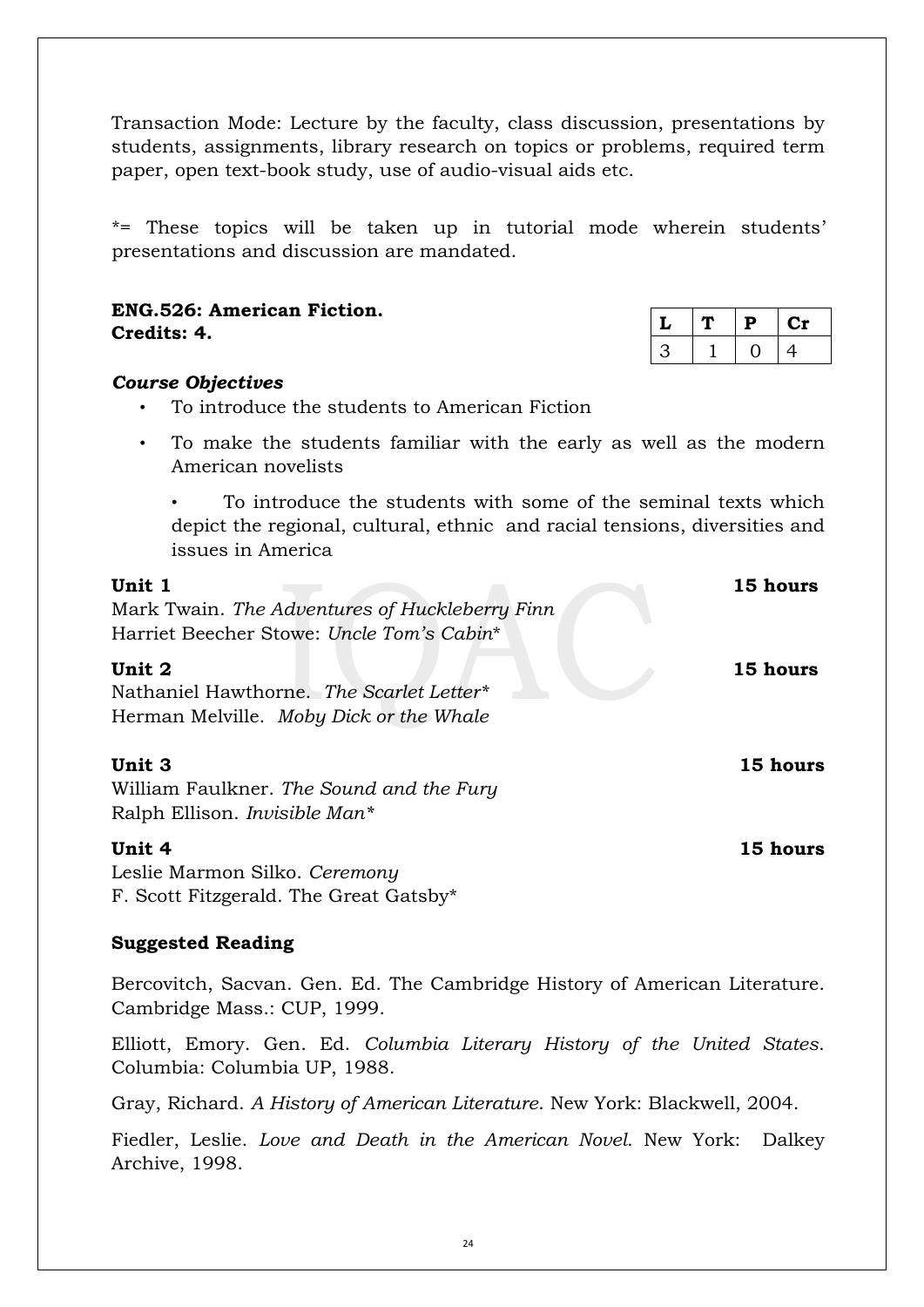Transaction Mode: Lecture by the faculty, class discussion, presentations by students, assignments, library research on topics or problems, required term paper, open text-book study, use of audio-visual aids etc.

\*= These topics will be taken up in tutorial mode wherein students' presentations and discussion are mandated.

|             | <b>ENG.526: American Fiction.</b> |  |
|-------------|-----------------------------------|--|
| Credits: 4. |                                   |  |

|  | D |    |
|--|---|----|
|  |   | Δ. |

# *Course Objectives*

- To introduce the students to American Fiction
- To make the students familiar with the early as well as the modern American novelists

• To introduce the students with some of the seminal texts which depict the regional, cultural, ethnic and racial tensions, diversities and issues in America

| Unit 1<br>Mark Twain. The Adventures of Huckleberry Finn                                                                                   | 15 hours |
|--------------------------------------------------------------------------------------------------------------------------------------------|----------|
| Harriet Beecher Stowe: Uncle Tom's Cabin*<br>Unit 2<br>Nathaniel Hawthorne. The Scarlet Letter*<br>Herman Melville. Moby Dick or the Whale | 15 hours |
| Unit 3<br>William Faulkner. The Sound and the Fury<br>Ralph Ellison. <i>Invisible Man*</i>                                                 | 15 hours |
| Unit 4<br>Leslie Marmon Silko. Ceremony<br>F. Scott Fitzgerald. The Great Gatsby*                                                          | 15 hours |

### **Suggested Reading**

Bercovitch, Sacvan. Gen. Ed. The Cambridge History of American Literature. Cambridge Mass.: CUP, 1999.

Elliott, Emory. Gen. Ed. *Columbia Literary History of the United States*. Columbia: Columbia UP, 1988.

Gray, Richard. *A History of American Literature*. New York: Blackwell, 2004.

Fiedler, Leslie. *Love and Death in the American Novel*. New York: Dalkey Archive, 1998.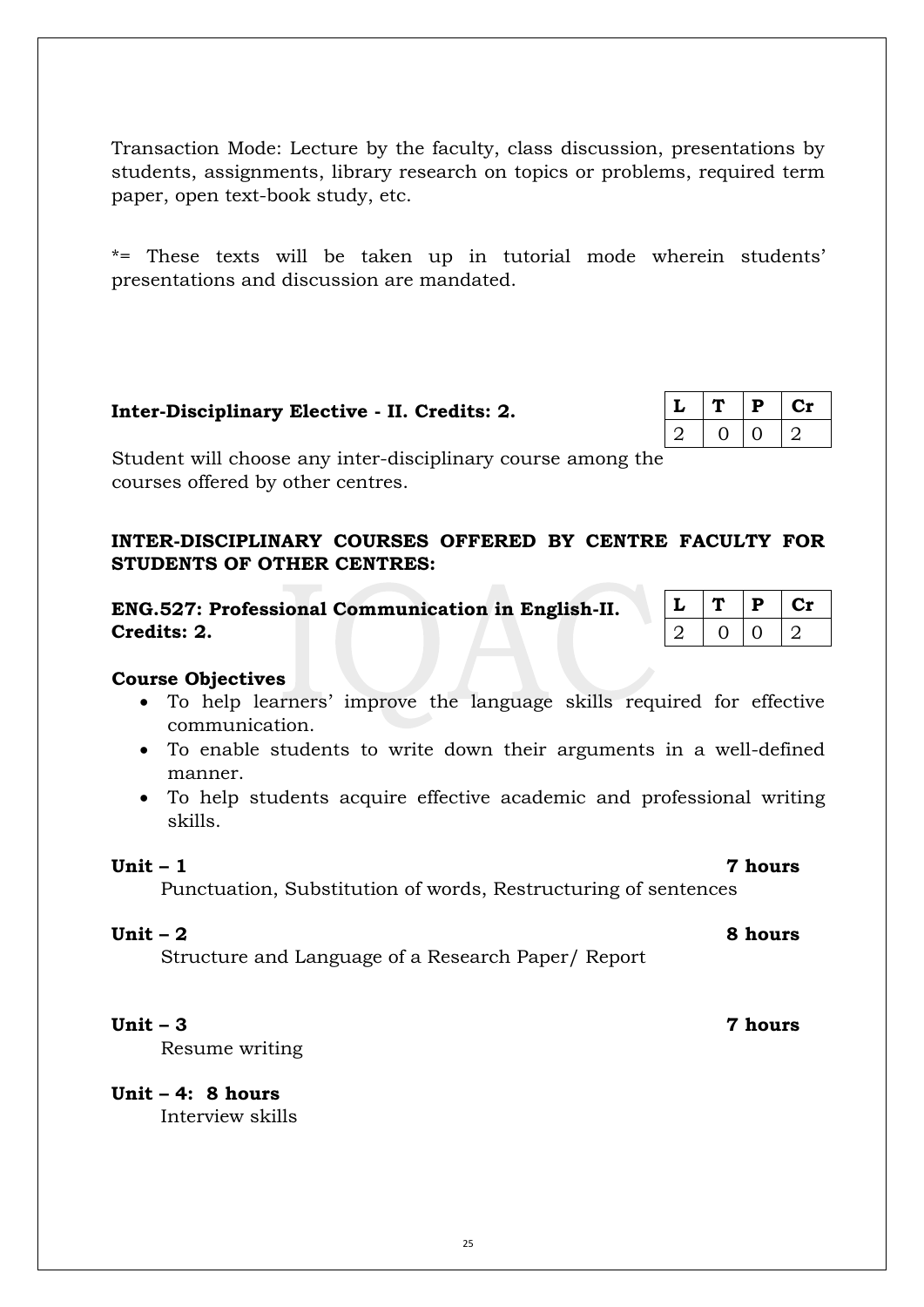Transaction Mode: Lecture by the faculty, class discussion, presentations by students, assignments, library research on topics or problems, required term paper, open text-book study, etc.

\*= These texts will be taken up in tutorial mode wherein students' presentations and discussion are mandated.

# **Inter-Disciplinary Elective - II. Credits: 2.**

Student will choose any inter-disciplinary course among the courses offered by other centres.

# **INTER-DISCIPLINARY COURSES OFFERED BY CENTRE FACULTY FOR STUDENTS OF OTHER CENTRES:**

**ENG.527: Professional Communication in English-II. Credits: 2.** 

|    | D | LТ |
|----|---|----|
| ., |   |    |

# **Course Objectives**

- To help learners' improve the language skills required for effective communication.
- To enable students to write down their arguments in a well-defined manner.
- To help students acquire effective academic and professional writing skills.

### **Unit – 1 7 hours**

Punctuation, Substitution of words, Restructuring of sentences

**Unit – 2 8 hours**

Structure and Language of a Research Paper/ Report

Resume writing

**Unit – 4: 8 hours** Interview skills

|  | Р | نا  |
|--|---|-----|
|  |   | °∠. |

**Unit – 3 7 hours**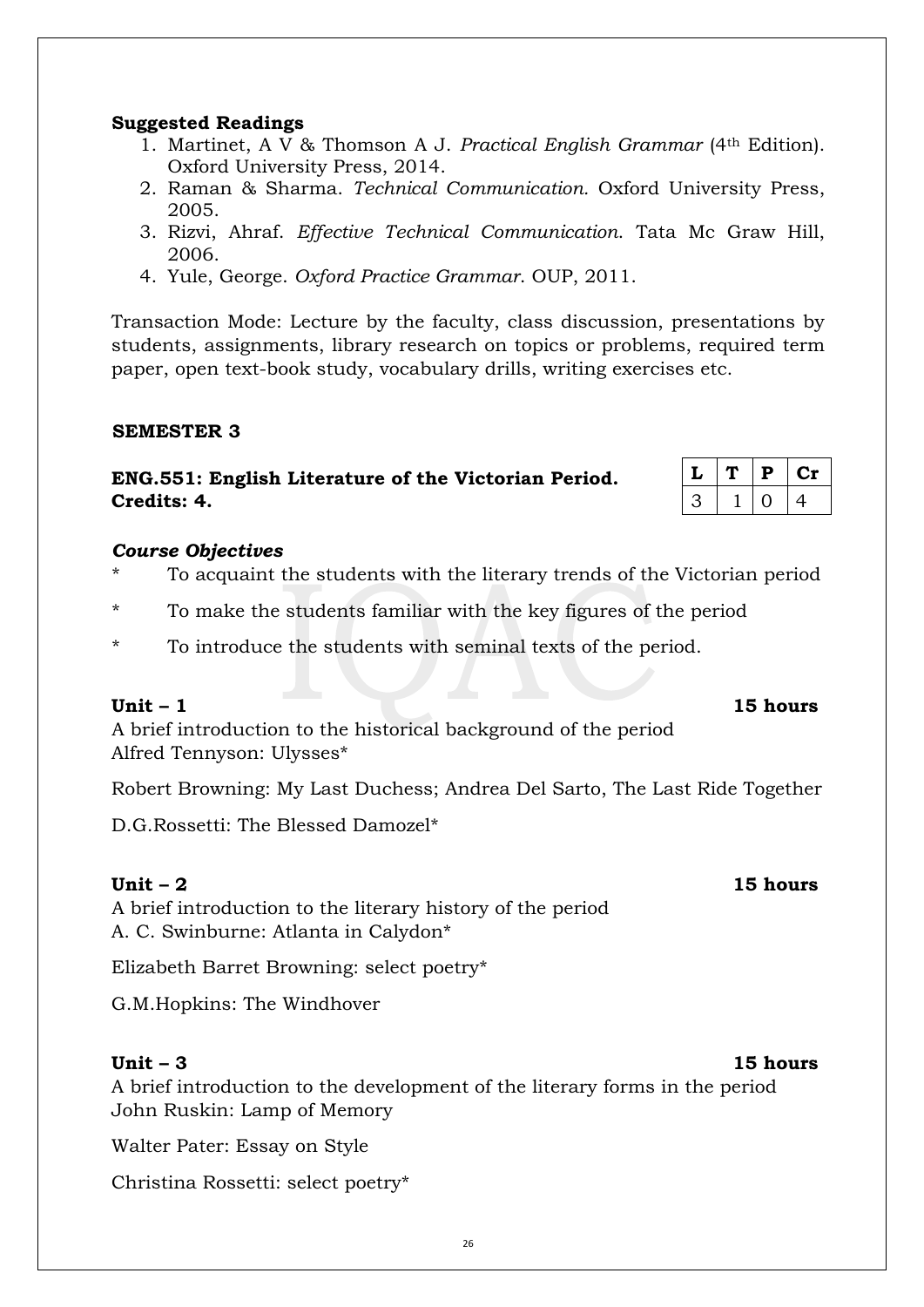# **Suggested Readings**

- 1. Martinet, A V & Thomson A J. *Practical English Grammar* (4th Edition). Oxford University Press, 2014.
- 2. Raman & Sharma. *Technical Communication.* Oxford University Press, 2005.
- 3. Rizvi, Ahraf. *Effective Technical Communication*. Tata Mc Graw Hill, 2006.
- 4. Yule, George. *Oxford Practice Grammar*. OUP, 2011.

Transaction Mode: Lecture by the faculty, class discussion, presentations by students, assignments, library research on topics or problems, required term paper, open text-book study, vocabulary drills, writing exercises etc.

# **SEMESTER 3**

# **ENG.551: English Literature of the Victorian Period. Credits: 4.**

### *Course Objectives*

- To acquaint the students with the literary trends of the Victorian period
- \* To make the students familiar with the key figures of the period
- \* To introduce the students with seminal texts of the period.

A brief introduction to the historical background of the period Alfred Tennyson: Ulysses\*

Robert Browning: My Last Duchess; Andrea Del Sarto, The Last Ride Together

D.G.Rossetti: The Blessed Damozel\*

# **Unit – 2 15 hours**

A brief introduction to the literary history of the period A. C. Swinburne: Atlanta in Calydon\*

Elizabeth Barret Browning: select poetry\*

G.M.Hopkins: The Windhover

**Unit – 3 15 hours**  A brief introduction to the development of the literary forms in the period John Ruskin: Lamp of Memory

Walter Pater: Essay on Style

Christina Rossetti: select poetry\*

|  | Р | . . |
|--|---|-----|
|  |   | 4   |

# **Unit – 1 15 hours**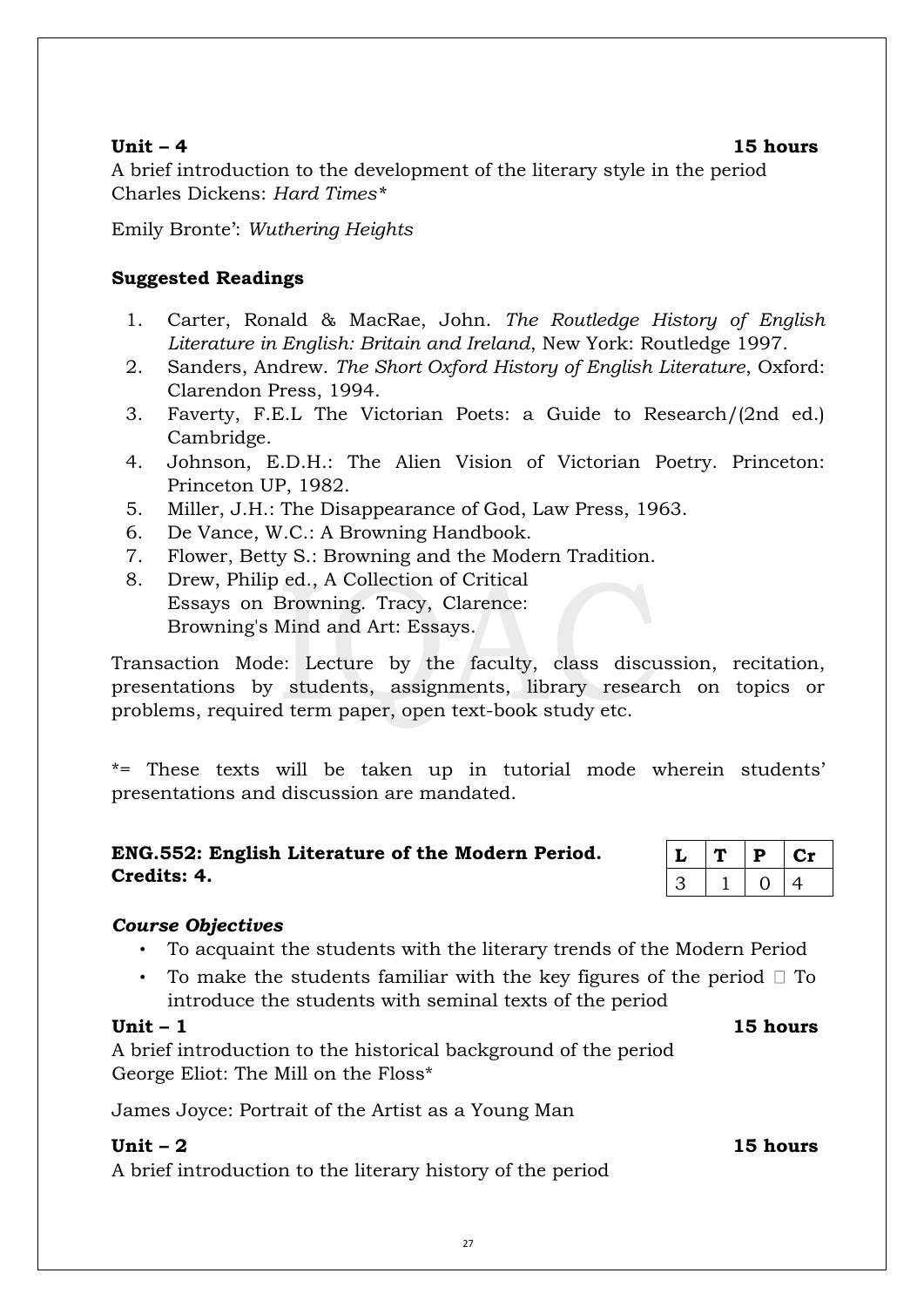### **Unit – 4 15 hours**

A brief introduction to the development of the literary style in the period Charles Dickens: *Hard Times\**

Emily Bronte': *Wuthering Heights*

# **Suggested Readings**

- 1. Carter, Ronald & MacRae, John. *The Routledge History of English Literature in English: Britain and Ireland*, New York: Routledge 1997.
- 2. Sanders, Andrew. *The Short Oxford History of English Literature*, Oxford: Clarendon Press, 1994.
- 3. Faverty, F.E.L The Victorian Poets: a Guide to Research/(2nd ed.) Cambridge.
- 4. Johnson, E.D.H.: The Alien Vision of Victorian Poetry. Princeton: Princeton UP, 1982.
- 5. Miller, J.H.: The Disappearance of God, Law Press, 1963.
- 6. De Vance, W.C.: A Browning Handbook.
- 7. Flower, Betty S.: Browning and the Modern Tradition.
- 8. Drew, Philip ed., A Collection of Critical Essays on Browning. Tracy, Clarence: Browning's Mind and Art: Essays.

Transaction Mode: Lecture by the faculty, class discussion, recitation, presentations by students, assignments, library research on topics or problems, required term paper, open text-book study etc.

\*= These texts will be taken up in tutorial mode wherein students' presentations and discussion are mandated.

# **ENG.552: English Literature of the Modern Period. Credits: 4.**

| L  | Ъ | U1 |
|----|---|----|
| ر، |   | 4  |

# *Course Objectives*

- To acquaint the students with the literary trends of the Modern Period
- To make the students familiar with the key figures of the period  $\Box$  To introduce the students with seminal texts of the period

# **Unit – 1 15 hours**

A brief introduction to the historical background of the period George Eliot: The Mill on the Floss\*

James Joyce: Portrait of the Artist as a Young Man

# **Unit – 2 15 hours**

A brief introduction to the literary history of the period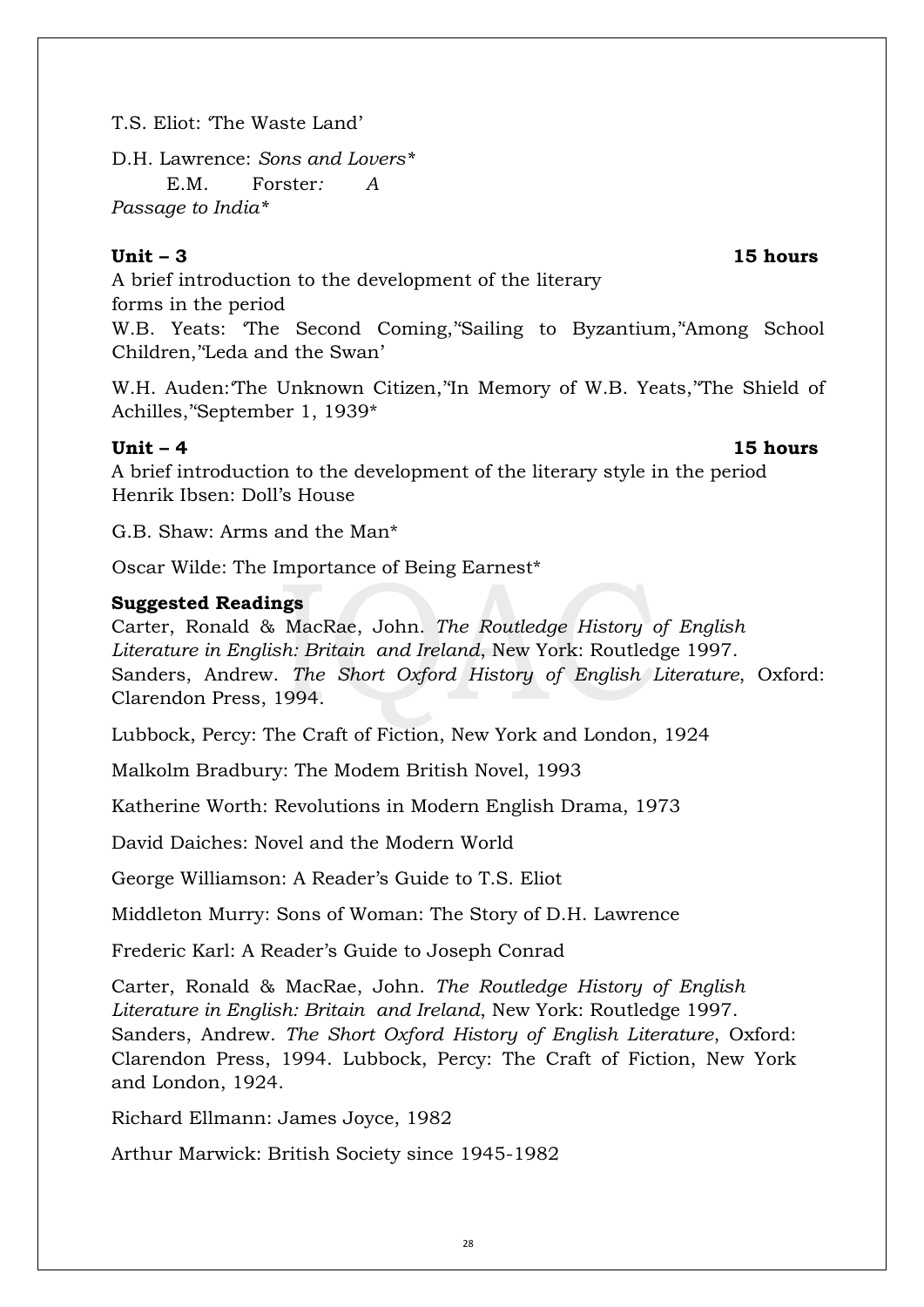T.S. Eliot: 'The Waste Land'

D.H. Lawrence: *Sons and Lovers\**  E.M. Forster*: A Passage to India\** 

# **Unit – 3 15 hours**

A brief introduction to the development of the literary forms in the period W.B. Yeats: 'The Second Coming,''Sailing to Byzantium,''Among School Children,''Leda and the Swan'

W.H. Auden:'The Unknown Citizen,''In Memory of W.B. Yeats,''The Shield of Achilles,''September 1, 1939\*

### **Unit – 4 15 hours**

A brief introduction to the development of the literary style in the period Henrik Ibsen: Doll's House

G.B. Shaw: Arms and the Man\*

Oscar Wilde: The Importance of Being Earnest\*

# **Suggested Readings**

Carter, Ronald & MacRae, John. *The Routledge History of English Literature in English: Britain and Ireland*, New York: Routledge 1997. Sanders, Andrew. *The Short Oxford History of English Literature*, Oxford: Clarendon Press, 1994.

Lubbock, Percy: The Craft of Fiction, New York and London, 1924

Malkolm Bradbury: The Modem British Novel, 1993

Katherine Worth: Revolutions in Modern English Drama, 1973

David Daiches: Novel and the Modern World

George Williamson: A Reader's Guide to T.S. Eliot

Middleton Murry: Sons of Woman: The Story of D.H. Lawrence

Frederic Karl: A Reader's Guide to Joseph Conrad

Carter, Ronald & MacRae, John. *The Routledge History of English Literature in English: Britain and Ireland*, New York: Routledge 1997. Sanders, Andrew. *The Short Oxford History of English Literature*, Oxford: Clarendon Press, 1994. Lubbock, Percy: The Craft of Fiction, New York and London, 1924.

Richard Ellmann: James Joyce, 1982

Arthur Marwick: British Society since 1945-1982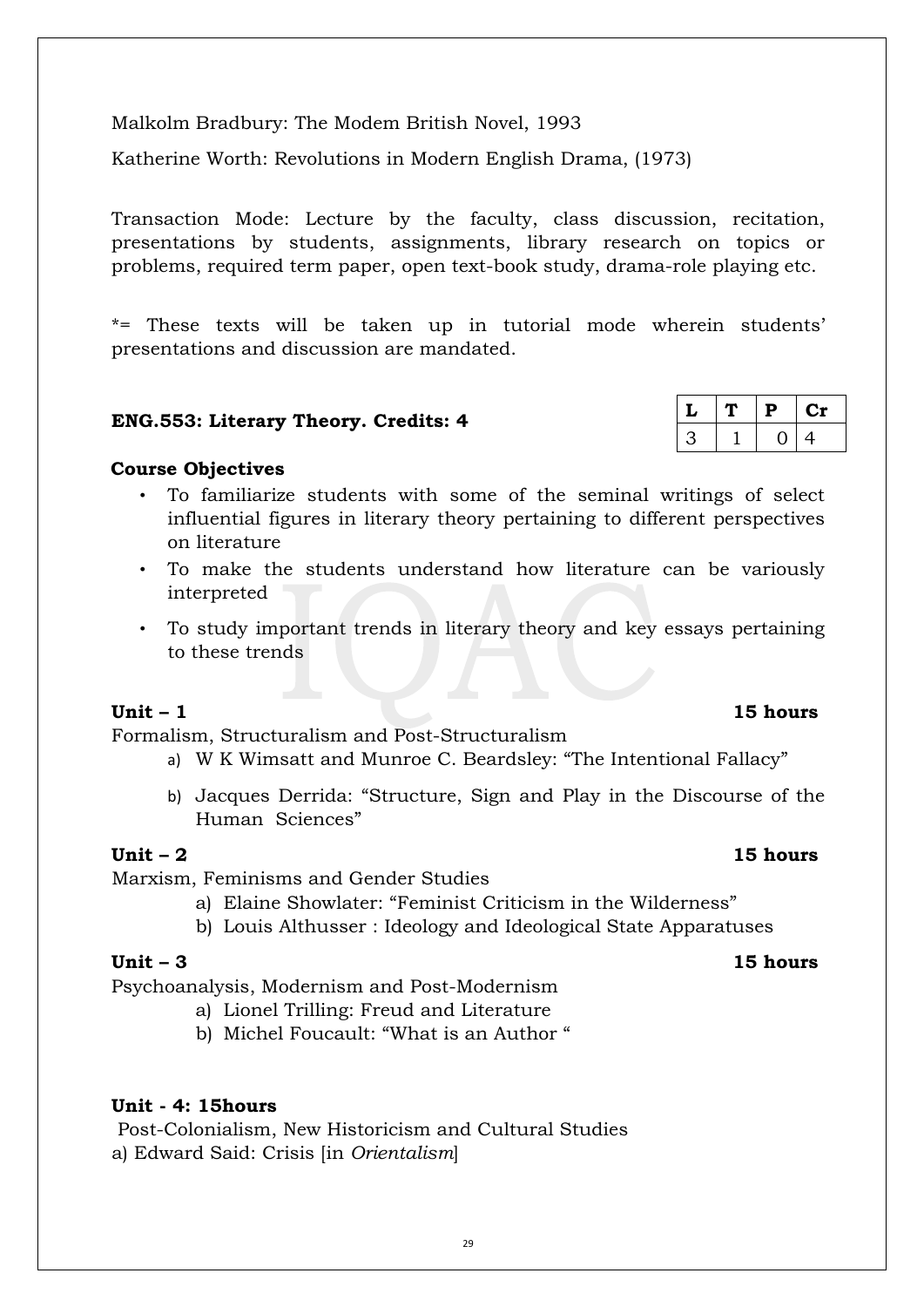Malkolm Bradbury: The Modem British Novel, 1993

Katherine Worth: Revolutions in Modern English Drama, (1973)

Transaction Mode: Lecture by the faculty, class discussion, recitation, presentations by students, assignments, library research on topics or problems, required term paper, open text-book study, drama-role playing etc.

\*= These texts will be taken up in tutorial mode wherein students' presentations and discussion are mandated.

# **ENG.553: Literary Theory. Credits: 4**

# **Course Objectives**

- To familiarize students with some of the seminal writings of select influential figures in literary theory pertaining to different perspectives on literature
- To make the students understand how literature can be variously interpreted
- To study important trends in literary theory and key essays pertaining to these trends

# **Unit – 1 15 hours**

Formalism, Structuralism and Post-Structuralism

- a) W K Wimsatt and Munroe C. Beardsley: "The Intentional Fallacy"
- b) Jacques Derrida: "Structure, Sign and Play in the Discourse of the Human Sciences"

# **Unit – 2 15 hours**

# Marxism, Feminisms and Gender Studies

- a) Elaine Showlater: "Feminist Criticism in the Wilderness"
- b) Louis Althusser : Ideology and Ideological State Apparatuses

Psychoanalysis, Modernism and Post-Modernism

- a) Lionel Trilling: Freud and Literature
- b) Michel Foucault: "What is an Author "

# **Unit - 4: 15hours**

Post-Colonialism, New Historicism and Cultural Studies a) Edward Said: Crisis [in *Orientalism*]

|    | P   | <b>CD</b> |
|----|-----|-----------|
| ے∵ | I ) | 4         |

# **Unit – 3 15 hours**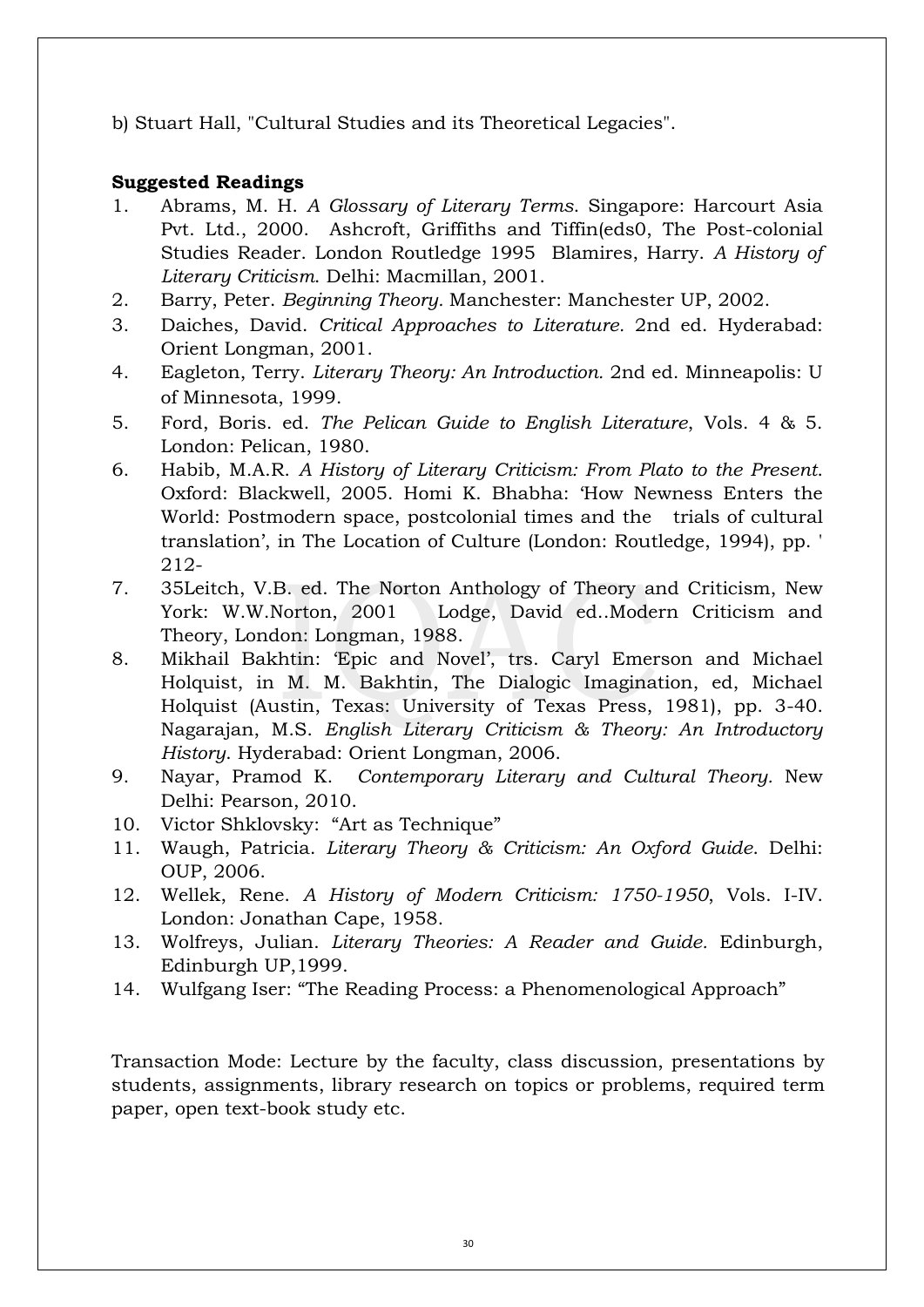b) Stuart Hall, "Cultural Studies and its Theoretical Legacies".

# **Suggested Readings**

- 1. Abrams, M. H. *A Glossary of Literary Terms*. Singapore: Harcourt Asia Pvt. Ltd., 2000. Ashcroft, Griffiths and Tiffin(eds0, The Post-colonial Studies Reader. London Routledge 1995 Blamires, Harry. *A History of Literary Criticism*. Delhi: Macmillan, 2001.
- 2. Barry, Peter. *Beginning Theory.* Manchester: Manchester UP, 2002.
- 3. Daiches, David. *Critical Approaches to Literature.* 2nd ed. Hyderabad: Orient Longman, 2001.
- 4. Eagleton, Terry. *Literary Theory: An Introduction.* 2nd ed. Minneapolis: U of Minnesota, 1999.
- 5. Ford, Boris. ed. *The Pelican Guide to English Literature*, Vols. 4 & 5. London: Pelican, 1980.
- 6. Habib, M.A.R. *A History of Literary Criticism: From Plato to the Present*. Oxford: Blackwell, 2005. Homi K. Bhabha: 'How Newness Enters the World: Postmodern space, postcolonial times and the trials of cultural translation', in The Location of Culture (London: Routledge, 1994), pp. ' 212-
- 7. 35Leitch, V.B. ed. The Norton Anthology of Theory and Criticism, New York: W.W.Norton, 2001 Lodge, David ed..Modern Criticism and Theory, London: Longman, 1988.
- 8. Mikhail Bakhtin: 'Epic and Novel', trs. Caryl Emerson and Michael Holquist, in M. M. Bakhtin, The Dialogic Imagination, ed, Michael Holquist (Austin, Texas: University of Texas Press, 1981), pp. 3-40. Nagarajan, M.S. *English Literary Criticism & Theory: An Introductory History*. Hyderabad: Orient Longman, 2006.
- 9. Nayar, Pramod K. *Contemporary Literary and Cultural Theory.* New Delhi: Pearson, 2010.
- 10. Victor Shklovsky: "Art as Technique"
- 11. Waugh, Patricia. *Literary Theory & Criticism: An Oxford Guide*. Delhi: OUP, 2006.
- 12. Wellek, Rene. *A History of Modern Criticism: 1750-1950*, Vols. I-IV. London: Jonathan Cape, 1958.
- 13. Wolfreys, Julian. *Literary Theories: A Reader and Guide.* Edinburgh, Edinburgh UP,1999.
- 14. Wulfgang Iser: "The Reading Process: a Phenomenological Approach"

Transaction Mode: Lecture by the faculty, class discussion, presentations by students, assignments, library research on topics or problems, required term paper, open text-book study etc.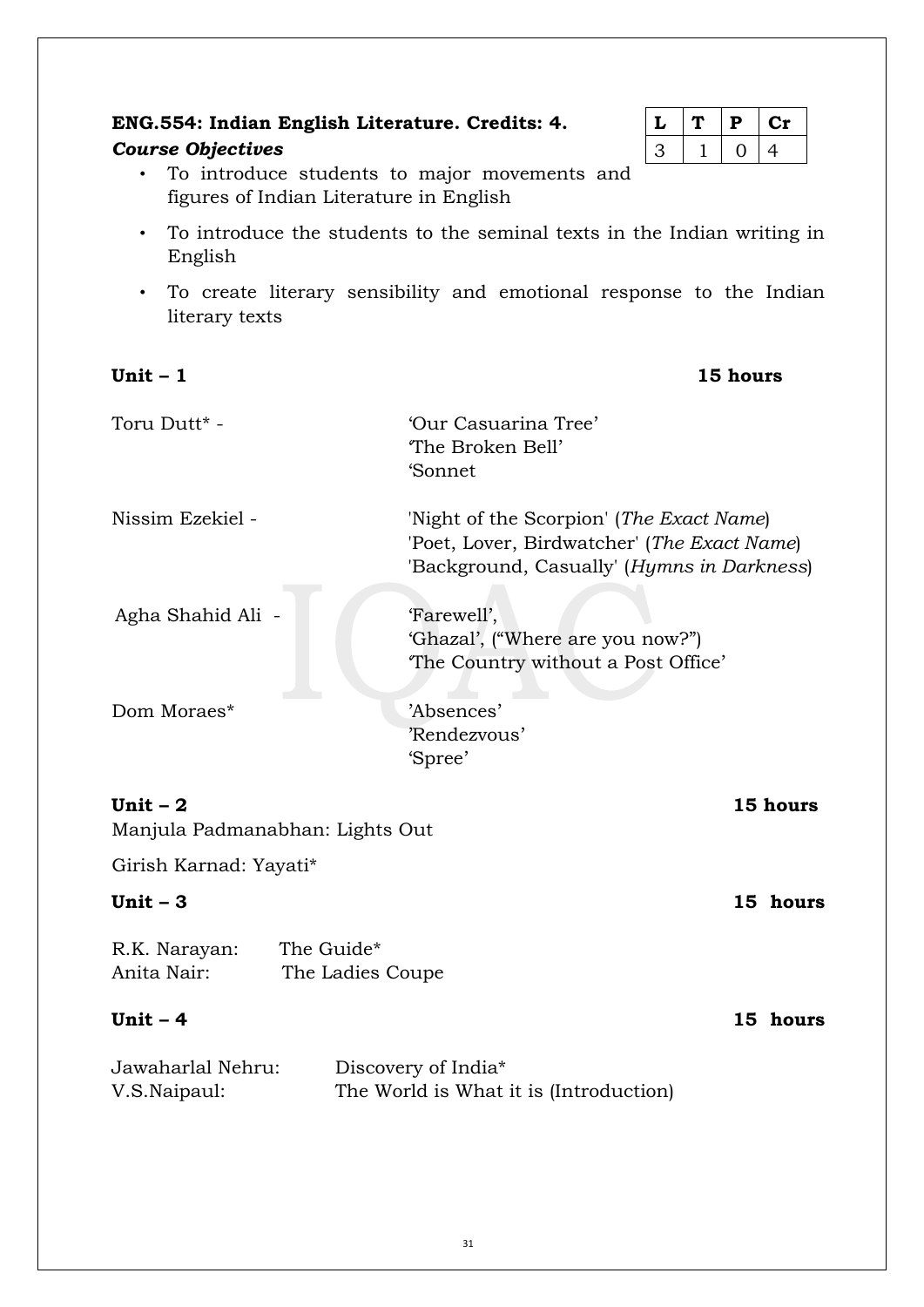# **ENG.554: Indian English Literature. Credits: 4.**

# *Course Objectives*

|  | D |   |
|--|---|---|
|  |   | 4 |

- To introduce students to major movements and figures of Indian Literature in English
- To introduce the students to the seminal texts in the Indian writing in English
- To create literary sensibility and emotional response to the Indian literary texts

| Unit $-1$                                    |                                | 15 hours                                                                                                                              |
|----------------------------------------------|--------------------------------|---------------------------------------------------------------------------------------------------------------------------------------|
| Toru Dutt* -                                 |                                | 'Our Casuarina Tree'<br>The Broken Bell'<br>'Sonnet                                                                                   |
| Nissim Ezekiel -                             |                                | 'Night of the Scorpion' (The Exact Name)<br>'Poet, Lover, Birdwatcher' (The Exact Name)<br>'Background, Casually' (Hymns in Darkness) |
| Agha Shahid Ali -                            |                                | 'Farewell',<br>'Ghazal', ("Where are you now?")<br>The Country without a Post Office'                                                 |
| Dom Moraes*                                  |                                | 'Absences'<br>'Rendezvous'<br>'Spree'                                                                                                 |
| Unit $-2$<br>Manjula Padmanabhan: Lights Out |                                | 15 hours                                                                                                                              |
| Girish Karnad: Yayati*                       |                                |                                                                                                                                       |
| Unit $-3$                                    |                                | 15 hours                                                                                                                              |
| R.K. Narayan:<br>Anita Nair:                 | The Guide*<br>The Ladies Coupe |                                                                                                                                       |
| Unit $-4$                                    |                                | 15 hours                                                                                                                              |
| Jawaharlal Nehru:<br>V.S.Naipaul:            |                                | Discovery of India*<br>The World is What it is (Introduction)                                                                         |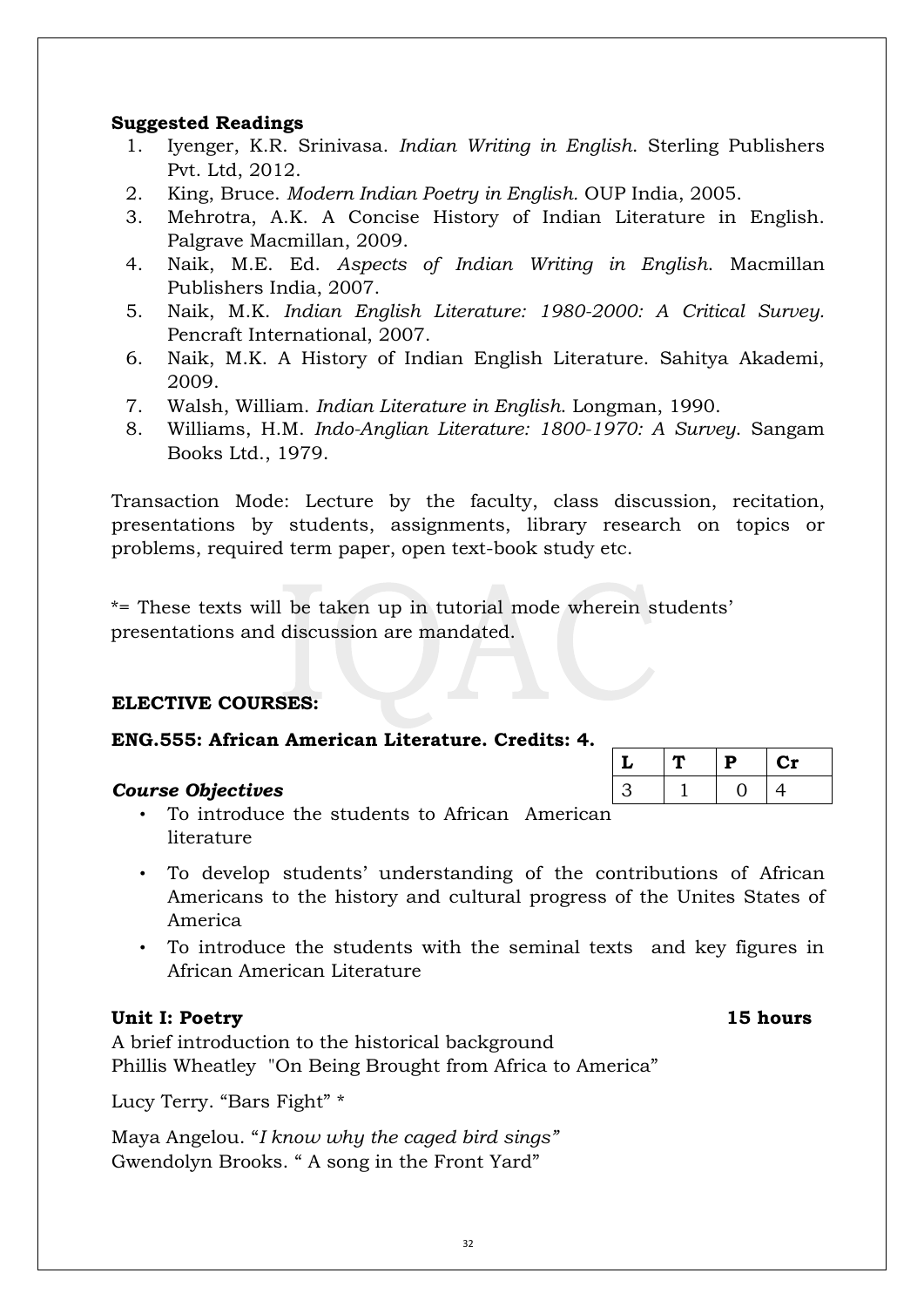# **Suggested Readings**

- 1. Iyenger, K.R. Srinivasa. *Indian Writing in English*. Sterling Publishers Pvt. Ltd, 2012.
- 2. King, Bruce. *Modern Indian Poetry in English.* OUP India, 2005.
- 3. Mehrotra, A.K. A Concise History of Indian Literature in English. Palgrave Macmillan, 2009.
- 4. Naik, M.E. Ed. *Aspects of Indian Writing in English*. Macmillan Publishers India, 2007.
- 5. Naik, M.K. *Indian English Literature: 1980-2000: A Critical Survey.* Pencraft International, 2007.
- 6. Naik, M.K. A History of Indian English Literature. Sahitya Akademi, 2009.
- 7. Walsh, William. *Indian Literature in English*. Longman, 1990.
- 8. Williams, H.M. *Indo-Anglian Literature: 1800-1970: A Survey*. Sangam Books Ltd., 1979.

Transaction Mode: Lecture by the faculty, class discussion, recitation, presentations by students, assignments, library research on topics or problems, required term paper, open text-book study etc.

\*= These texts will be taken up in tutorial mode wherein students' presentations and discussion are mandated.

# **ELECTIVE COURSES:**

# **ENG.555: African American Literature. Credits: 4.**

# *Course Objectives*

| ui se Uljectives                                |  |
|-------------------------------------------------|--|
| • To introduce the students to African American |  |
| literature                                      |  |

- To develop students' understanding of the contributions of African Americans to the history and cultural progress of the Unites States of America
- To introduce the students with the seminal texts and key figures in African American Literature

# **Unit I: Poetry 15 hours**

A brief introduction to the historical background Phillis Wheatley "On Being Brought from Africa to America"

Lucy Terry. "Bars Fight" \*

Maya Angelou. "*I know why the caged bird sings"* Gwendolyn Brooks. " A song in the Front Yard"

| l | D | Cr |
|---|---|----|
|   |   |    |
|   |   |    |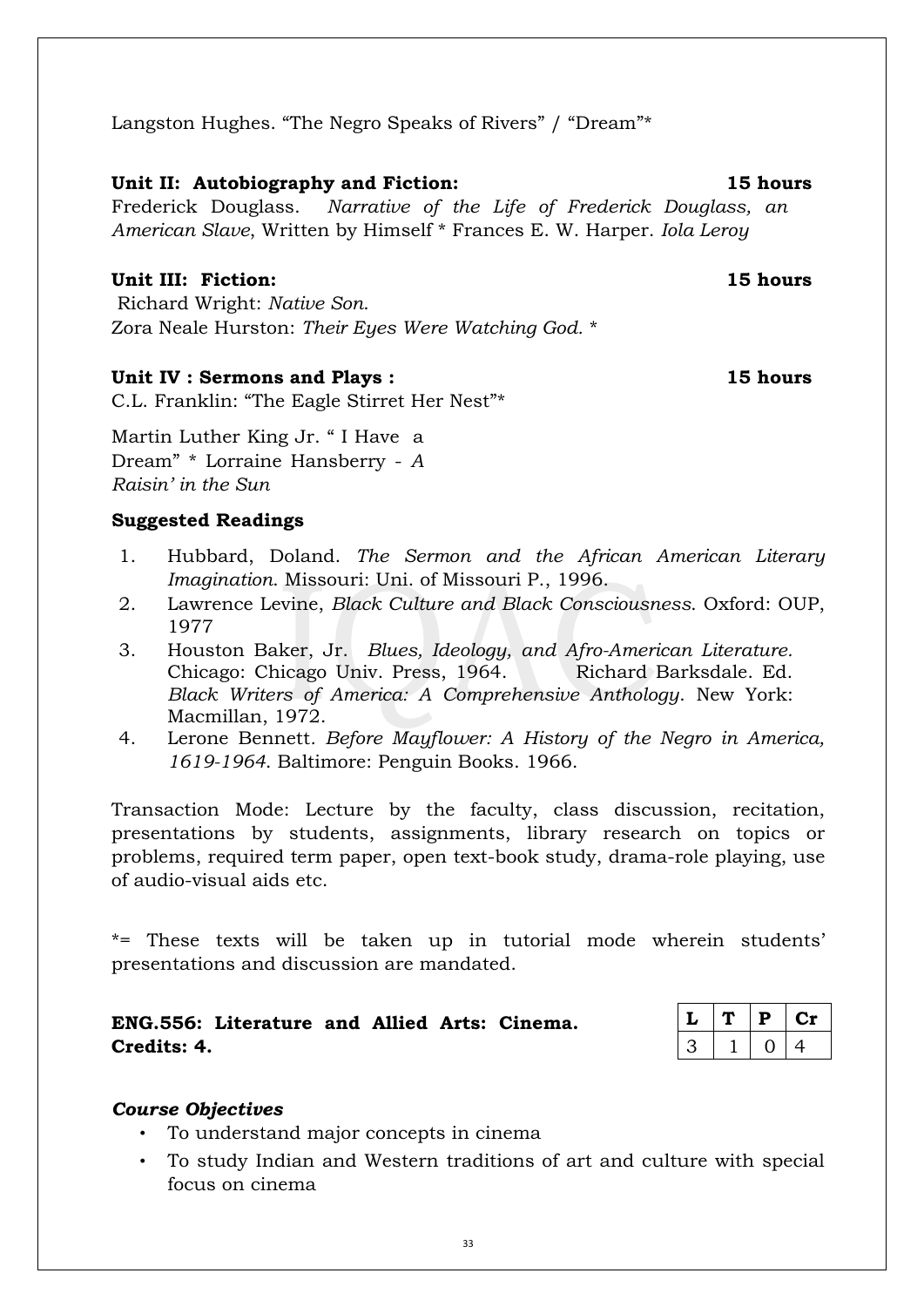Langston Hughes. "The Negro Speaks of Rivers" / "Dream"\*

# **Unit II: Autobiography and Fiction: 15 hours**

Frederick Douglass. *Narrative of the Life of Frederick Douglass, an American Slave*, Written by Himself \* Frances E. W. Harper. *Iola Leroy* 

# **Unit III: Fiction: 15 hours**

Richard Wright: *Native Son*. Zora Neale Hurston: *Their Eyes Were Watching God.* \*

# Unit IV : Sermons and Plays : 15 hours

C.L. Franklin: "The Eagle Stirret Her Nest"\*

Martin Luther King Jr. " I Have a Dream" \* Lorraine Hansberry - *A Raisin' in the Sun* 

# **Suggested Readings**

- 1. Hubbard, Doland. *The Sermon and the African American Literary Imagination*. Missouri: Uni. of Missouri P., 1996.
- 2. Lawrence Levine, *Black Culture and Black Consciousness*. Oxford: OUP, 1977
- 3. Houston Baker, Jr. *Blues, Ideology, and Afro-American Literature.* Chicago: Chicago Univ. Press, 1964. Richard Barksdale. Ed. *Black Writers of America: A Comprehensive Anthology*. New York: Macmillan, 1972.
- 4. Lerone Bennett*. Before Mayflower: A History of the Negro in America, 1619-1964*. Baltimore: Penguin Books. 1966.

Transaction Mode: Lecture by the faculty, class discussion, recitation, presentations by students, assignments, library research on topics or problems, required term paper, open text-book study, drama-role playing, use of audio-visual aids etc.

\*= These texts will be taken up in tutorial mode wherein students' presentations and discussion are mandated.

# **ENG.556: Literature and Allied Arts: Cinema. Credits: 4.**

|   | Р | Сť |
|---|---|----|
| ے |   | 4  |

# *Course Objectives*

- To understand major concepts in cinema
- To study Indian and Western traditions of art and culture with special focus on cinema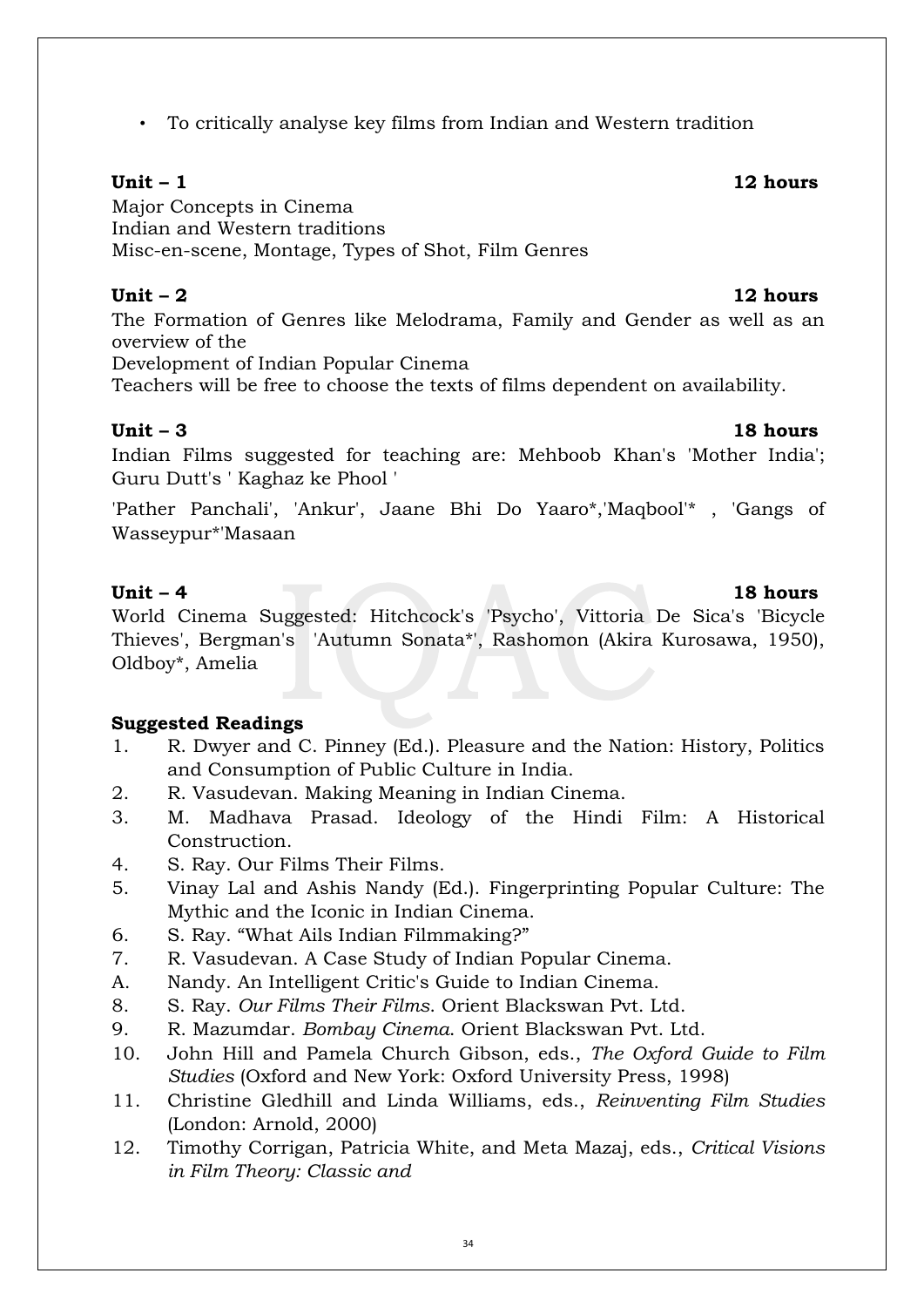• To critically analyse key films from Indian and Western tradition

# **Unit – 1 12 hours**

Major Concepts in Cinema Indian and Western traditions Misc-en-scene, Montage, Types of Shot, Film Genres

### **Unit – 2 12 hours**

The Formation of Genres like Melodrama, Family and Gender as well as an overview of the

Development of Indian Popular Cinema

Teachers will be free to choose the texts of films dependent on availability.

# **Unit – 3 18 hours**

Indian Films suggested for teaching are: Mehboob Khan's 'Mother India'; Guru Dutt's ' Kaghaz ke Phool '

'Pather Panchali', 'Ankur', Jaane Bhi Do Yaaro\*,'Maqbool'\* , 'Gangs of Wasseypur\*'Masaan

# **Unit – 4 18 hours**

World Cinema Suggested: Hitchcock's 'Psycho', Vittoria De Sica's 'Bicycle Thieves', Bergman's 'Autumn Sonata\*', Rashomon (Akira Kurosawa, 1950), Oldboy\*, Amelia

# **Suggested Readings**

- 1. R. Dwyer and C. Pinney (Ed.). Pleasure and the Nation: History, Politics and Consumption of Public Culture in India.
- 2. R. Vasudevan. Making Meaning in Indian Cinema.
- 3. M. Madhava Prasad. Ideology of the Hindi Film: A Historical Construction.
- 4. S. Ray. Our Films Their Films.
- 5. Vinay Lal and Ashis Nandy (Ed.). Fingerprinting Popular Culture: The Mythic and the Iconic in Indian Cinema.
- 6. S. Ray. "What Ails Indian Filmmaking?"
- 7. R. Vasudevan. A Case Study of Indian Popular Cinema.
- A. Nandy. An Intelligent Critic's Guide to Indian Cinema.
- 8. S. Ray. *Our Films Their Films*. Orient Blackswan Pvt. Ltd.
- 9. R. Mazumdar. *Bombay Cinema*. Orient Blackswan Pvt. Ltd.
- 10. John Hill and Pamela Church Gibson, eds., *The Oxford Guide to Film Studies* (Oxford and New York: Oxford University Press, 1998)
- 11. Christine Gledhill and Linda Williams, eds., *Reinventing Film Studies* (London: Arnold, 2000)
- 12. Timothy Corrigan, Patricia White, and Meta Mazaj, eds., *Critical Visions in Film Theory: Classic and*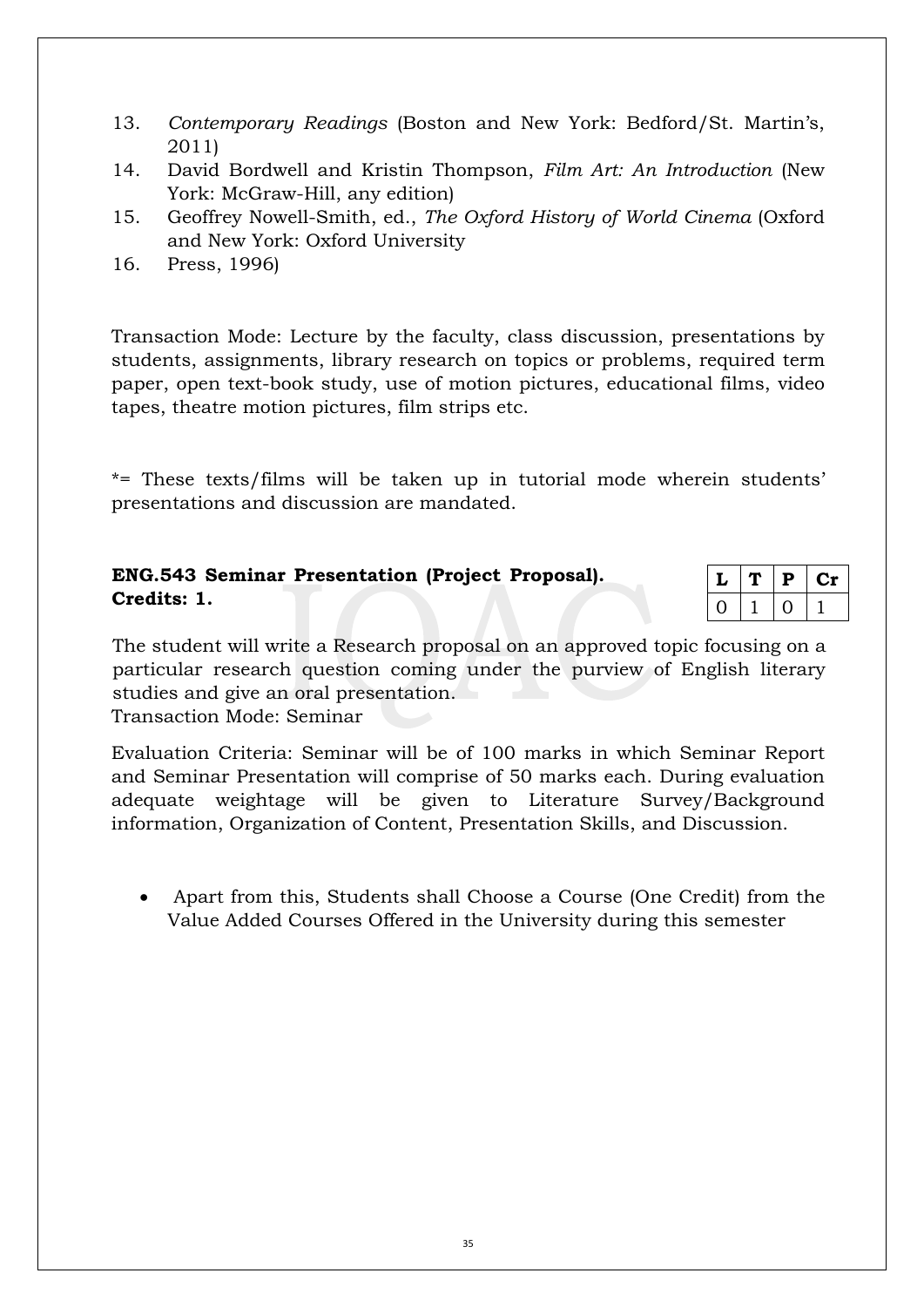- 13. *Contemporary Readings* (Boston and New York: Bedford/St. Martin's, 2011)
- 14. David Bordwell and Kristin Thompson, *Film Art: An Introduction* (New York: McGraw-Hill, any edition)
- 15. Geoffrey Nowell-Smith, ed., *The Oxford History of World Cinema* (Oxford and New York: Oxford University
- 16. Press, 1996)

Transaction Mode: Lecture by the faculty, class discussion, presentations by students, assignments, library research on topics or problems, required term paper, open text-book study, use of motion pictures, educational films, video tapes, theatre motion pictures, film strips etc.

\*= These texts/films will be taken up in tutorial mode wherein students' presentations and discussion are mandated.

# **ENG.543 Seminar Presentation (Project Proposal). Credits: 1.**

|  | Р | C 11 |
|--|---|------|
|  |   |      |

The student will write a Research proposal on an approved topic focusing on a particular research question coming under the purview of English literary studies and give an oral presentation.

Transaction Mode: Seminar

Evaluation Criteria: Seminar will be of 100 marks in which Seminar Report and Seminar Presentation will comprise of 50 marks each. During evaluation adequate weightage will be given to Literature Survey/Background information, Organization of Content, Presentation Skills, and Discussion.

 Apart from this, Students shall Choose a Course (One Credit) from the Value Added Courses Offered in the University during this semester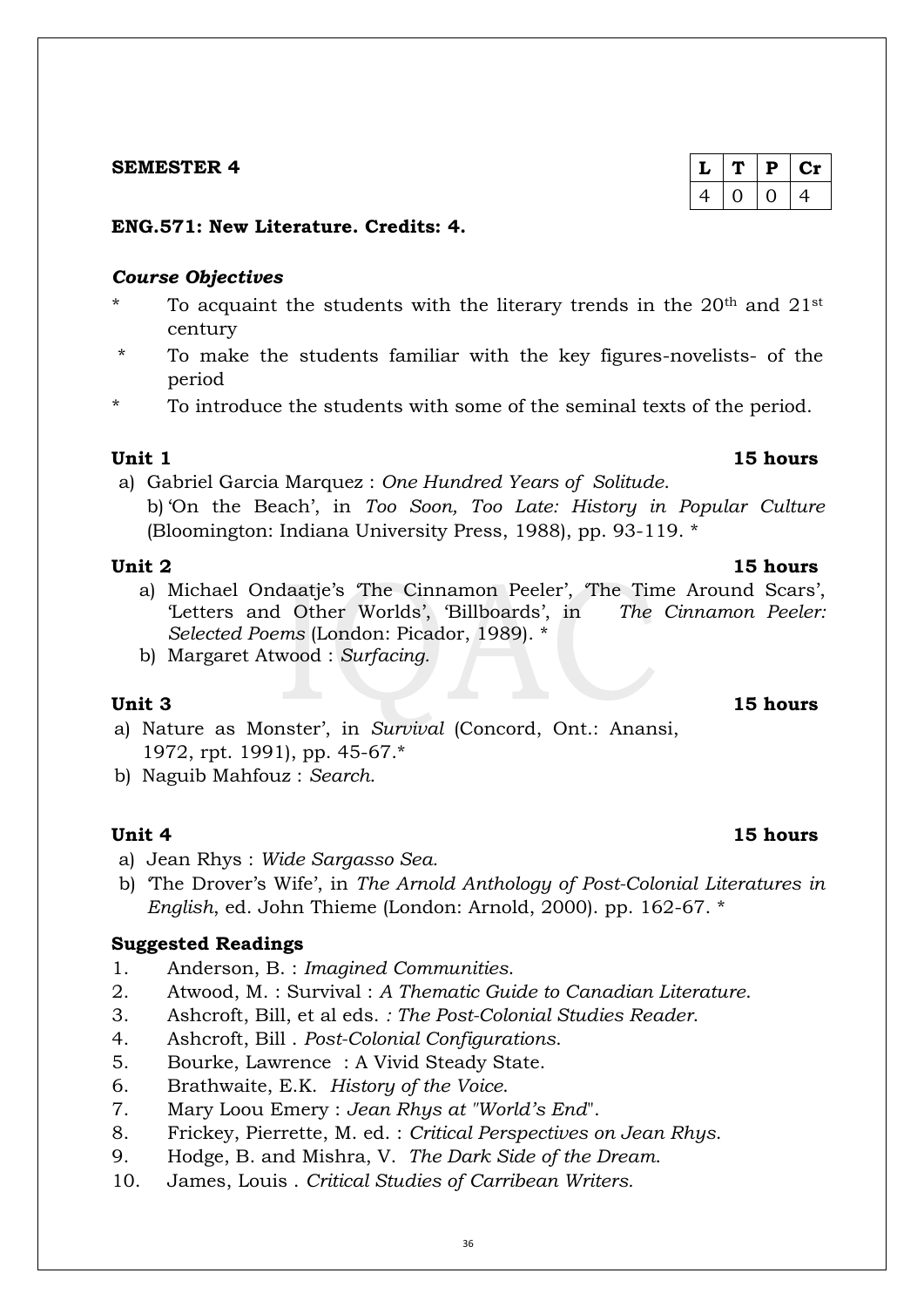### 36

# **SEMESTER 4**

# **ENG.571: New Literature. Credits: 4.**

# *Course Objectives*

- To acquaint the students with the literary trends in the  $20<sup>th</sup>$  and  $21<sup>st</sup>$ century
- To make the students familiar with the key figures-novelists- of the period
- To introduce the students with some of the seminal texts of the period.

# **Unit 1 15 hours**

a) Gabriel Garcia Marquez : *One Hundred Years of Solitude*.

b) 'On the Beach', in *Too Soon, Too Late: History in Popular Culture* (Bloomington: Indiana University Press, 1988), pp. 93-119. \*

- a) Michael Ondaatje's 'The Cinnamon Peeler', 'The Time Around Scars', 'Letters and Other Worlds', 'Billboards', in *The Cinnamon Peeler: Selected Poems* (London: Picador, 1989). \*
- b) Margaret Atwood : *Surfacing.*

- a) Nature as Monster', in *Survival* (Concord, Ont.: Anansi, 1972, rpt. 1991), pp. 45-67.\*
- b) Naguib Mahfouz : *Search*.

# **Unit 4 15 hours**

- a) Jean Rhys : *Wide Sargasso Sea.*
- b) 'The Drover's Wife', in *The Arnold Anthology of Post-Colonial Literatures in English*, ed. John Thieme (London: Arnold, 2000). pp. 162-67. \*

# **Suggested Readings**

- 1. Anderson, B. : *Imagined Communities*.
- 2. Atwood, M. : Survival : *A Thematic Guide to Canadian Literature*.
- 3. Ashcroft, Bill, et al eds. *: The Post-Colonial Studies Reader*.
- 4. Ashcroft, Bill . *Post-Colonial Configurations*.
- 5. Bourke, Lawrence : A Vivid Steady State.
- 6. Brathwaite, E.K. *History of the Voice*.
- 7. Mary Loou Emery : *Jean Rhys at "World's End*".
- 8. Frickey, Pierrette, M. ed. : *Critical Perspectives on Jean Rhys*.
- 9. Hodge, B. and Mishra, V. *The Dark Side of the Dream*.
- 10. James, Louis . *Critical Studies of Carribean Writers.*

# $L | T | P | Cr$  $4 | 0 | 0 | 4$

# **Unit 3 15 hours**

# **Unit 2 15 hours**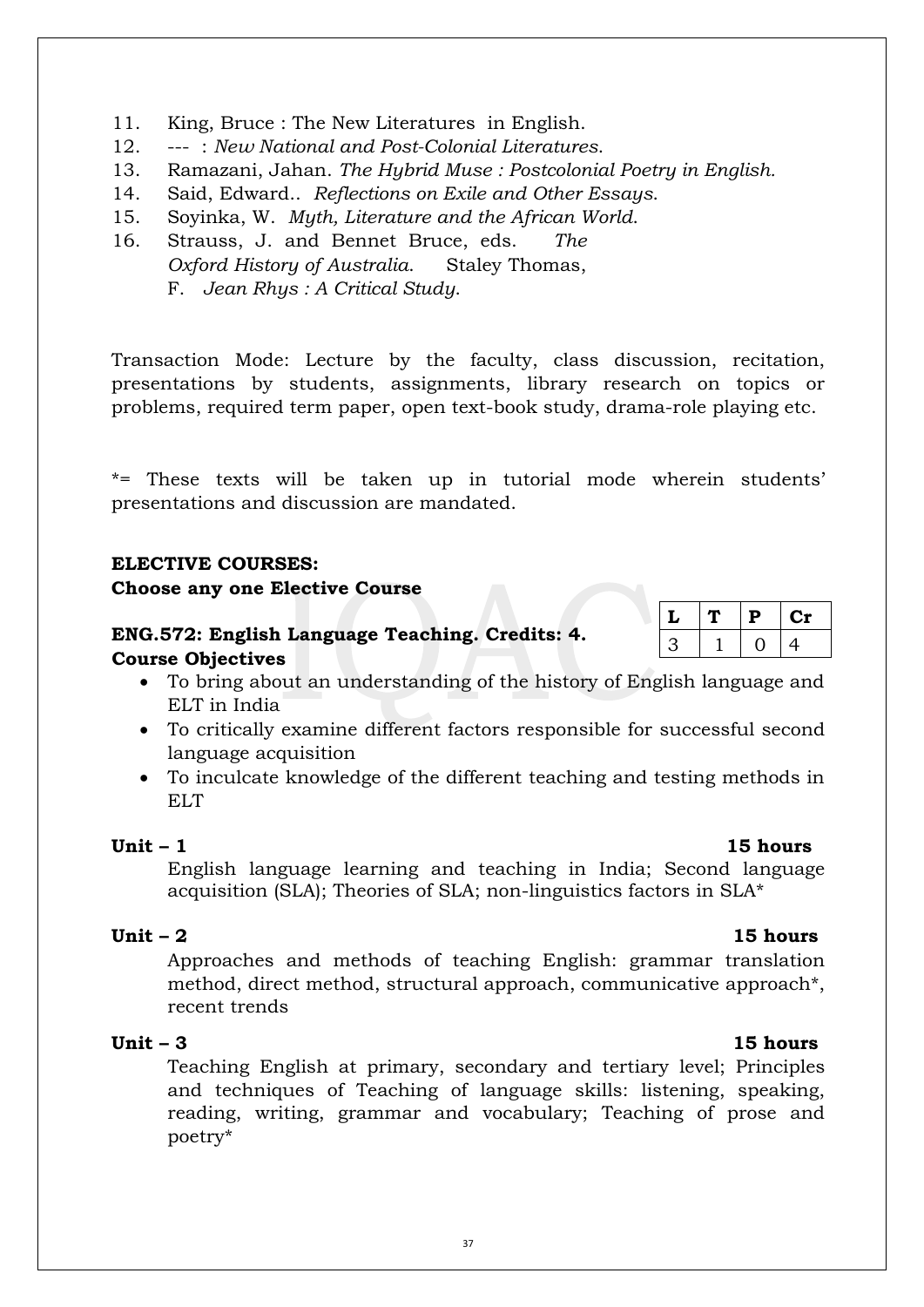*Oxford History of Australia*. Staley Thomas,

14. Said, Edward.. *Reflections on Exile and Other Essays*. 15. Soyinka, W. *Myth, Literature and the African World*.

11. King, Bruce : The New Literatures in English. 12. --- : *New National and Post-Colonial Literatures*.

16. Strauss, J. and Bennet Bruce, eds. *The* 

F. *Jean Rhys : A Critical Study*.

Transaction Mode: Lecture by the faculty, class discussion, recitation, presentations by students, assignments, library research on topics or problems, required term paper, open text-book study, drama-role playing etc.

13. Ramazani, Jahan. *The Hybrid Muse : Postcolonial Poetry in English.*

\*= These texts will be taken up in tutorial mode wherein students' presentations and discussion are mandated.

### **ELECTIVE COURSES:**

### **Choose any one Elective Course**

# **ENG.572: English Language Teaching. Credits: 4. Course Objectives**

- To bring about an understanding of the history of English language and ELT in India
- To critically examine different factors responsible for successful second language acquisition
- To inculcate knowledge of the different teaching and testing methods in ELT

### **Unit – 1 15 hours**

English language learning and teaching in India; Second language acquisition (SLA); Theories of SLA; non-linguistics factors in SLA\*

### **Unit – 2 15 hours**

Approaches and methods of teaching English: grammar translation method, direct method, structural approach, communicative approach\*, recent trends

### **Unit – 3 15 hours**

Teaching English at primary, secondary and tertiary level; Principles and techniques of Teaching of language skills: listening, speaking, reading, writing, grammar and vocabulary; Teaching of prose and poetry\*

| ı<br>L | Р | U1. |
|--------|---|-----|
| ્ર     |   | 4   |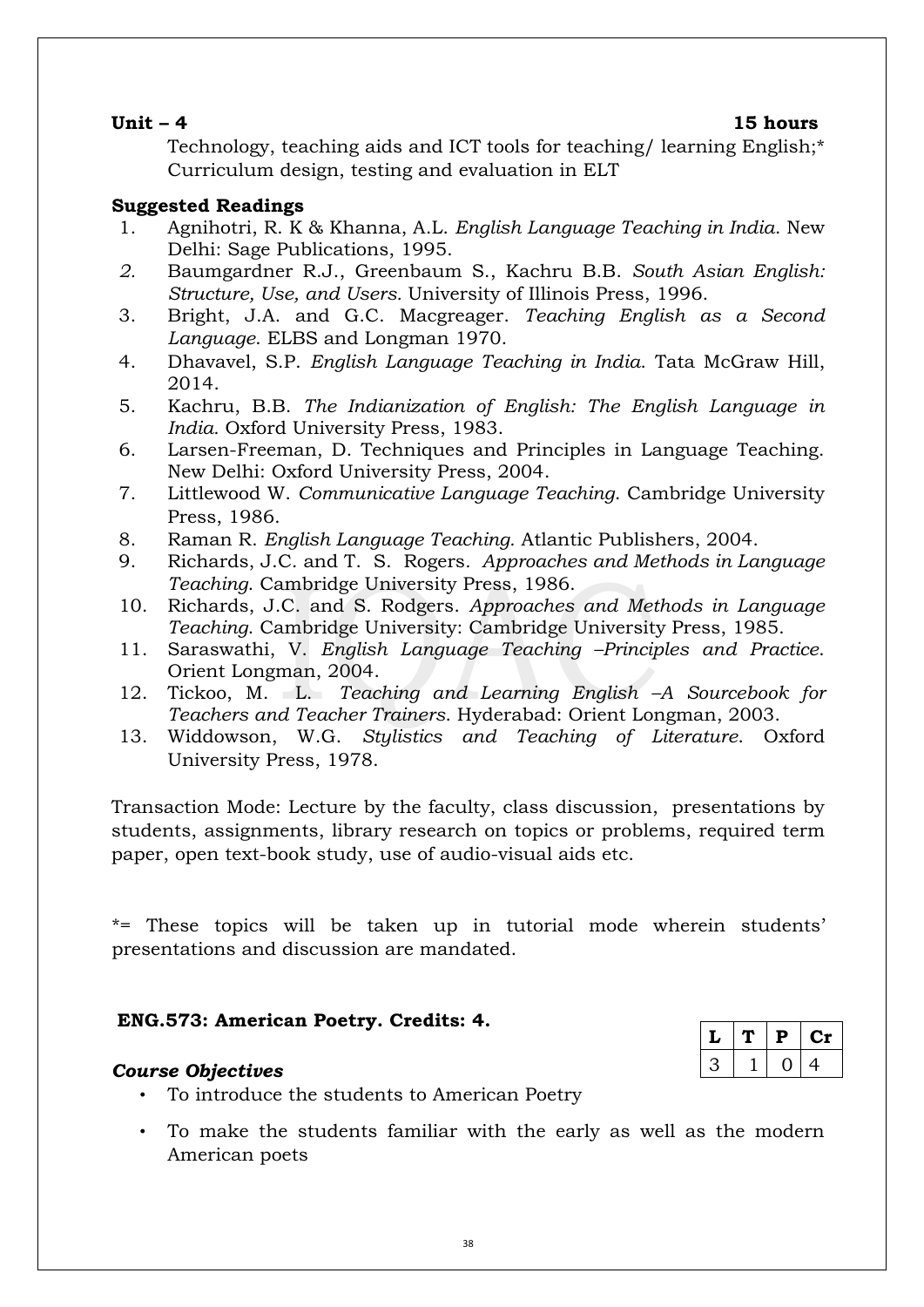$L | T | P | Cr$  $3 | 1 | 0 | 4$ 

Technology, teaching aids and ICT tools for teaching/ learning English;\* Curriculum design, testing and evaluation in ELT

# **Suggested Readings**

- 1. Agnihotri, R. K & Khanna, A.L. *English Language Teaching in India*. New Delhi: Sage Publications, 1995.
- *2.* Baumgardner R.J., Greenbaum S., Kachru B.B. *South Asian English: Structure, Use, and Users.* University of Illinois Press, 1996.
- 3. Bright, J.A. and G.C. Macgreager. *Teaching English as a Second Language*. ELBS and Longman 1970.
- 4. Dhavavel, S.P. *English Language Teaching in India*. Tata McGraw Hill, 2014.
- 5. Kachru, B.B. *The Indianization of English: The English Language in India.* Oxford University Press, 1983.
- 6. Larsen-Freeman, D. Techniques and Principles in Language Teaching. New Delhi: Oxford University Press, 2004.
- 7. Littlewood W. *Communicative Language Teaching*. Cambridge University Press, 1986.
- 8. Raman R. *English Language Teaching.* Atlantic Publishers, 2004.
- 9. Richards, J.C. and T. S. Rogers*. Approaches and Methods in Language Teaching*. Cambridge University Press, 1986.
- 10. Richards, J.C. and S. Rodgers. *Approaches and Methods in Language Teaching*. Cambridge University: Cambridge University Press, 1985.
- 11. Saraswathi, V. *English Language Teaching –Principles and Practice*. Orient Longman, 2004.
- 12. Tickoo, M. L. *Teaching and Learning English –A Sourcebook for Teachers and Teacher Trainers*. Hyderabad: Orient Longman, 2003.
- 13. Widdowson, W.G. *Stylistics and Teaching of Literature*. Oxford University Press, 1978.

Transaction Mode: Lecture by the faculty, class discussion, presentations by students, assignments, library research on topics or problems, required term paper, open text-book study, use of audio-visual aids etc.

\*= These topics will be taken up in tutorial mode wherein students' presentations and discussion are mandated.

# **ENG.573: American Poetry. Credits: 4.**

# *Course Objectives*

- To introduce the students to American Poetry
- To make the students familiar with the early as well as the modern American poets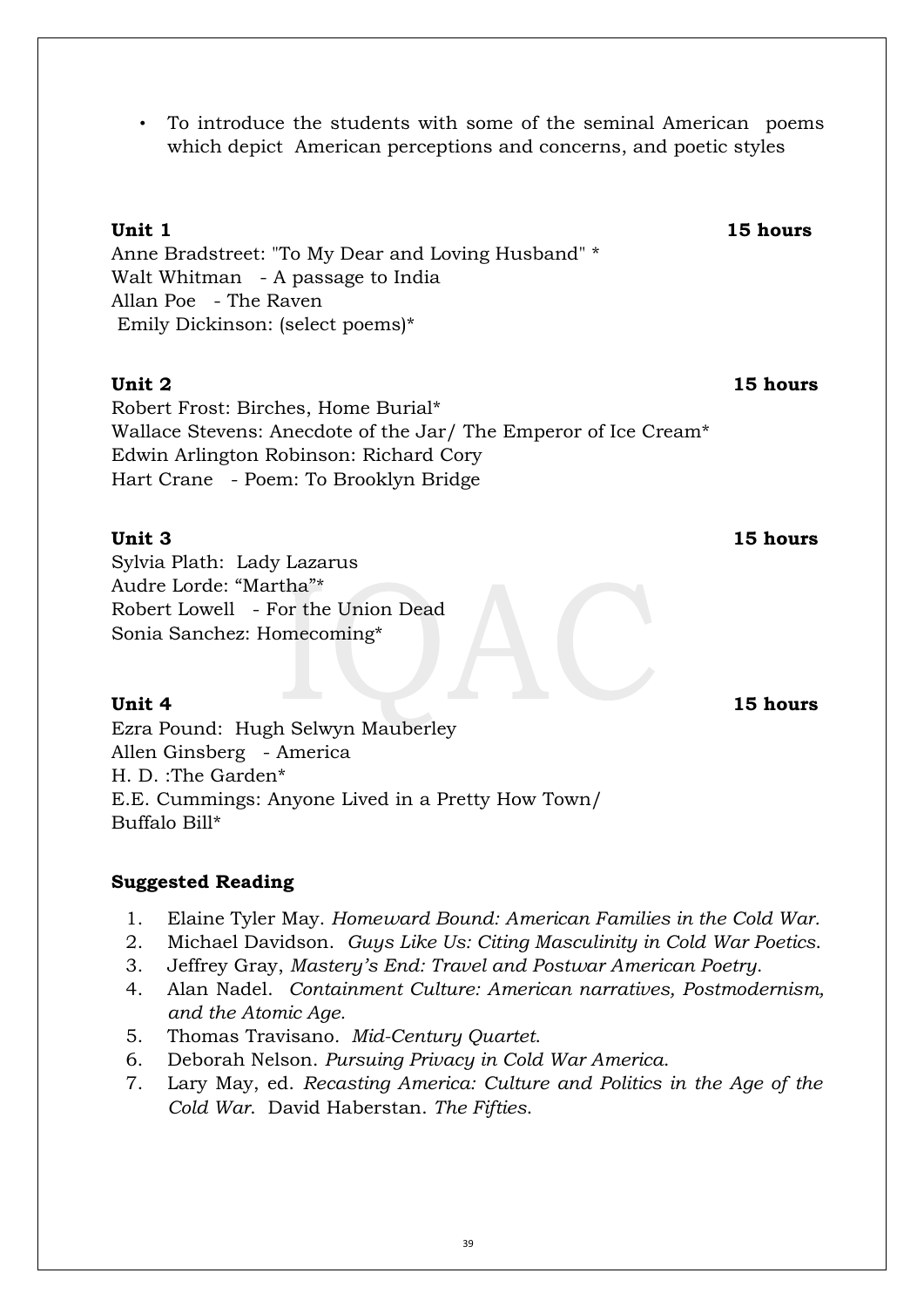• To introduce the students with some of the seminal American poems which depict American perceptions and concerns, and poetic styles

# **Unit 1 15 hours**

Anne Bradstreet: "To My Dear and Loving Husband" \* Walt Whitman - A passage to India Allan Poe - The Raven Emily Dickinson: (select poems)\*

# **Unit 2 15 hours**

Robert Frost: Birches, Home Burial\* Wallace Stevens: Anecdote of the Jar/ The Emperor of Ice Cream\* Edwin Arlington Robinson: Richard Cory Hart Crane - Poem: To Brooklyn Bridge

# **Unit 3 15 hours**

Sylvia Plath: Lady Lazarus Audre Lorde: "Martha"\* Robert Lowell - For the Union Dead Sonia Sanchez: Homecoming\*

Ezra Pound: Hugh Selwyn Mauberley Allen Ginsberg - America H. D. :The Garden\* E.E. Cummings: Anyone Lived in a Pretty How Town/ Buffalo Bill\*

# **Suggested Reading**

- 1. Elaine Tyler May. *Homeward Bound: American Families in the Cold War.*
- 2. Michael Davidson. *Guys Like Us: Citing Masculinity in Cold War Poetics*.
- 3. Jeffrey Gray, *Mastery's End: Travel and Postwar American Poetry*.
- 4. Alan Nadel. *Containment Culture: American narratives, Postmodernism, and the Atomic Age.*
- 5. Thomas Travisano*. Mid-Century Quartet*.
- 6. Deborah Nelson. *Pursuing Privacy in Cold War America*.
- 7. Lary May, ed. *Recasting America: Culture and Politics in the Age of the Cold War*. David Haberstan. *The Fifties*.

**Unit 4 15 hours**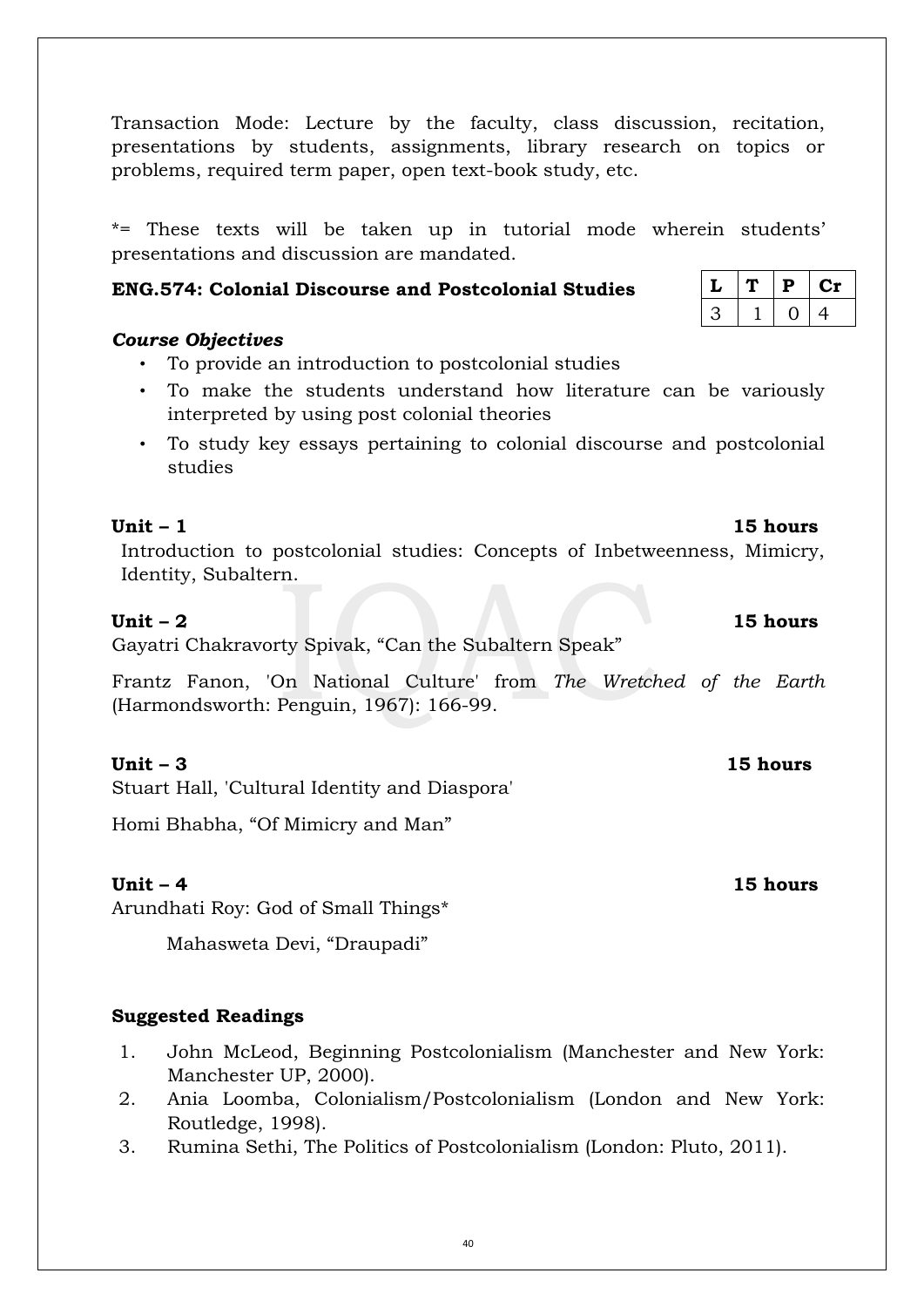40

Transaction Mode: Lecture by the faculty, class discussion, recitation, presentations by students, assignments, library research on topics or problems, required term paper, open text-book study, etc.

\*= These texts will be taken up in tutorial mode wherein students' presentations and discussion are mandated.

# **ENG.574: Colonial Discourse and Postcolonial Studies**

# *Course Objectives*

- To provide an introduction to postcolonial studies
- To make the students understand how literature can be variously interpreted by using post colonial theories
- To study key essays pertaining to colonial discourse and postcolonial studies

Introduction to postcolonial studies: Concepts of Inbetweenness, Mimicry, Identity, Subaltern.

Gayatri Chakravorty Spivak, "Can the Subaltern Speak"

Frantz Fanon, 'On National Culture' from *The Wretched of the Earth* (Harmondsworth: Penguin, 1967): 166-99.

# **Unit – 3 15 hours**

Stuart Hall, 'Cultural Identity and Diaspora'

Homi Bhabha, "Of Mimicry and Man"

Arundhati Roy: God of Small Things\*

Mahasweta Devi, "Draupadi"

# **Suggested Readings**

- 1. John McLeod, Beginning Postcolonialism (Manchester and New York: Manchester UP, 2000).
- 2. Ania Loomba, Colonialism/Postcolonialism (London and New York: Routledge, 1998).
- 3. Rumina Sethi, The Politics of Postcolonialism (London: Pluto, 2011).

|  | p | UΝ |  |
|--|---|----|--|
|  |   | 4  |  |

# **Unit – 4 15 hours**

# **Unit – 1 15 hours**

### **Unit – 2 15 hours**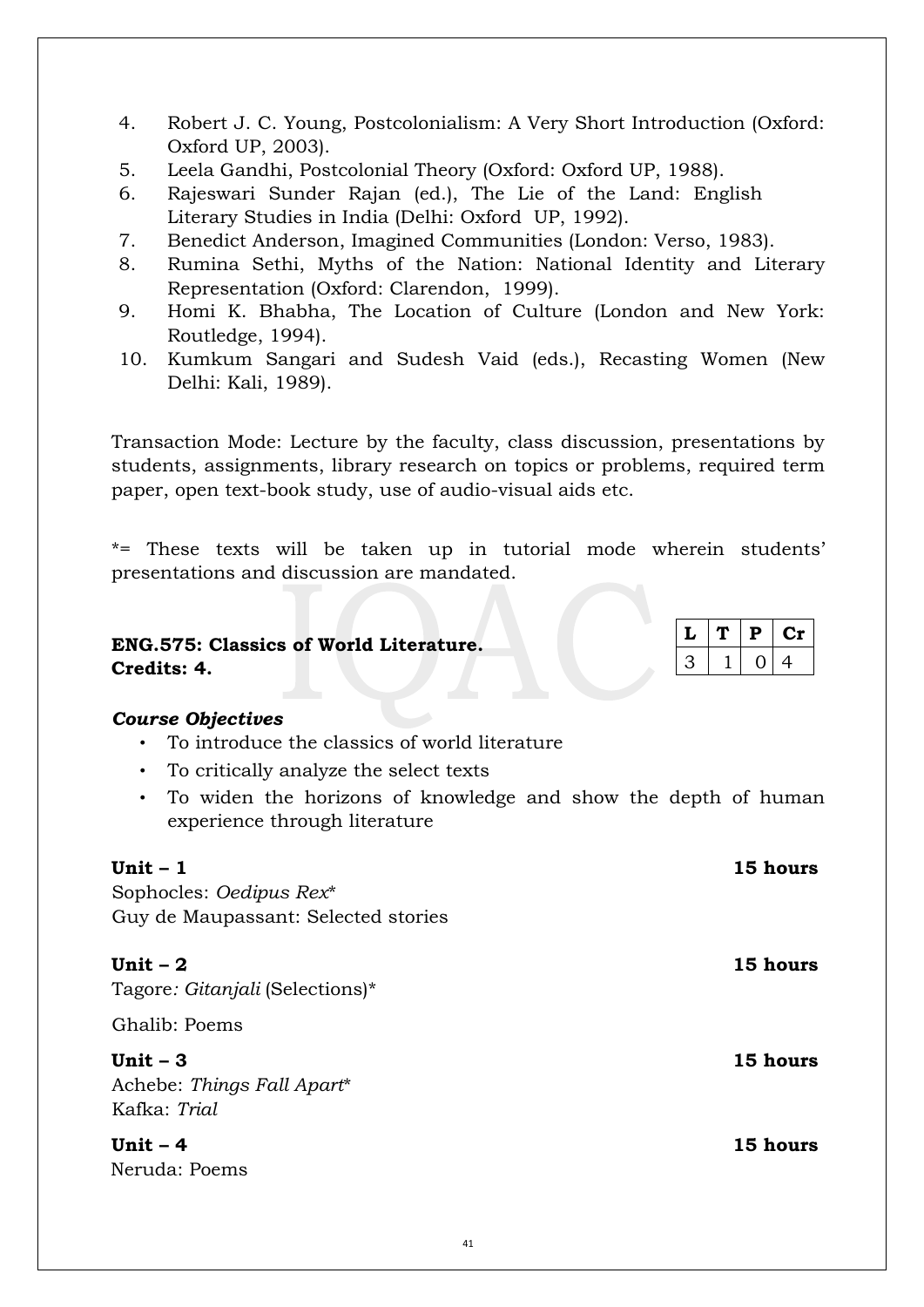- 4. Robert J. C. Young, Postcolonialism: A Very Short Introduction (Oxford: Oxford UP, 2003).
- 5. Leela Gandhi, Postcolonial Theory (Oxford: Oxford UP, 1988).
- 6. Rajeswari Sunder Rajan (ed.), The Lie of the Land: English Literary Studies in India (Delhi: Oxford UP, 1992).
- 7. Benedict Anderson, Imagined Communities (London: Verso, 1983).
- 8. Rumina Sethi, Myths of the Nation: National Identity and Literary Representation (Oxford: Clarendon, 1999).
- 9. Homi K. Bhabha, The Location of Culture (London and New York: Routledge, 1994).
- 10. Kumkum Sangari and Sudesh Vaid (eds.), Recasting Women (New Delhi: Kali, 1989).

Transaction Mode: Lecture by the faculty, class discussion, presentations by students, assignments, library research on topics or problems, required term paper, open text-book study, use of audio-visual aids etc.

\*= These texts will be taken up in tutorial mode wherein students' presentations and discussion are mandated.

### **ENG.575: Classics of World Literature. Credits: 4.**   $L | T | P | Cr$  $3 | 1 | 0 | 4$

# *Course Objectives*

- To introduce the classics of world literature
- To critically analyze the select texts
- To widen the horizons of knowledge and show the depth of human experience through literature

| Unit $-1$                                               | 15 hours |
|---------------------------------------------------------|----------|
| Sophocles: Oedipus Rex*                                 |          |
| Guy de Maupassant: Selected stories                     |          |
| Unit $-2$<br>Tagore: Gitanjali (Selections)*            | 15 hours |
| Ghalib: Poems                                           |          |
| Unit $-3$<br>Achebe: Things Fall Apart*<br>Kafka: Trial | 15 hours |
| Unit $-4$<br>Neruda: Poems                              | 15 hours |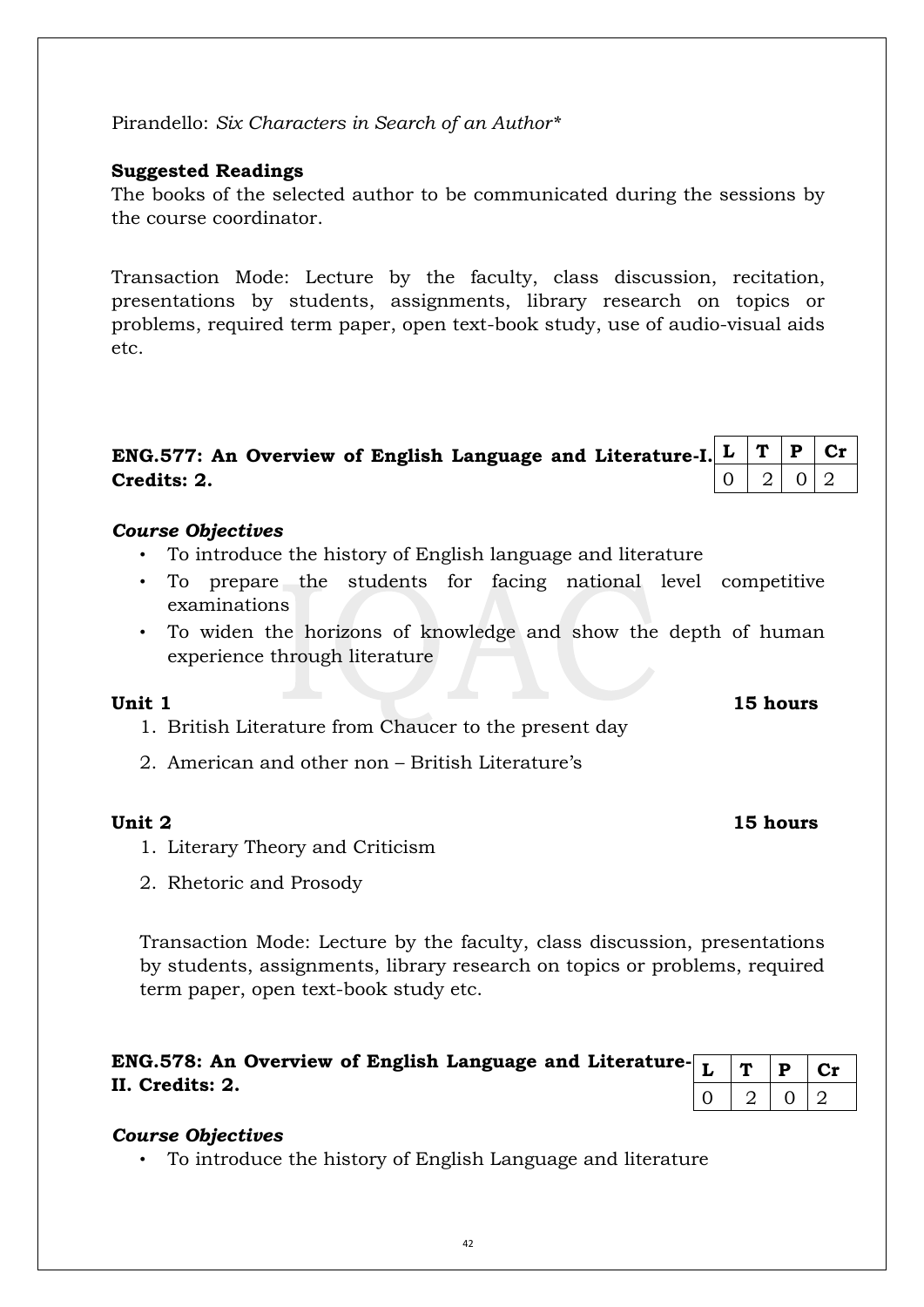Transaction Mode: Lecture by the faculty, class discussion, presentations by students, assignments, library research on topics or problems, required term paper, open text-book study etc.

# *Course Objectives*

**II. Credits: 2.** 

• To introduce the history of English Language and literature

**ENG.578: An Overview of English Language and Literature-**

| Unit 1 |  |  | 15 hours |
|--------|--|--|----------|

- 1. British Literature from Chaucer to the present day
- 2. American and other non British Literature's

# **Unit 2 15 hours**

- 1. Literary Theory and Criticism
- 2. Rhetoric and Prosody

experience through literature

# *Course Objectives*

**Credits: 2.** 

• To introduce the history of English language and literature

**ENG.577: An Overview of English Language and Literature-I.** 

- To prepare the students for facing national level competitive
- examinations
- To widen the horizons of knowledge and show the depth of human

# **Suggested Readings**

Pirandello: *Six Characters in Search of an Author\**

The books of the selected author to be communicated during the sessions by the course coordinator.

Transaction Mode: Lecture by the faculty, class discussion, recitation, presentations by students, assignments, library research on topics or problems, required term paper, open text-book study, use of audio-visual aids etc.

 $L | T | P | Cr$  $0 | 2 | 0 | 2$ 

 $T | P | Cr$  $2 | 0 | 2$ 

42